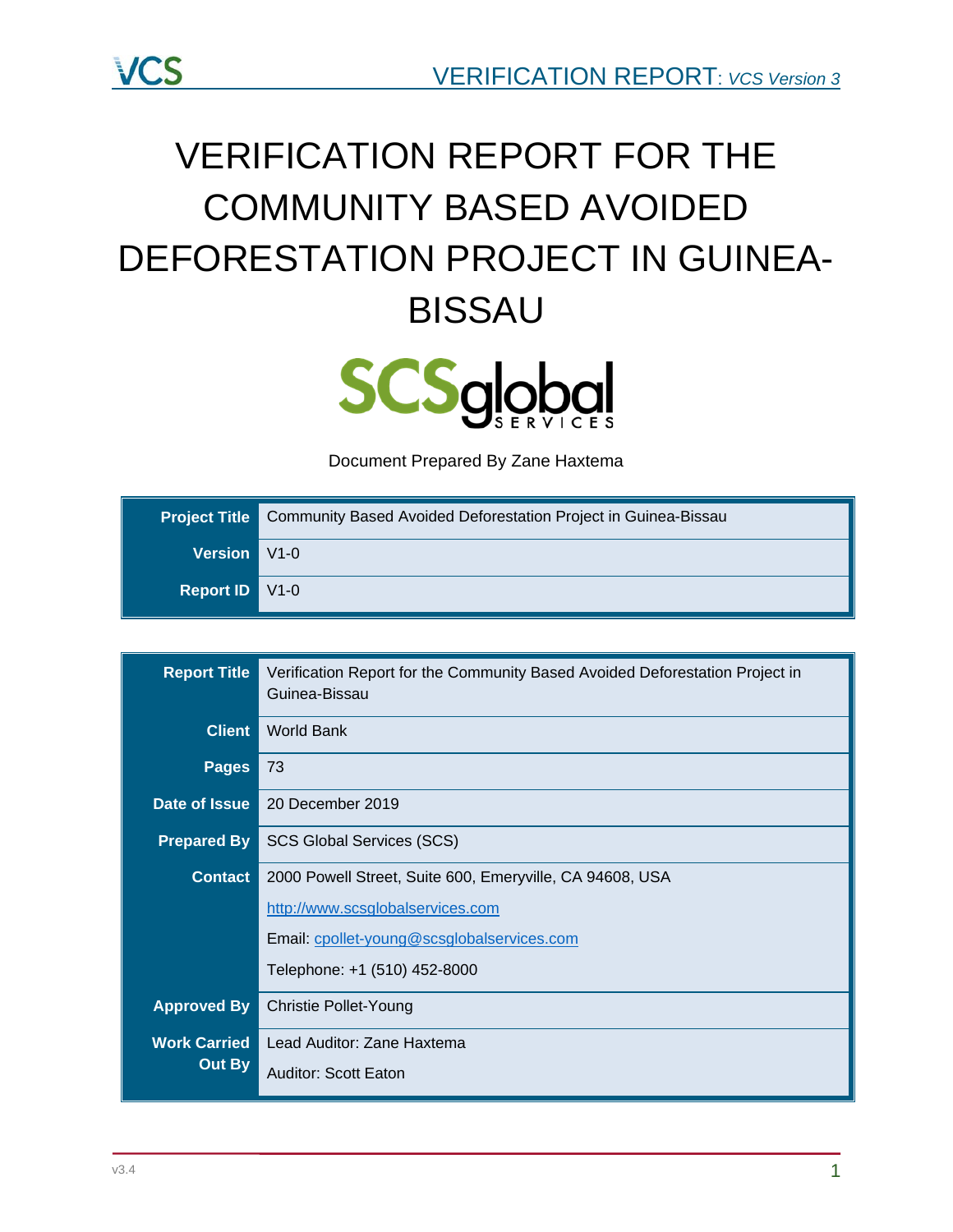

# VERIFICATION REPORT FOR THE COMMUNITY BASED AVOIDED DEFORESTATION PROJECT IN GUINEA-BISSAU



Document Prepared By Zane Haxtema

|                       | <b>Project Title</b> Community Based Avoided Deforestation Project in Guinea-Bissau |  |  |
|-----------------------|-------------------------------------------------------------------------------------|--|--|
| Version V1-0          |                                                                                     |  |  |
| <b>Report ID</b> V1-0 |                                                                                     |  |  |

| <b>Report Title</b> | Verification Report for the Community Based Avoided Deforestation Project in<br>Guinea-Bissau |  |  |  |
|---------------------|-----------------------------------------------------------------------------------------------|--|--|--|
| <b>Client</b>       | <b>World Bank</b>                                                                             |  |  |  |
| <b>Pages</b>        | 73                                                                                            |  |  |  |
| Date of Issue       | 20 December 2019                                                                              |  |  |  |
| <b>Prepared By</b>  | <b>SCS Global Services (SCS)</b>                                                              |  |  |  |
| <b>Contact</b>      | 2000 Powell Street, Suite 600, Emeryville, CA 94608, USA                                      |  |  |  |
|                     | http://www.scsglobalservices.com                                                              |  |  |  |
|                     | Email: cpollet-young@scsglobalservices.com                                                    |  |  |  |
|                     | Telephone: +1 (510) 452-8000                                                                  |  |  |  |
| <b>Approved By</b>  | <b>Christie Pollet-Young</b>                                                                  |  |  |  |
| <b>Work Carried</b> | Lead Auditor: Zane Haxtema                                                                    |  |  |  |
| Out By              | Auditor: Scott Eaton                                                                          |  |  |  |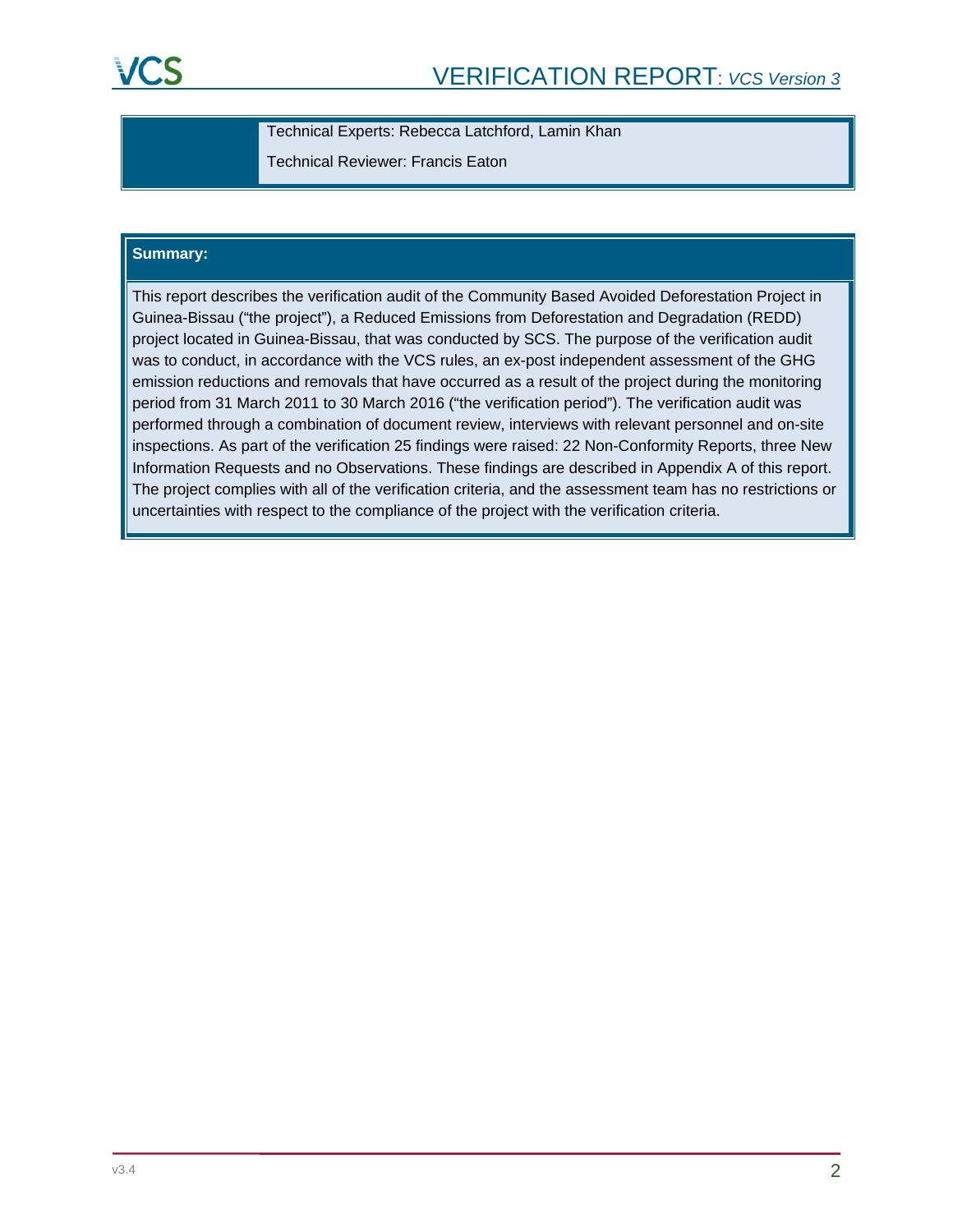Technical Experts: Rebecca Latchford, Lamin Khan

Technical Reviewer: Francis Eaton

### **Summary:**

This report describes the verification audit of the Community Based Avoided Deforestation Project in Guinea-Bissau ("the project"), a Reduced Emissions from Deforestation and Degradation (REDD) project located in Guinea-Bissau, that was conducted by SCS. The purpose of the verification audit was to conduct, in accordance with the VCS rules, an ex-post independent assessment of the GHG emission reductions and removals that have occurred as a result of the project during the monitoring period from 31 March 2011 to 30 March 2016 ("the verification period"). The verification audit was performed through a combination of document review, interviews with relevant personnel and on-site inspections. As part of the verification 25 findings were raised: 22 Non-Conformity Reports, three New Information Requests and no Observations. These findings are described in Appendix A of this report. The project complies with all of the verification criteria, and the assessment team has no restrictions or uncertainties with respect to the compliance of the project with the verification criteria.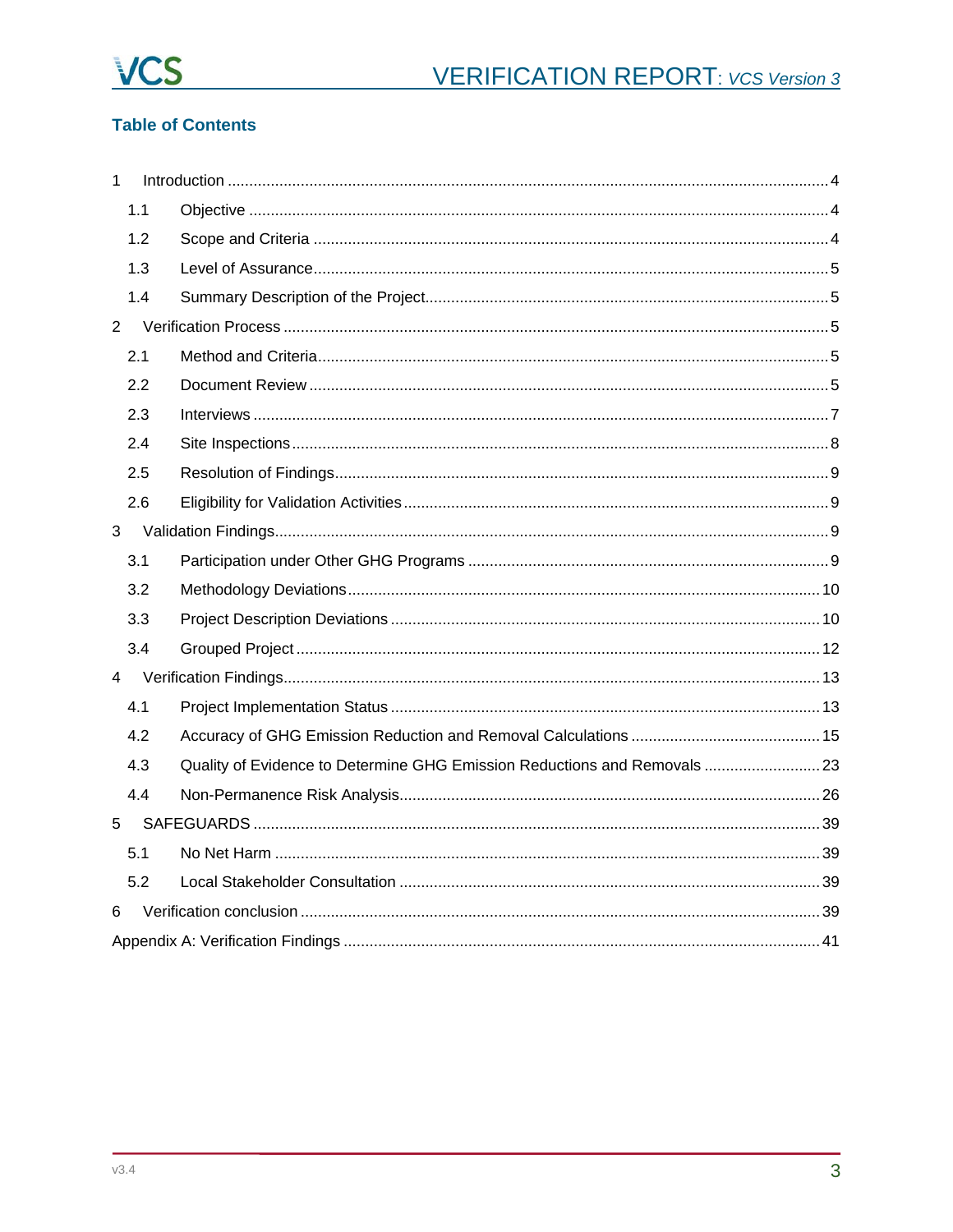

# **Table of Contents**

| $\mathbf{1}$   |                |                                                                          |  |
|----------------|----------------|--------------------------------------------------------------------------|--|
|                | 1.1            |                                                                          |  |
|                | 1.2            |                                                                          |  |
|                | 1.3            |                                                                          |  |
|                | 1.4            |                                                                          |  |
| $\overline{2}$ |                |                                                                          |  |
|                | 2.1            |                                                                          |  |
|                | 2.2            |                                                                          |  |
|                | 2.3            |                                                                          |  |
|                | 2.4            |                                                                          |  |
|                | 2.5            |                                                                          |  |
|                | 2.6            |                                                                          |  |
| 3              |                |                                                                          |  |
|                | 3.1            |                                                                          |  |
|                | 3.2            |                                                                          |  |
|                | 3.3            |                                                                          |  |
|                | 3.4            |                                                                          |  |
|                | $\overline{4}$ |                                                                          |  |
|                | 4.1            |                                                                          |  |
|                | 4.2            |                                                                          |  |
|                | 4.3            | Quality of Evidence to Determine GHG Emission Reductions and Removals 23 |  |
|                | 4.4            |                                                                          |  |
| 5              |                |                                                                          |  |
|                | 5.1            |                                                                          |  |
|                | 5.2            |                                                                          |  |
| 6              |                |                                                                          |  |
|                |                |                                                                          |  |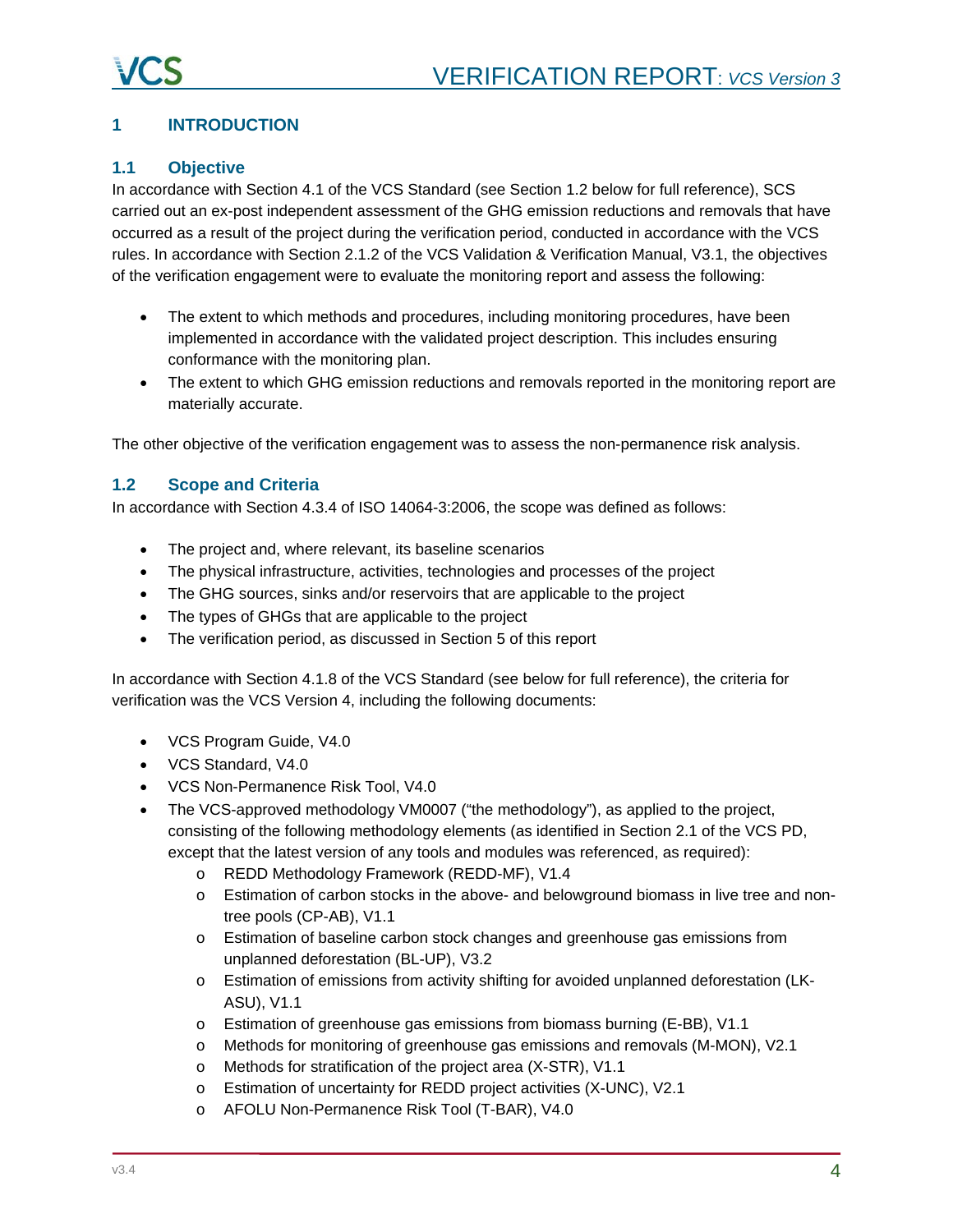# <span id="page-3-0"></span>**1 INTRODUCTION**

# <span id="page-3-1"></span>**1.1 Objective**

In accordance with Section 4.1 of the VCS Standard (see Section 1.2 below for full reference), SCS carried out an ex-post independent assessment of the GHG emission reductions and removals that have occurred as a result of the project during the verification period, conducted in accordance with the VCS rules. In accordance with Section 2.1.2 of the VCS Validation & Verification Manual, V3.1, the objectives of the verification engagement were to evaluate the monitoring report and assess the following:

- The extent to which methods and procedures, including monitoring procedures, have been implemented in accordance with the validated project description. This includes ensuring conformance with the monitoring plan.
- The extent to which GHG emission reductions and removals reported in the monitoring report are materially accurate.

The other objective of the verification engagement was to assess the non-permanence risk analysis.

### <span id="page-3-2"></span>**1.2 Scope and Criteria**

In accordance with Section 4.3.4 of ISO 14064-3:2006, the scope was defined as follows:

- The project and, where relevant, its baseline scenarios
- The physical infrastructure, activities, technologies and processes of the project
- The GHG sources, sinks and/or reservoirs that are applicable to the project
- The types of GHGs that are applicable to the project
- The verification period, as discussed in Section 5 of this report

In accordance with Section 4.1.8 of the VCS Standard (see below for full reference), the criteria for verification was the VCS Version 4, including the following documents:

- VCS Program Guide, V4.0
- VCS Standard, V4.0
- VCS Non-Permanence Risk Tool, V4.0
- The VCS-approved methodology VM0007 ("the methodology"), as applied to the project, consisting of the following methodology elements (as identified in Section 2.1 of the VCS PD, except that the latest version of any tools and modules was referenced, as required):
	- o REDD Methodology Framework (REDD-MF), V1.4
	- o Estimation of carbon stocks in the above- and belowground biomass in live tree and nontree pools (CP-AB), V1.1
	- o Estimation of baseline carbon stock changes and greenhouse gas emissions from unplanned deforestation (BL-UP), V3.2
	- o Estimation of emissions from activity shifting for avoided unplanned deforestation (LK-ASU), V1.1
	- o Estimation of greenhouse gas emissions from biomass burning (E-BB), V1.1
	- o Methods for monitoring of greenhouse gas emissions and removals (M-MON), V2.1
	- o Methods for stratification of the project area (X-STR), V1.1
	- o Estimation of uncertainty for REDD project activities (X-UNC), V2.1
	- o AFOLU Non-Permanence Risk Tool (T-BAR), V4.0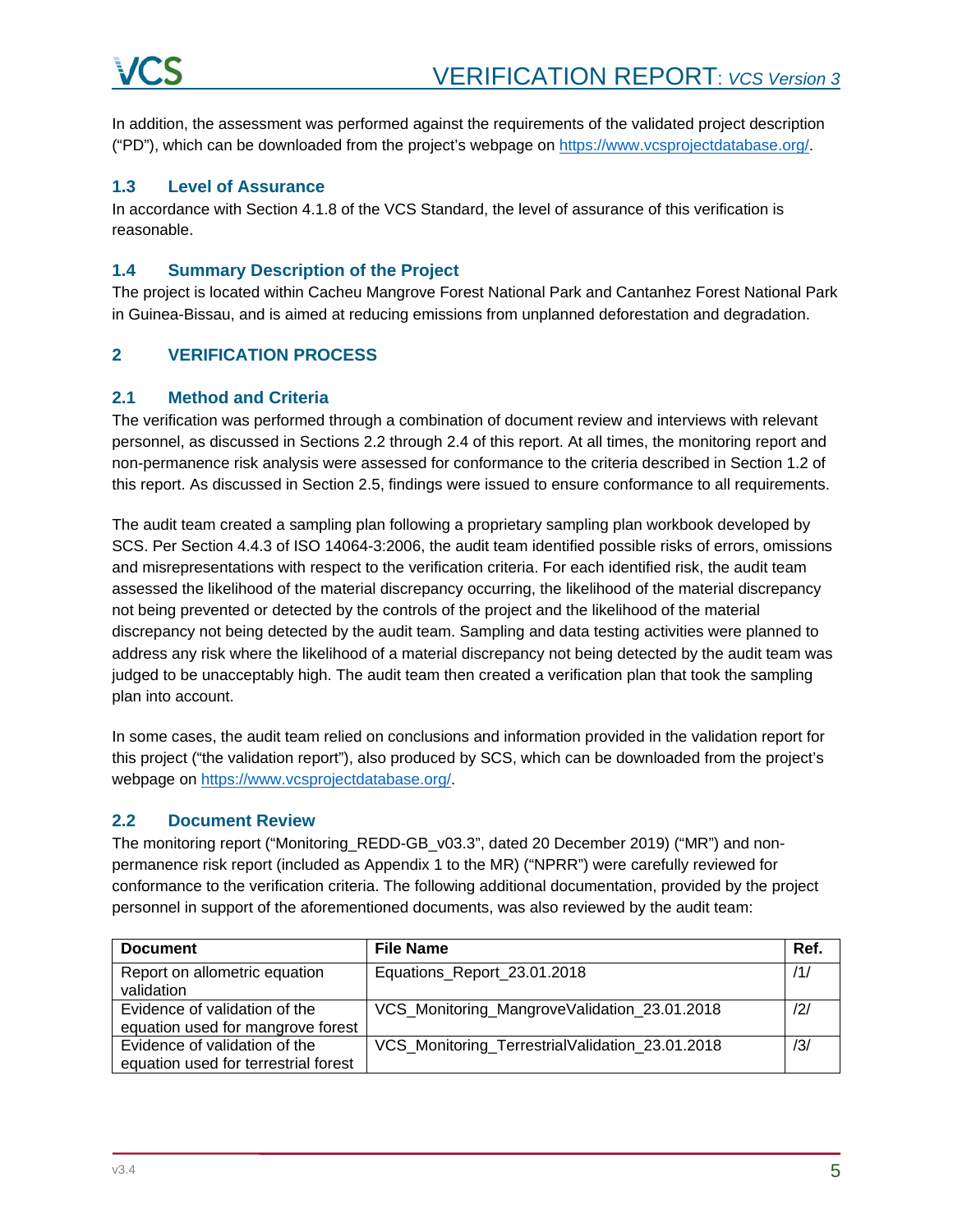In addition, the assessment was performed against the requirements of the validated project description ("PD"), which can be downloaded from the project's webpage on [https://www.vcsprojectdatabase.org/.](https://www.vcsprojectdatabase.org/)

### <span id="page-4-0"></span>**1.3 Level of Assurance**

In accordance with Section 4.1.8 of the VCS Standard, the level of assurance of this verification is reasonable.

# <span id="page-4-1"></span>**1.4 Summary Description of the Project**

The project is located within Cacheu Mangrove Forest National Park and Cantanhez Forest National Park in Guinea-Bissau, and is aimed at reducing emissions from unplanned deforestation and degradation.

# <span id="page-4-2"></span>**2 VERIFICATION PROCESS**

### <span id="page-4-3"></span>**2.1 Method and Criteria**

The verification was performed through a combination of document review and interviews with relevant personnel, as discussed in Sections 2.2 through 2.4 of this report. At all times, the monitoring report and non-permanence risk analysis were assessed for conformance to the criteria described in Section 1.2 of this report. As discussed in Section 2.5, findings were issued to ensure conformance to all requirements.

The audit team created a sampling plan following a proprietary sampling plan workbook developed by SCS. Per Section 4.4.3 of ISO 14064-3:2006, the audit team identified possible risks of errors, omissions and misrepresentations with respect to the verification criteria. For each identified risk, the audit team assessed the likelihood of the material discrepancy occurring, the likelihood of the material discrepancy not being prevented or detected by the controls of the project and the likelihood of the material discrepancy not being detected by the audit team. Sampling and data testing activities were planned to address any risk where the likelihood of a material discrepancy not being detected by the audit team was judged to be unacceptably high. The audit team then created a verification plan that took the sampling plan into account.

In some cases, the audit team relied on conclusions and information provided in the validation report for this project ("the validation report"), also produced by SCS, which can be downloaded from the project's webpage on [https://www.vcsprojectdatabase.org/.](https://www.vcsprojectdatabase.org/)

# <span id="page-4-4"></span>**2.2 Document Review**

The monitoring report ("Monitoring\_REDD-GB\_v03.3", dated 20 December 2019) ("MR") and nonpermanence risk report (included as Appendix 1 to the MR) ("NPRR") were carefully reviewed for conformance to the verification criteria. The following additional documentation, provided by the project personnel in support of the aforementioned documents, was also reviewed by the audit team:

| <b>Document</b>                                                       | <b>File Name</b>                                | Ref.           |
|-----------------------------------------------------------------------|-------------------------------------------------|----------------|
| Report on allometric equation<br>validation                           | Equations_Report_23.01.2018                     | /1/            |
| Evidence of validation of the<br>equation used for mangrove forest    | VCS_Monitoring_MangroveValidation_23.01.2018    | $\frac{12}{1}$ |
| Evidence of validation of the<br>equation used for terrestrial forest | VCS_Monitoring_TerrestrialValidation_23.01.2018 | /3/            |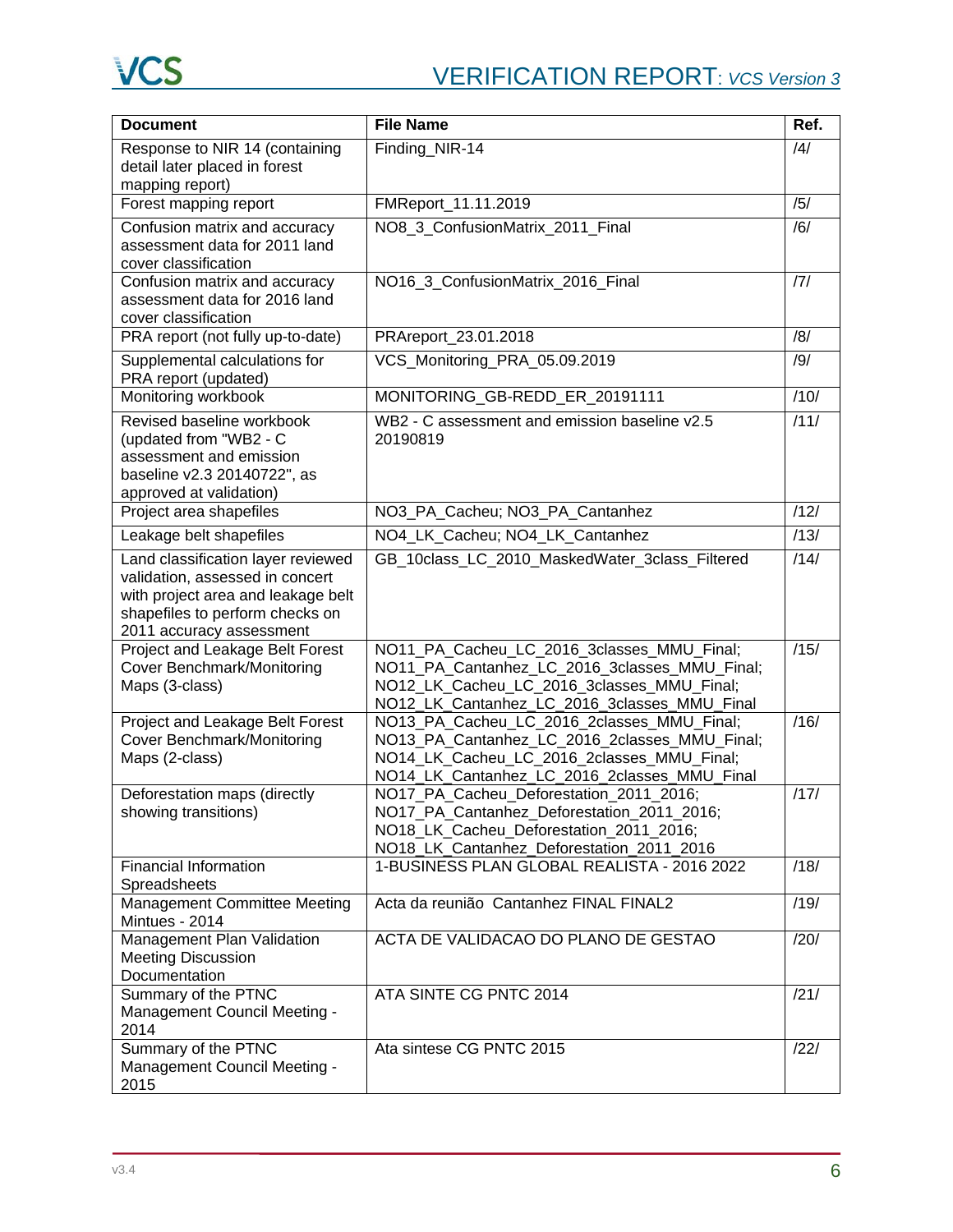| <b>Document</b>                                                                                                                                                            | <b>File Name</b>                                                                                                                                                                          | Ref.           |
|----------------------------------------------------------------------------------------------------------------------------------------------------------------------------|-------------------------------------------------------------------------------------------------------------------------------------------------------------------------------------------|----------------|
| Response to NIR 14 (containing<br>detail later placed in forest<br>mapping report)                                                                                         | Finding_NIR-14                                                                                                                                                                            | $\frac{14}{3}$ |
| Forest mapping report                                                                                                                                                      | FMReport_11.11.2019                                                                                                                                                                       | /5/            |
| Confusion matrix and accuracy<br>assessment data for 2011 land<br>cover classification                                                                                     | NO8_3_ConfusionMatrix_2011_Final                                                                                                                                                          | /6/            |
| Confusion matrix and accuracy<br>assessment data for 2016 land<br>cover classification                                                                                     | NO16 3 ConfusionMatrix 2016 Final                                                                                                                                                         | 7              |
| PRA report (not fully up-to-date)                                                                                                                                          | PRAreport_23.01.2018                                                                                                                                                                      | /8/            |
| Supplemental calculations for<br>PRA report (updated)                                                                                                                      | VCS_Monitoring_PRA_05.09.2019                                                                                                                                                             | /9/            |
| Monitoring workbook                                                                                                                                                        | MONITORING_GB-REDD_ER_20191111                                                                                                                                                            | 710/           |
| Revised baseline workbook<br>(updated from "WB2 - C<br>assessment and emission<br>baseline v2.3 20140722", as<br>approved at validation)                                   | WB2 - C assessment and emission baseline v2.5<br>20190819                                                                                                                                 | /11/           |
| Project area shapefiles                                                                                                                                                    | NO3_PA_Cacheu; NO3_PA_Cantanhez                                                                                                                                                           | /12/           |
| Leakage belt shapefiles                                                                                                                                                    | NO4_LK_Cacheu; NO4_LK_Cantanhez                                                                                                                                                           | /13/           |
| Land classification layer reviewed<br>validation, assessed in concert<br>with project area and leakage belt<br>shapefiles to perform checks on<br>2011 accuracy assessment | GB 10class LC 2010 MaskedWater 3class Filtered                                                                                                                                            | /14/           |
| Project and Leakage Belt Forest<br><b>Cover Benchmark/Monitoring</b><br>Maps (3-class)                                                                                     | NO11_PA_Cacheu_LC_2016_3classes_MMU_Final;<br>NO11_PA_Cantanhez_LC_2016_3classes_MMU_Final;<br>NO12_LK_Cacheu_LC_2016_3classes_MMU_Final;<br>NO12_LK_Cantanhez_LC_2016_3classes_MMU_Final | /15/           |
| <b>Project and Leakage Belt Forest</b><br>Cover Benchmark/Monitoring<br>Maps (2-class)                                                                                     | NO13_PA_Cacheu_LC_2016_2classes_MMU_Final;<br>NO13_PA_Cantanhez_LC_2016_2classes_MMU_Final;<br>NO14_LK_Cacheu_LC_2016_2classes_MMU_Final;<br>NO14_LK_Cantanhez_LC_2016_2classes_MMU_Final | /16/           |
| Deforestation maps (directly<br>showing transitions)                                                                                                                       | NO17_PA_Cacheu_Deforestation_2011_2016;<br>NO17 PA Cantanhez Deforestation 2011 2016;<br>NO18 LK Cacheu Deforestation 2011 2016;<br>NO18_LK_Cantanhez_Deforestation_2011_2016             | /17/           |
| <b>Financial Information</b><br>Spreadsheets                                                                                                                               | 1-BUSINESS PLAN GLOBAL REALISTA - 2016 2022                                                                                                                                               | /18/           |
| Management Committee Meeting<br>Mintues - 2014                                                                                                                             | Acta da reunião Cantanhez FINAL FINAL2                                                                                                                                                    | /19/           |
| Management Plan Validation<br><b>Meeting Discussion</b><br>Documentation                                                                                                   | ACTA DE VALIDACAO DO PLANO DE GESTAO                                                                                                                                                      | /20/           |
| Summary of the PTNC<br>Management Council Meeting -<br>2014                                                                                                                | ATA SINTE CG PNTC 2014                                                                                                                                                                    | /21/           |
| Summary of the PTNC<br>Management Council Meeting -<br>2015                                                                                                                | Ata sintese CG PNTC 2015                                                                                                                                                                  | /22/           |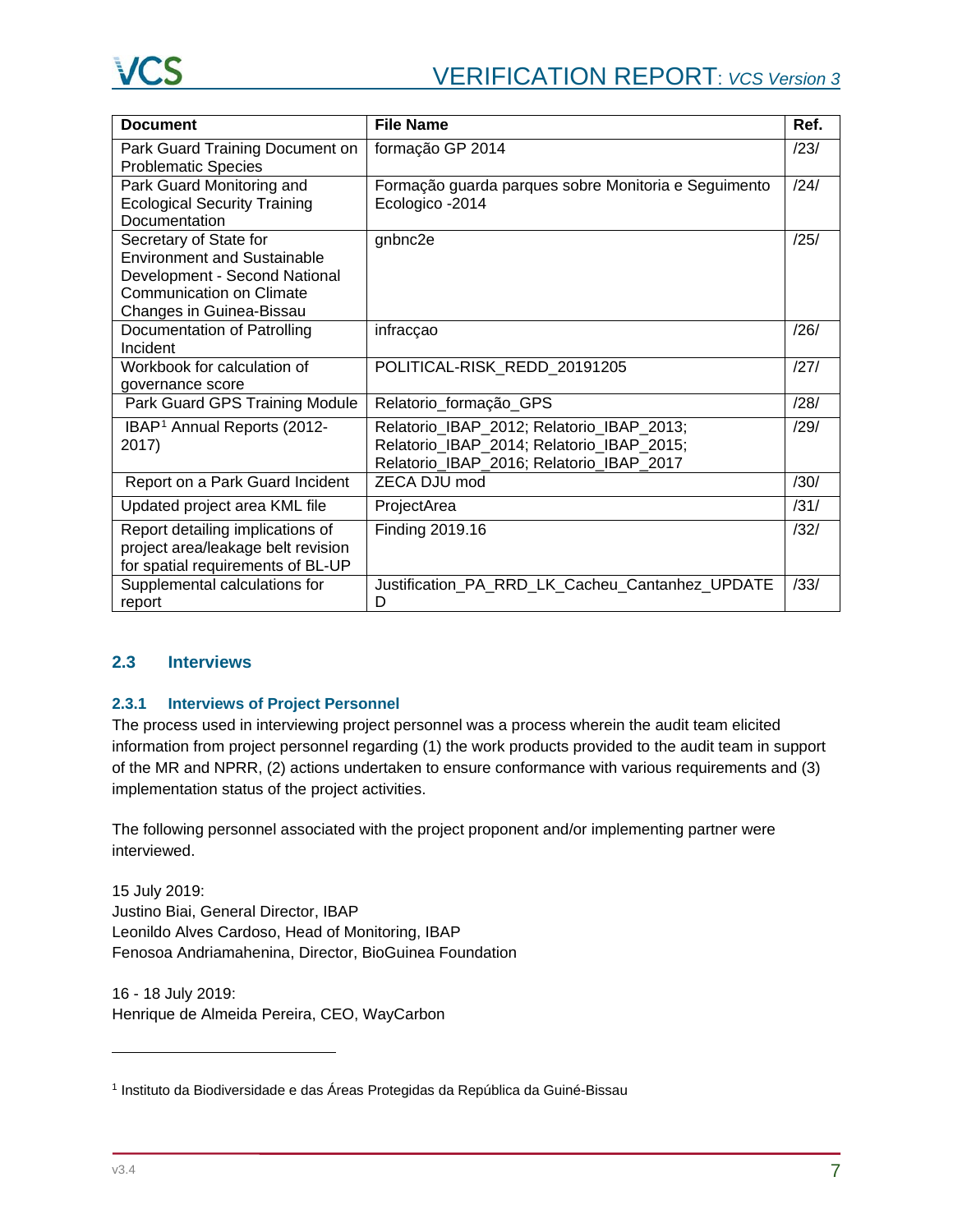| <b>Document</b>                                                                                                                                       | <b>File Name</b>                                                                                                                   | Ref. |
|-------------------------------------------------------------------------------------------------------------------------------------------------------|------------------------------------------------------------------------------------------------------------------------------------|------|
| Park Guard Training Document on<br><b>Problematic Species</b>                                                                                         | formação GP 2014                                                                                                                   | /23/ |
| Park Guard Monitoring and<br><b>Ecological Security Training</b><br>Documentation                                                                     | Formação guarda parques sobre Monitoria e Seguimento<br>Ecologico - 2014                                                           | /24/ |
| Secretary of State for<br>Environment and Sustainable<br>Development - Second National<br><b>Communication on Climate</b><br>Changes in Guinea-Bissau | gnbnc2e                                                                                                                            | /25/ |
| Documentation of Patrolling<br>Incident                                                                                                               | infracçao                                                                                                                          | /26/ |
| Workbook for calculation of<br>governance score                                                                                                       | POLITICAL-RISK REDD 20191205                                                                                                       | /27/ |
| Park Guard GPS Training Module                                                                                                                        | Relatorio_formação_GPS                                                                                                             | /28/ |
| IBAP <sup>1</sup> Annual Reports (2012-<br>2017)                                                                                                      | Relatorio_IBAP_2012; Relatorio_IBAP_2013;<br>Relatorio_IBAP_2014; Relatorio_IBAP_2015;<br>Relatorio_IBAP_2016; Relatorio_IBAP_2017 | /29/ |
| Report on a Park Guard Incident                                                                                                                       | ZECA DJU mod                                                                                                                       | /30/ |
| Updated project area KML file                                                                                                                         | ProjectArea                                                                                                                        | /31/ |
| Report detailing implications of<br>project area/leakage belt revision<br>for spatial requirements of BL-UP                                           | Finding 2019.16                                                                                                                    | /32/ |
| Supplemental calculations for<br>report                                                                                                               | Justification PA RRD LK Cacheu Cantanhez UPDATE<br>D                                                                               | /33/ |

# <span id="page-6-0"></span>**2.3 Interviews**

# **2.3.1 Interviews of Project Personnel**

The process used in interviewing project personnel was a process wherein the audit team elicited information from project personnel regarding (1) the work products provided to the audit team in support of the MR and NPRR, (2) actions undertaken to ensure conformance with various requirements and (3) implementation status of the project activities.

The following personnel associated with the project proponent and/or implementing partner were interviewed.

15 July 2019: Justino Biai, General Director, IBAP Leonildo Alves Cardoso, Head of Monitoring, IBAP Fenosoa Andriamahenina, Director, BioGuinea Foundation

16 - 18 July 2019: Henrique de Almeida Pereira, CEO, WayCarbon

-

<span id="page-6-1"></span><sup>1</sup> Instituto da Biodiversidade e das Áreas Protegidas da República da Guiné-Bissau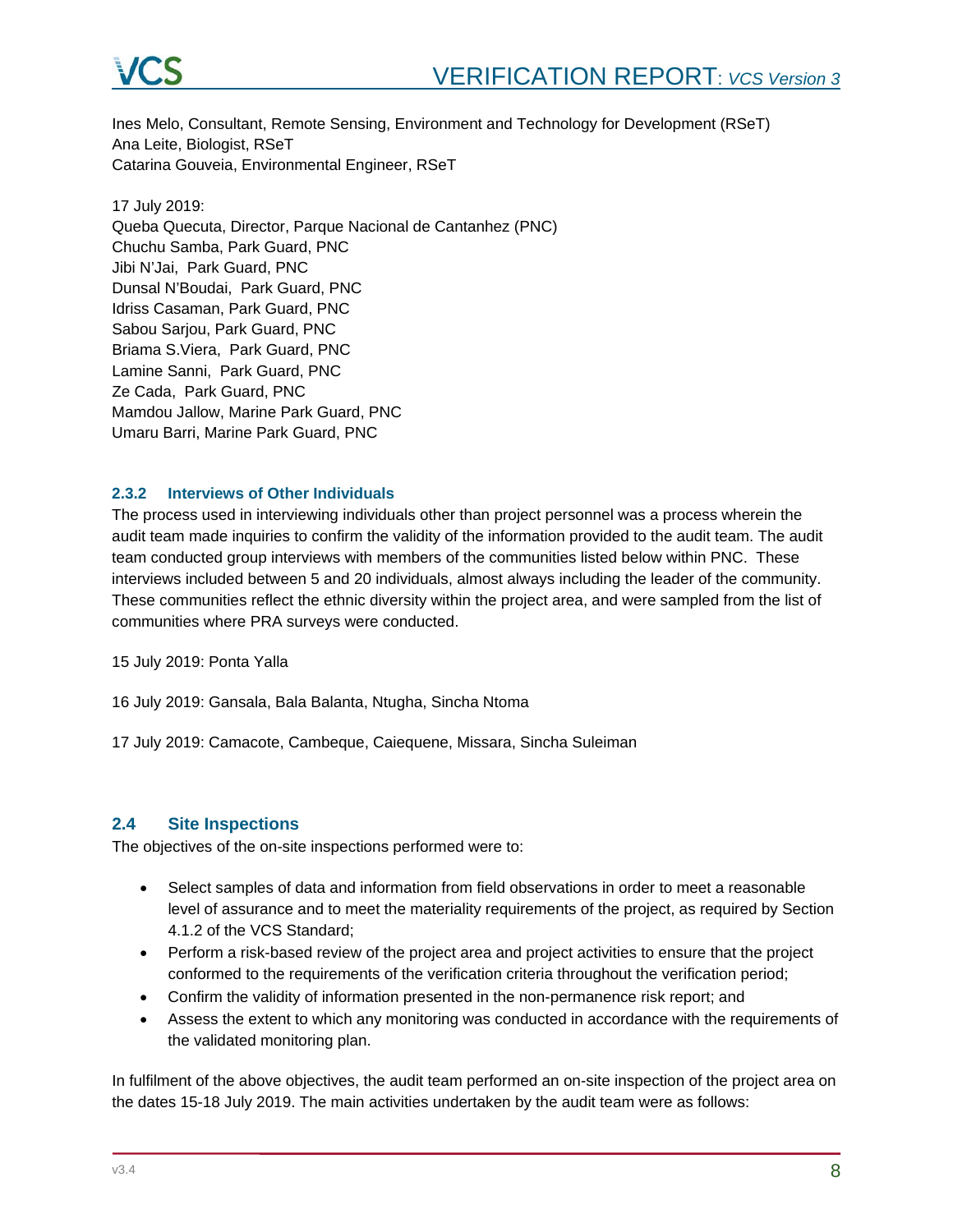

Ines Melo, Consultant, Remote Sensing, Environment and Technology for Development (RSeT) Ana Leite, Biologist, RSeT Catarina Gouveia, Environmental Engineer, RSeT

17 July 2019: Queba Quecuta, Director, Parque Nacional de Cantanhez (PNC) Chuchu Samba, Park Guard, PNC Jibi N'Jai, Park Guard, PNC Dunsal N'Boudai, Park Guard, PNC Idriss Casaman, Park Guard, PNC Sabou Sarjou, Park Guard, PNC Briama S.Viera, Park Guard, PNC Lamine Sanni, Park Guard, PNC Ze Cada, Park Guard, PNC Mamdou Jallow, Marine Park Guard, PNC Umaru Barri, Marine Park Guard, PNC

#### **2.3.2 Interviews of Other Individuals**

The process used in interviewing individuals other than project personnel was a process wherein the audit team made inquiries to confirm the validity of the information provided to the audit team. The audit team conducted group interviews with members of the communities listed below within PNC. These interviews included between 5 and 20 individuals, almost always including the leader of the community. These communities reflect the ethnic diversity within the project area, and were sampled from the list of communities where PRA surveys were conducted.

15 July 2019: Ponta Yalla

16 July 2019: Gansala, Bala Balanta, Ntugha, Sincha Ntoma

17 July 2019: Camacote, Cambeque, Caiequene, Missara, Sincha Suleiman

### <span id="page-7-0"></span>**2.4 Site Inspections**

The objectives of the on-site inspections performed were to:

- Select samples of data and information from field observations in order to meet a reasonable level of assurance and to meet the materiality requirements of the project, as required by Section 4.1.2 of the VCS Standard;
- Perform a risk-based review of the project area and project activities to ensure that the project conformed to the requirements of the verification criteria throughout the verification period;
- Confirm the validity of information presented in the non-permanence risk report; and
- Assess the extent to which any monitoring was conducted in accordance with the requirements of the validated monitoring plan.

In fulfilment of the above objectives, the audit team performed an on-site inspection of the project area on the dates 15-18 July 2019. The main activities undertaken by the audit team were as follows: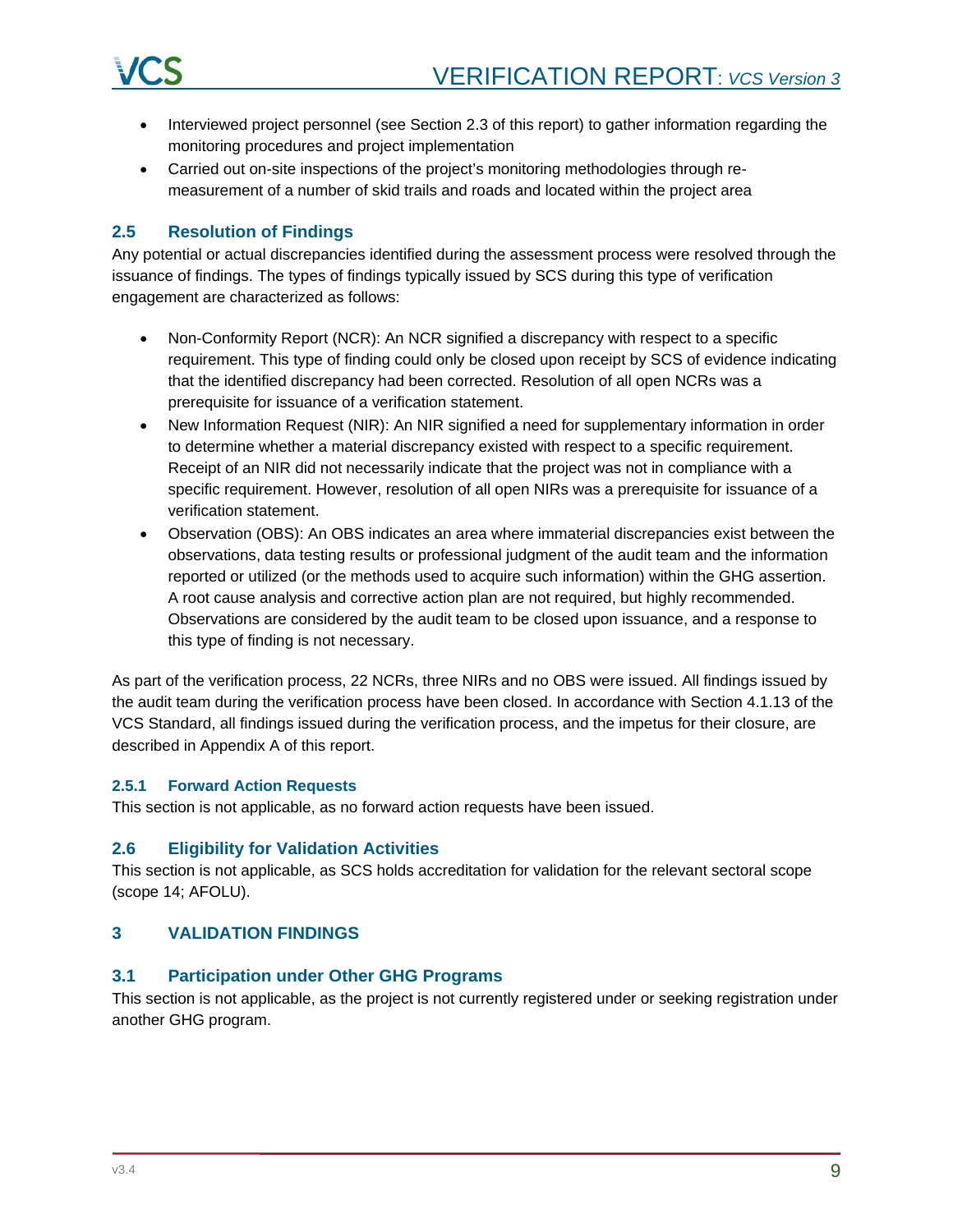

- Interviewed project personnel (see Section 2.3 of this report) to gather information regarding the monitoring procedures and project implementation
- Carried out on-site inspections of the project's monitoring methodologies through remeasurement of a number of skid trails and roads and located within the project area

### <span id="page-8-0"></span>**2.5 Resolution of Findings**

Any potential or actual discrepancies identified during the assessment process were resolved through the issuance of findings. The types of findings typically issued by SCS during this type of verification engagement are characterized as follows:

- Non-Conformity Report (NCR): An NCR signified a discrepancy with respect to a specific requirement. This type of finding could only be closed upon receipt by SCS of evidence indicating that the identified discrepancy had been corrected. Resolution of all open NCRs was a prerequisite for issuance of a verification statement.
- New Information Request (NIR): An NIR signified a need for supplementary information in order to determine whether a material discrepancy existed with respect to a specific requirement. Receipt of an NIR did not necessarily indicate that the project was not in compliance with a specific requirement. However, resolution of all open NIRs was a prerequisite for issuance of a verification statement.
- Observation (OBS): An OBS indicates an area where immaterial discrepancies exist between the observations, data testing results or professional judgment of the audit team and the information reported or utilized (or the methods used to acquire such information) within the GHG assertion. A root cause analysis and corrective action plan are not required, but highly recommended. Observations are considered by the audit team to be closed upon issuance, and a response to this type of finding is not necessary.

As part of the verification process, 22 NCRs, three NIRs and no OBS were issued. All findings issued by the audit team during the verification process have been closed. In accordance with Section 4.1.13 of the VCS Standard, all findings issued during the verification process, and the impetus for their closure, are described in Appendix A of this report.

### **2.5.1 Forward Action Requests**

This section is not applicable, as no forward action requests have been issued.

### <span id="page-8-1"></span>**2.6 Eligibility for Validation Activities**

This section is not applicable, as SCS holds accreditation for validation for the relevant sectoral scope (scope 14; AFOLU).

### <span id="page-8-2"></span>**3 VALIDATION FINDINGS**

### <span id="page-8-3"></span>**3.1 Participation under Other GHG Programs**

This section is not applicable, as the project is not currently registered under or seeking registration under another GHG program.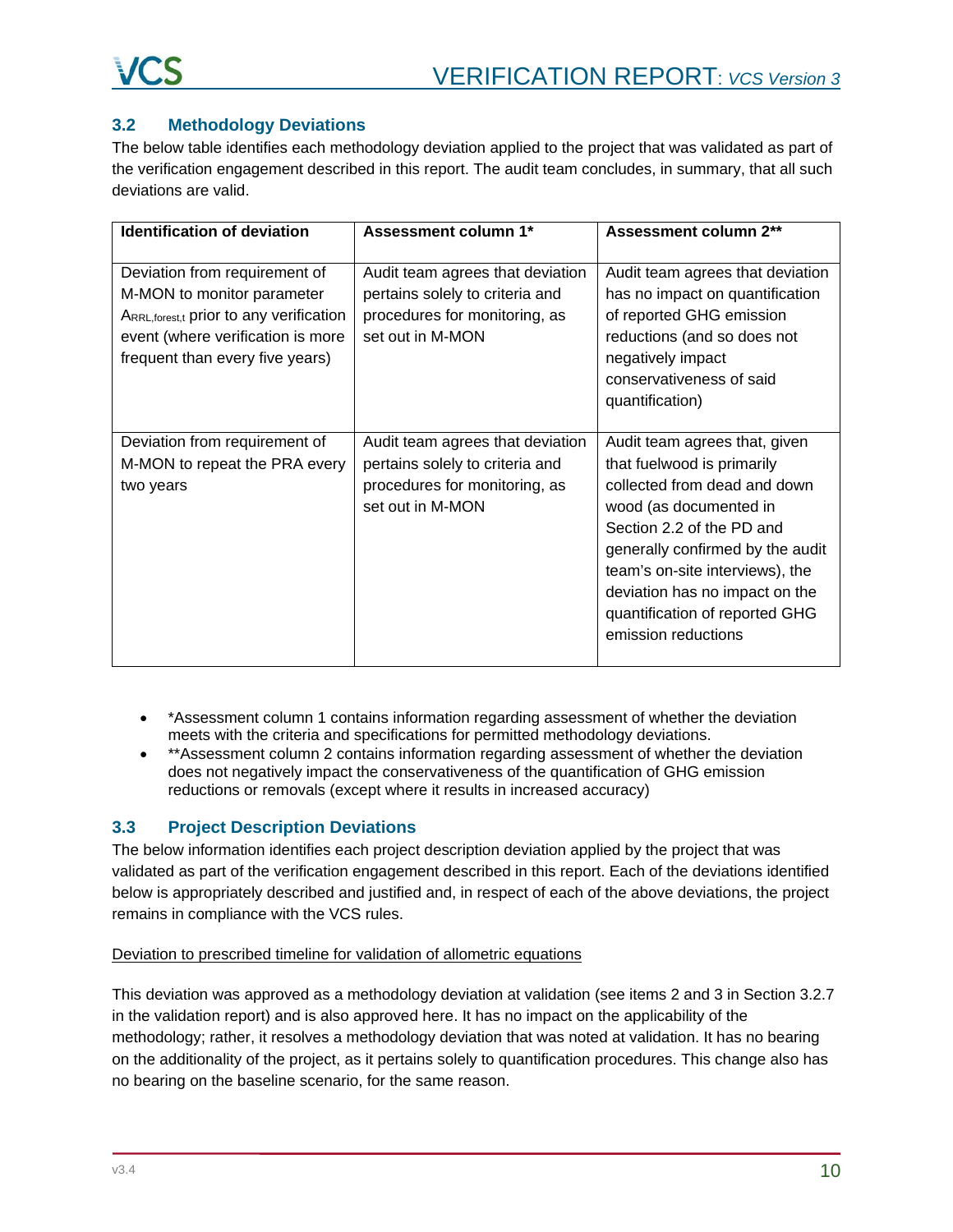# <span id="page-9-0"></span>**3.2 Methodology Deviations**

The below table identifies each methodology deviation applied to the project that was validated as part of the verification engagement described in this report. The audit team concludes, in summary, that all such deviations are valid.

| Identification of deviation                                                                                                                                                     | Assessment column 1*                                                                                                     | Assessment column 2**                                                                                                                                                                                                                                                                                                |
|---------------------------------------------------------------------------------------------------------------------------------------------------------------------------------|--------------------------------------------------------------------------------------------------------------------------|----------------------------------------------------------------------------------------------------------------------------------------------------------------------------------------------------------------------------------------------------------------------------------------------------------------------|
| Deviation from requirement of<br>M-MON to monitor parameter<br>ARRL, forest,t prior to any verification<br>event (where verification is more<br>frequent than every five years) | Audit team agrees that deviation<br>pertains solely to criteria and<br>procedures for monitoring, as<br>set out in M-MON | Audit team agrees that deviation<br>has no impact on quantification<br>of reported GHG emission<br>reductions (and so does not<br>negatively impact<br>conservativeness of said<br>quantification)                                                                                                                   |
| Deviation from requirement of<br>M-MON to repeat the PRA every<br>two years                                                                                                     | Audit team agrees that deviation<br>pertains solely to criteria and<br>procedures for monitoring, as<br>set out in M-MON | Audit team agrees that, given<br>that fuelwood is primarily<br>collected from dead and down<br>wood (as documented in<br>Section 2.2 of the PD and<br>generally confirmed by the audit<br>team's on-site interviews), the<br>deviation has no impact on the<br>quantification of reported GHG<br>emission reductions |

- \*Assessment column 1 contains information regarding assessment of whether the deviation meets with the criteria and specifications for permitted methodology deviations.
- \*\*Assessment column 2 contains information regarding assessment of whether the deviation does not negatively impact the conservativeness of the quantification of GHG emission reductions or removals (except where it results in increased accuracy)

# <span id="page-9-1"></span>**3.3 Project Description Deviations**

The below information identifies each project description deviation applied by the project that was validated as part of the verification engagement described in this report. Each of the deviations identified below is appropriately described and justified and, in respect of each of the above deviations, the project remains in compliance with the VCS rules.

### Deviation to prescribed timeline for validation of allometric equations

This deviation was approved as a methodology deviation at validation (see items 2 and 3 in Section 3.2.7 in the validation report) and is also approved here. It has no impact on the applicability of the methodology; rather, it resolves a methodology deviation that was noted at validation. It has no bearing on the additionality of the project, as it pertains solely to quantification procedures. This change also has no bearing on the baseline scenario, for the same reason.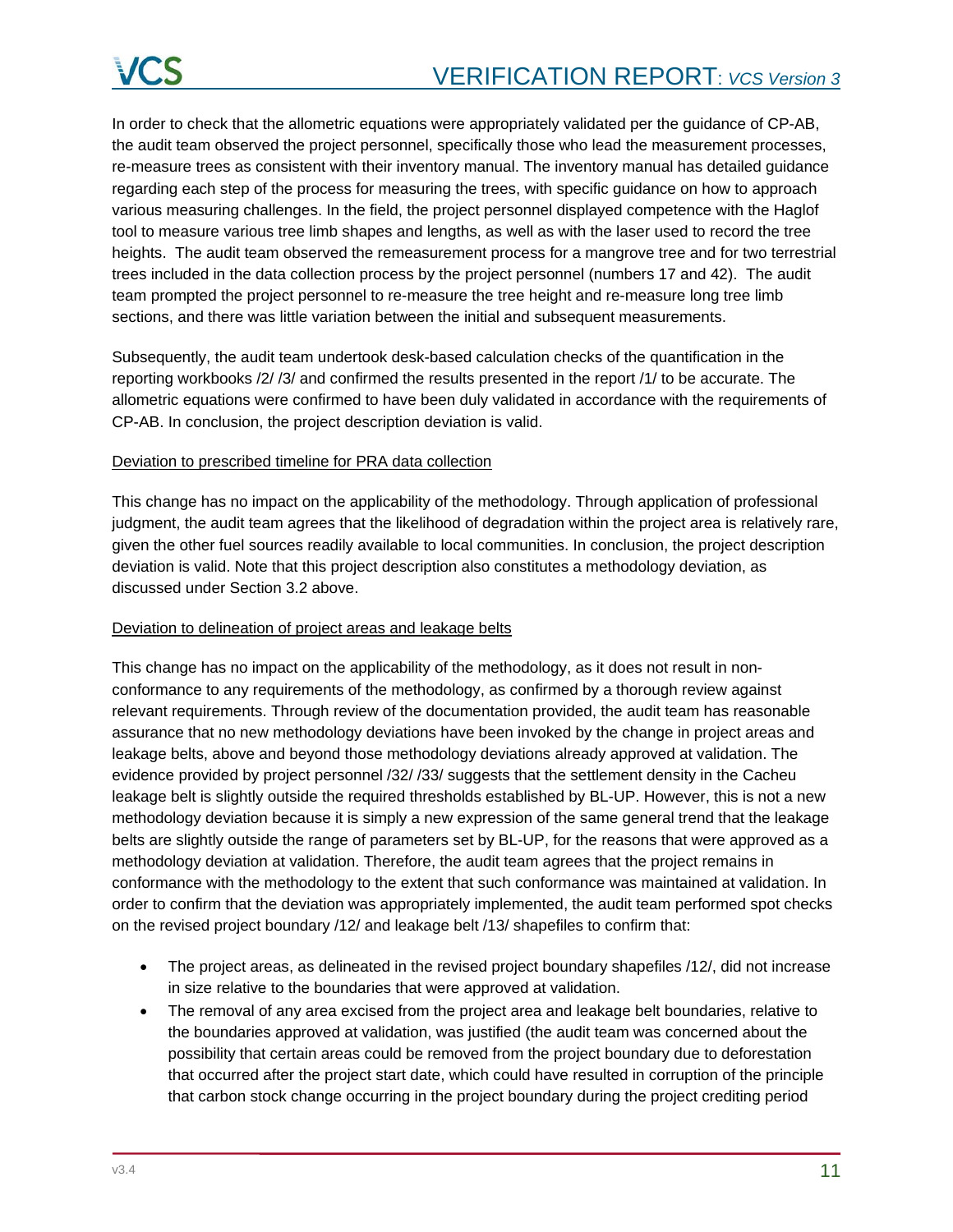In order to check that the allometric equations were appropriately validated per the guidance of CP-AB, the audit team observed the project personnel, specifically those who lead the measurement processes, re-measure trees as consistent with their inventory manual. The inventory manual has detailed guidance regarding each step of the process for measuring the trees, with specific guidance on how to approach various measuring challenges. In the field, the project personnel displayed competence with the Haglof tool to measure various tree limb shapes and lengths, as well as with the laser used to record the tree heights. The audit team observed the remeasurement process for a mangrove tree and for two terrestrial trees included in the data collection process by the project personnel (numbers 17 and 42). The audit team prompted the project personnel to re-measure the tree height and re-measure long tree limb sections, and there was little variation between the initial and subsequent measurements.

Subsequently, the audit team undertook desk-based calculation checks of the quantification in the reporting workbooks /2/ /3/ and confirmed the results presented in the report /1/ to be accurate. The allometric equations were confirmed to have been duly validated in accordance with the requirements of CP-AB. In conclusion, the project description deviation is valid.

#### Deviation to prescribed timeline for PRA data collection

This change has no impact on the applicability of the methodology. Through application of professional judgment, the audit team agrees that the likelihood of degradation within the project area is relatively rare, given the other fuel sources readily available to local communities. In conclusion, the project description deviation is valid. Note that this project description also constitutes a methodology deviation, as discussed under Section 3.2 above.

### Deviation to delineation of project areas and leakage belts

This change has no impact on the applicability of the methodology, as it does not result in nonconformance to any requirements of the methodology, as confirmed by a thorough review against relevant requirements. Through review of the documentation provided, the audit team has reasonable assurance that no new methodology deviations have been invoked by the change in project areas and leakage belts, above and beyond those methodology deviations already approved at validation. The evidence provided by project personnel /32/ /33/ suggests that the settlement density in the Cacheu leakage belt is slightly outside the required thresholds established by BL-UP. However, this is not a new methodology deviation because it is simply a new expression of the same general trend that the leakage belts are slightly outside the range of parameters set by BL-UP, for the reasons that were approved as a methodology deviation at validation. Therefore, the audit team agrees that the project remains in conformance with the methodology to the extent that such conformance was maintained at validation. In order to confirm that the deviation was appropriately implemented, the audit team performed spot checks on the revised project boundary /12/ and leakage belt /13/ shapefiles to confirm that:

- The project areas, as delineated in the revised project boundary shapefiles /12/, did not increase in size relative to the boundaries that were approved at validation.
- The removal of any area excised from the project area and leakage belt boundaries, relative to the boundaries approved at validation, was justified (the audit team was concerned about the possibility that certain areas could be removed from the project boundary due to deforestation that occurred after the project start date, which could have resulted in corruption of the principle that carbon stock change occurring in the project boundary during the project crediting period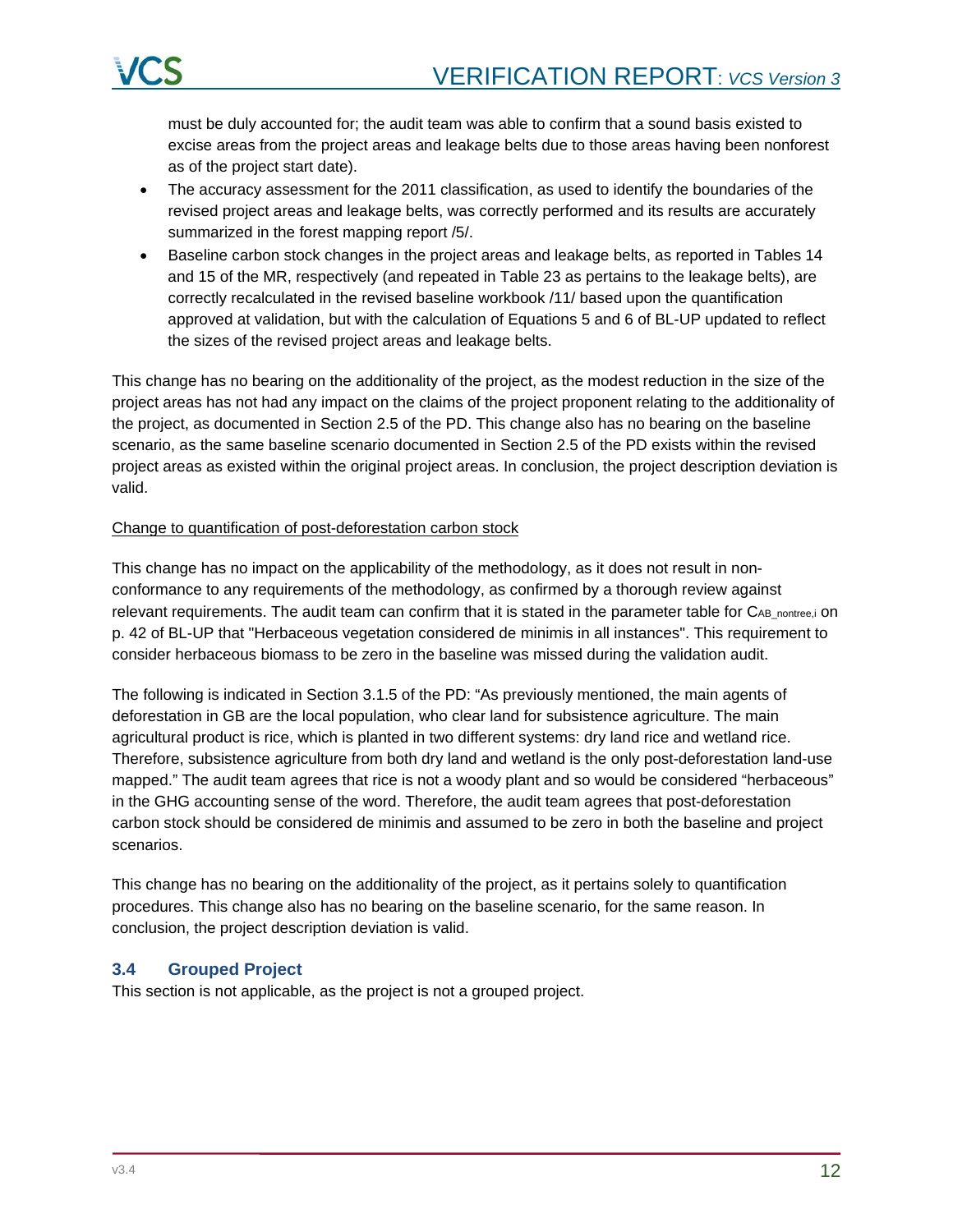

must be duly accounted for; the audit team was able to confirm that a sound basis existed to excise areas from the project areas and leakage belts due to those areas having been nonforest as of the project start date).

- The accuracy assessment for the 2011 classification, as used to identify the boundaries of the revised project areas and leakage belts, was correctly performed and its results are accurately summarized in the forest mapping report /5/.
- Baseline carbon stock changes in the project areas and leakage belts, as reported in Tables 14 and 15 of the MR, respectively (and repeated in Table 23 as pertains to the leakage belts), are correctly recalculated in the revised baseline workbook /11/ based upon the quantification approved at validation, but with the calculation of Equations 5 and 6 of BL-UP updated to reflect the sizes of the revised project areas and leakage belts.

This change has no bearing on the additionality of the project, as the modest reduction in the size of the project areas has not had any impact on the claims of the project proponent relating to the additionality of the project, as documented in Section 2.5 of the PD. This change also has no bearing on the baseline scenario, as the same baseline scenario documented in Section 2.5 of the PD exists within the revised project areas as existed within the original project areas. In conclusion, the project description deviation is valid.

#### Change to quantification of post-deforestation carbon stock

This change has no impact on the applicability of the methodology, as it does not result in nonconformance to any requirements of the methodology, as confirmed by a thorough review against relevant requirements. The audit team can confirm that it is stated in the parameter table for C<sub>AB</sub> nontree,i on p. 42 of BL-UP that "Herbaceous vegetation considered de minimis in all instances". This requirement to consider herbaceous biomass to be zero in the baseline was missed during the validation audit.

The following is indicated in Section 3.1.5 of the PD: "As previously mentioned, the main agents of deforestation in GB are the local population, who clear land for subsistence agriculture. The main agricultural product is rice, which is planted in two different systems: dry land rice and wetland rice. Therefore, subsistence agriculture from both dry land and wetland is the only post-deforestation land-use mapped." The audit team agrees that rice is not a woody plant and so would be considered "herbaceous" in the GHG accounting sense of the word. Therefore, the audit team agrees that post-deforestation carbon stock should be considered de minimis and assumed to be zero in both the baseline and project scenarios.

This change has no bearing on the additionality of the project, as it pertains solely to quantification procedures. This change also has no bearing on the baseline scenario, for the same reason. In conclusion, the project description deviation is valid.

### <span id="page-11-0"></span>**3.4 Grouped Project**

This section is not applicable, as the project is not a grouped project.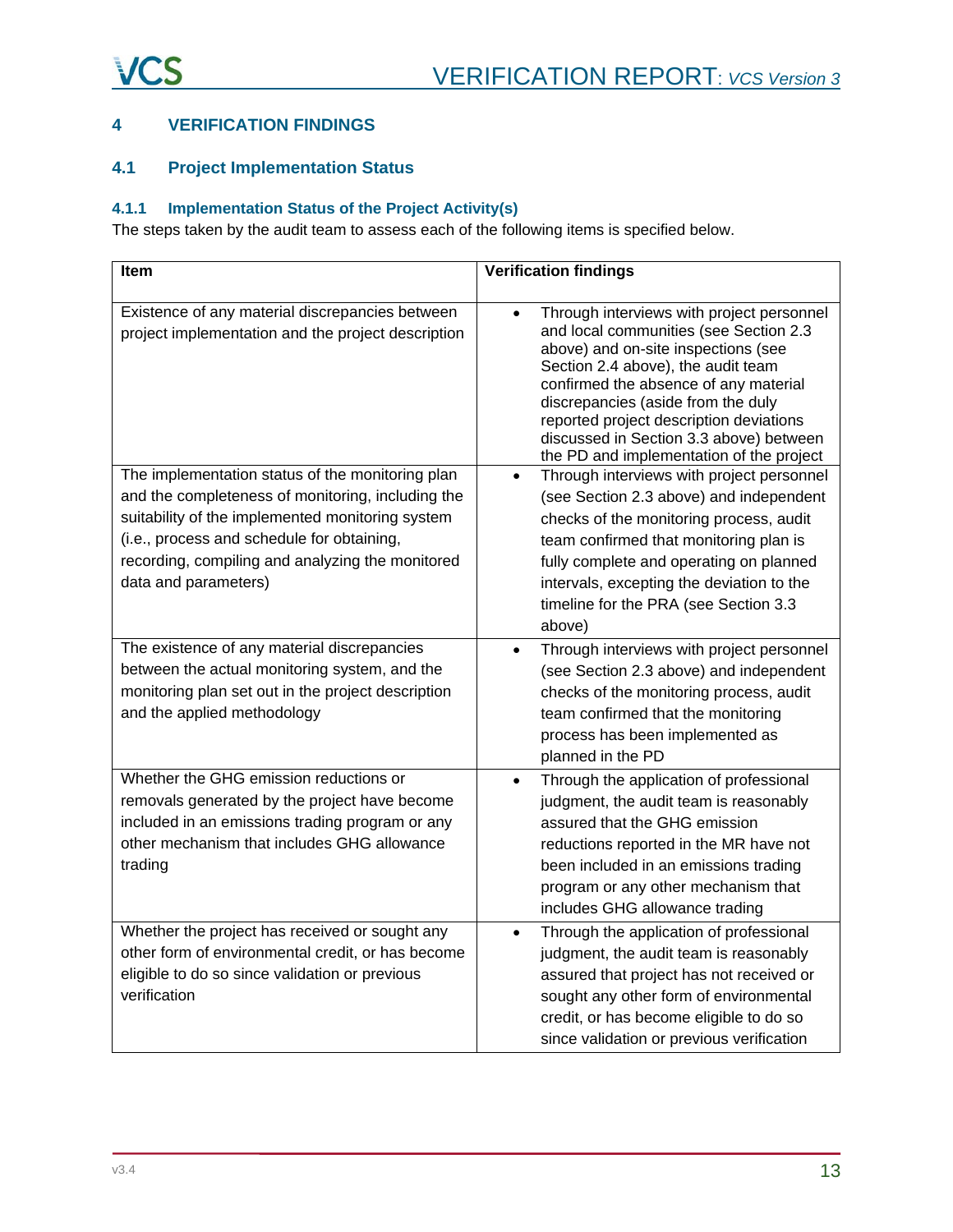# <span id="page-12-0"></span>**4 VERIFICATION FINDINGS**

# <span id="page-12-1"></span>**4.1 Project Implementation Status**

# **4.1.1 Implementation Status of the Project Activity(s)**

The steps taken by the audit team to assess each of the following items is specified below.

| Item                                                                                                                                                                                                                                                                                | <b>Verification findings</b>                                                                                                                                                                                                                                                                                                                                                                   |  |  |
|-------------------------------------------------------------------------------------------------------------------------------------------------------------------------------------------------------------------------------------------------------------------------------------|------------------------------------------------------------------------------------------------------------------------------------------------------------------------------------------------------------------------------------------------------------------------------------------------------------------------------------------------------------------------------------------------|--|--|
| Existence of any material discrepancies between<br>project implementation and the project description                                                                                                                                                                               | Through interviews with project personnel<br>$\bullet$<br>and local communities (see Section 2.3<br>above) and on-site inspections (see<br>Section 2.4 above), the audit team<br>confirmed the absence of any material<br>discrepancies (aside from the duly<br>reported project description deviations<br>discussed in Section 3.3 above) between<br>the PD and implementation of the project |  |  |
| The implementation status of the monitoring plan<br>and the completeness of monitoring, including the<br>suitability of the implemented monitoring system<br>(i.e., process and schedule for obtaining,<br>recording, compiling and analyzing the monitored<br>data and parameters) | Through interviews with project personnel<br>$\bullet$<br>(see Section 2.3 above) and independent<br>checks of the monitoring process, audit<br>team confirmed that monitoring plan is<br>fully complete and operating on planned<br>intervals, excepting the deviation to the<br>timeline for the PRA (see Section 3.3<br>above)                                                              |  |  |
| The existence of any material discrepancies<br>between the actual monitoring system, and the<br>monitoring plan set out in the project description<br>and the applied methodology                                                                                                   | Through interviews with project personnel<br>$\bullet$<br>(see Section 2.3 above) and independent<br>checks of the monitoring process, audit<br>team confirmed that the monitoring<br>process has been implemented as<br>planned in the PD                                                                                                                                                     |  |  |
| Whether the GHG emission reductions or<br>removals generated by the project have become<br>included in an emissions trading program or any<br>other mechanism that includes GHG allowance<br>trading                                                                                | Through the application of professional<br>$\bullet$<br>judgment, the audit team is reasonably<br>assured that the GHG emission<br>reductions reported in the MR have not<br>been included in an emissions trading<br>program or any other mechanism that<br>includes GHG allowance trading                                                                                                    |  |  |
| Whether the project has received or sought any<br>other form of environmental credit, or has become<br>eligible to do so since validation or previous<br>verification                                                                                                               | Through the application of professional<br>$\bullet$<br>judgment, the audit team is reasonably<br>assured that project has not received or<br>sought any other form of environmental<br>credit, or has become eligible to do so<br>since validation or previous verification                                                                                                                   |  |  |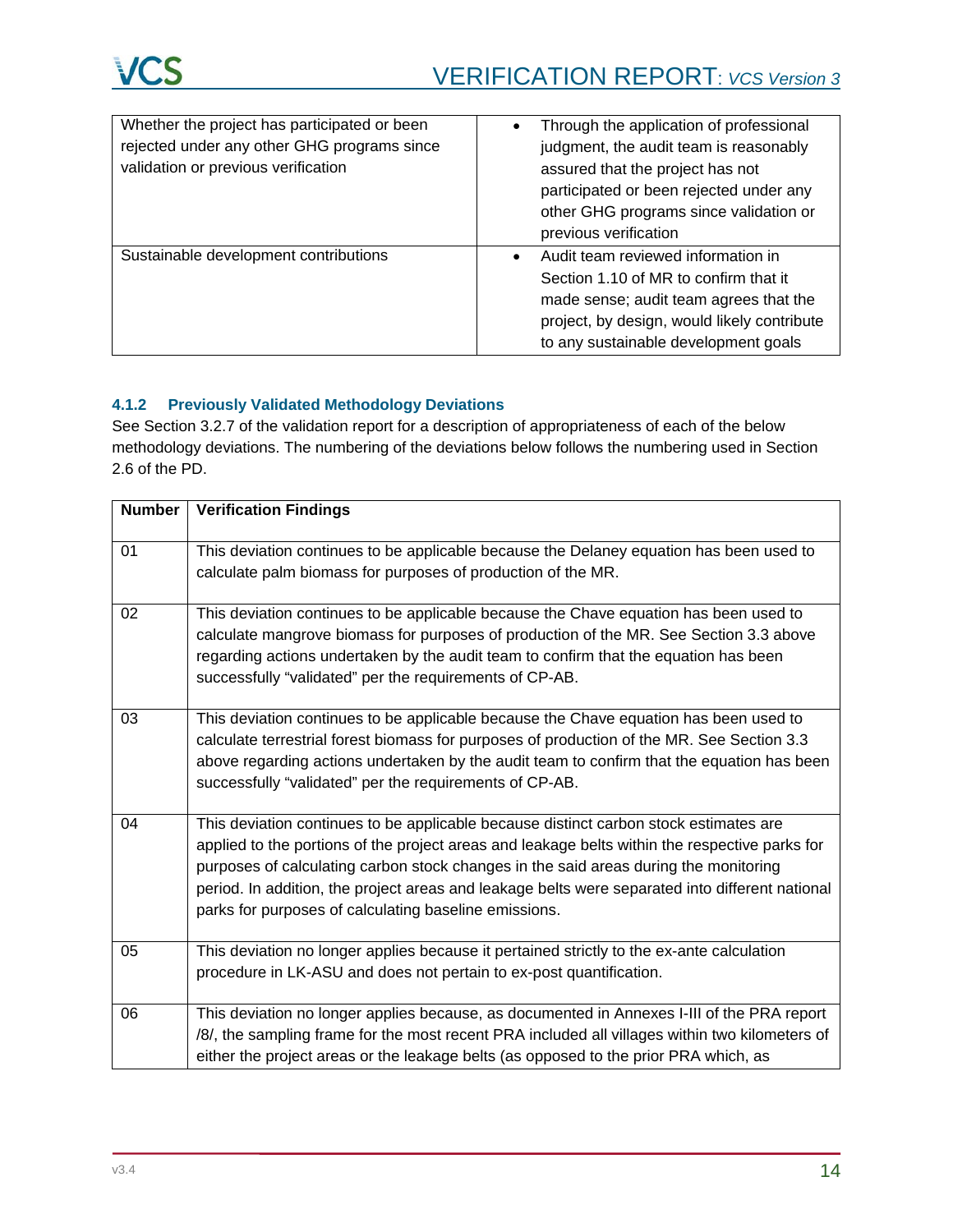| Whether the project has participated or been<br>rejected under any other GHG programs since<br>validation or previous verification | Through the application of professional<br>$\bullet$<br>judgment, the audit team is reasonably<br>assured that the project has not<br>participated or been rejected under any<br>other GHG programs since validation or<br>previous verification |  |
|------------------------------------------------------------------------------------------------------------------------------------|--------------------------------------------------------------------------------------------------------------------------------------------------------------------------------------------------------------------------------------------------|--|
| Sustainable development contributions                                                                                              | Audit team reviewed information in<br>$\bullet$<br>Section 1.10 of MR to confirm that it<br>made sense; audit team agrees that the<br>project, by design, would likely contribute<br>to any sustainable development goals                        |  |

# **4.1.2 Previously Validated Methodology Deviations**

See Section 3.2.7 of the validation report for a description of appropriateness of each of the below methodology deviations. The numbering of the deviations below follows the numbering used in Section 2.6 of the PD.

| <b>Number</b> | <b>Verification Findings</b>                                                                                                                                                                                                                                                                                                                                                                                                                |
|---------------|---------------------------------------------------------------------------------------------------------------------------------------------------------------------------------------------------------------------------------------------------------------------------------------------------------------------------------------------------------------------------------------------------------------------------------------------|
| 01            | This deviation continues to be applicable because the Delaney equation has been used to<br>calculate palm biomass for purposes of production of the MR.                                                                                                                                                                                                                                                                                     |
| 02            | This deviation continues to be applicable because the Chave equation has been used to<br>calculate mangrove biomass for purposes of production of the MR. See Section 3.3 above<br>regarding actions undertaken by the audit team to confirm that the equation has been<br>successfully "validated" per the requirements of CP-AB.                                                                                                          |
| 03            | This deviation continues to be applicable because the Chave equation has been used to<br>calculate terrestrial forest biomass for purposes of production of the MR. See Section 3.3<br>above regarding actions undertaken by the audit team to confirm that the equation has been<br>successfully "validated" per the requirements of CP-AB.                                                                                                |
| 04            | This deviation continues to be applicable because distinct carbon stock estimates are<br>applied to the portions of the project areas and leakage belts within the respective parks for<br>purposes of calculating carbon stock changes in the said areas during the monitoring<br>period. In addition, the project areas and leakage belts were separated into different national<br>parks for purposes of calculating baseline emissions. |
| 05            | This deviation no longer applies because it pertained strictly to the ex-ante calculation<br>procedure in LK-ASU and does not pertain to ex-post quantification.                                                                                                                                                                                                                                                                            |
| 06            | This deviation no longer applies because, as documented in Annexes I-III of the PRA report<br>/8/, the sampling frame for the most recent PRA included all villages within two kilometers of<br>either the project areas or the leakage belts (as opposed to the prior PRA which, as                                                                                                                                                        |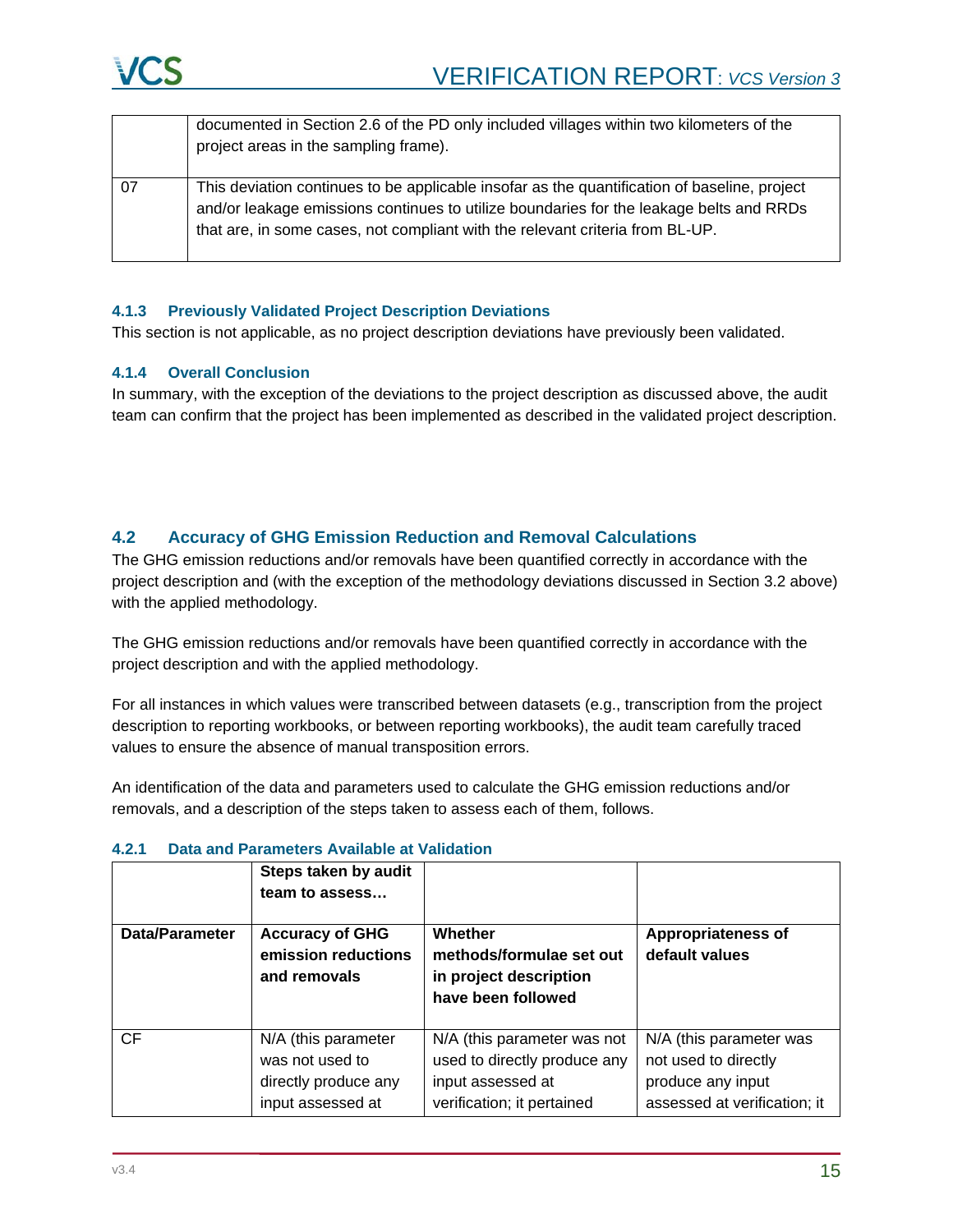

|    | documented in Section 2.6 of the PD only included villages within two kilometers of the<br>project areas in the sampling frame).                                                                                                                                         |
|----|--------------------------------------------------------------------------------------------------------------------------------------------------------------------------------------------------------------------------------------------------------------------------|
| 07 | This deviation continues to be applicable insofar as the quantification of baseline, project<br>and/or leakage emissions continues to utilize boundaries for the leakage belts and RRDs<br>that are, in some cases, not compliant with the relevant criteria from BL-UP. |

#### **4.1.3 Previously Validated Project Description Deviations**

This section is not applicable, as no project description deviations have previously been validated.

### **4.1.4 Overall Conclusion**

In summary, with the exception of the deviations to the project description as discussed above, the audit team can confirm that the project has been implemented as described in the validated project description.

### <span id="page-14-0"></span>**4.2 Accuracy of GHG Emission Reduction and Removal Calculations**

The GHG emission reductions and/or removals have been quantified correctly in accordance with the project description and (with the exception of the methodology deviations discussed in Section 3.2 above) with the applied methodology.

The GHG emission reductions and/or removals have been quantified correctly in accordance with the project description and with the applied methodology.

For all instances in which values were transcribed between datasets (e.g., transcription from the project description to reporting workbooks, or between reporting workbooks), the audit team carefully traced values to ensure the absence of manual transposition errors.

An identification of the data and parameters used to calculate the GHG emission reductions and/or removals, and a description of the steps taken to assess each of them, follows.

|                       | Steps taken by audit<br>team to assess                                              |                                                                                                                |                                                                                                      |
|-----------------------|-------------------------------------------------------------------------------------|----------------------------------------------------------------------------------------------------------------|------------------------------------------------------------------------------------------------------|
| <b>Data/Parameter</b> | <b>Accuracy of GHG</b><br>emission reductions<br>and removals                       | Whether<br>methods/formulae set out<br>in project description<br>have been followed                            | <b>Appropriateness of</b><br>default values                                                          |
| <b>CF</b>             | N/A (this parameter<br>was not used to<br>directly produce any<br>input assessed at | N/A (this parameter was not<br>used to directly produce any<br>input assessed at<br>verification; it pertained | N/A (this parameter was<br>not used to directly<br>produce any input<br>assessed at verification; it |

### **4.2.1 Data and Parameters Available at Validation**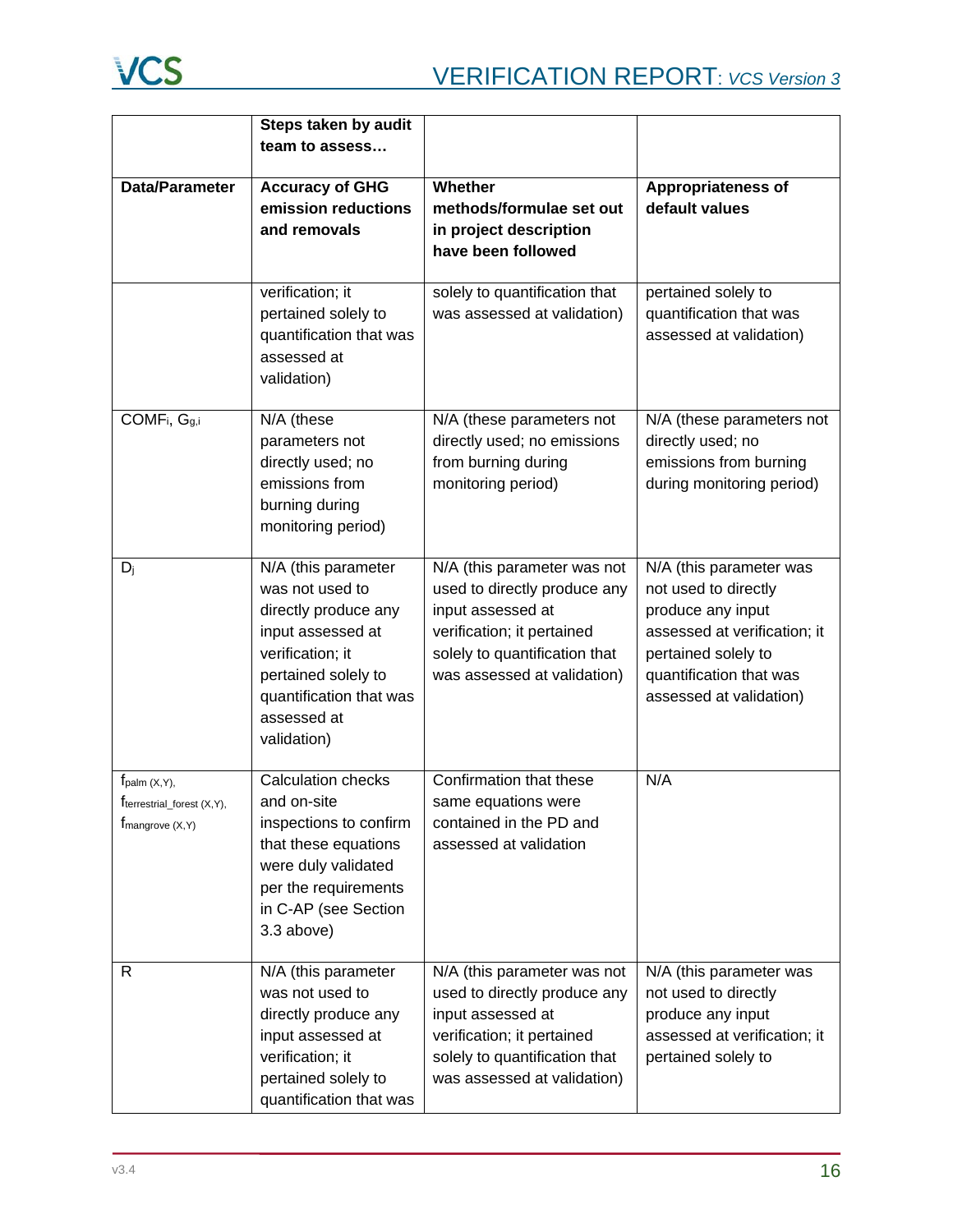

|                                                                          | Steps taken by audit                                                                                                                                                                    |                                                                                                                                                                                |                                                                                                                                                                                   |
|--------------------------------------------------------------------------|-----------------------------------------------------------------------------------------------------------------------------------------------------------------------------------------|--------------------------------------------------------------------------------------------------------------------------------------------------------------------------------|-----------------------------------------------------------------------------------------------------------------------------------------------------------------------------------|
|                                                                          | team to assess                                                                                                                                                                          |                                                                                                                                                                                |                                                                                                                                                                                   |
| Data/Parameter                                                           | <b>Accuracy of GHG</b><br>emission reductions<br>and removals                                                                                                                           | Whether<br>methods/formulae set out<br>in project description<br>have been followed                                                                                            | Appropriateness of<br>default values                                                                                                                                              |
|                                                                          | verification; it<br>pertained solely to<br>quantification that was<br>assessed at<br>validation)                                                                                        | solely to quantification that<br>was assessed at validation)                                                                                                                   | pertained solely to<br>quantification that was<br>assessed at validation)                                                                                                         |
| COMF <sub>i</sub> , G <sub>g,i</sub>                                     | N/A (these<br>parameters not<br>directly used; no<br>emissions from<br>burning during<br>monitoring period)                                                                             | N/A (these parameters not<br>directly used; no emissions<br>from burning during<br>monitoring period)                                                                          | N/A (these parameters not<br>directly used; no<br>emissions from burning<br>during monitoring period)                                                                             |
| $D_j$                                                                    | N/A (this parameter<br>was not used to<br>directly produce any<br>input assessed at<br>verification; it<br>pertained solely to<br>quantification that was<br>assessed at<br>validation) | N/A (this parameter was not<br>used to directly produce any<br>input assessed at<br>verification; it pertained<br>solely to quantification that<br>was assessed at validation) | N/A (this parameter was<br>not used to directly<br>produce any input<br>assessed at verification; it<br>pertained solely to<br>quantification that was<br>assessed at validation) |
| $f_{\text{palm}}(X,Y),$<br>Trerrestrial_forest (X,Y),<br>fmangrove (X,Y) | <b>Calculation checks</b><br>and on-site<br>inspections to confirm<br>that these equations<br>were duly validated<br>per the requirements<br>in C-AP (see Section<br>3.3 above)         | Confirmation that these<br>same equations were<br>contained in the PD and<br>assessed at validation                                                                            | N/A                                                                                                                                                                               |
| R                                                                        | N/A (this parameter<br>was not used to<br>directly produce any<br>input assessed at<br>verification; it<br>pertained solely to<br>quantification that was                               | N/A (this parameter was not<br>used to directly produce any<br>input assessed at<br>verification; it pertained<br>solely to quantification that<br>was assessed at validation) | N/A (this parameter was<br>not used to directly<br>produce any input<br>assessed at verification; it<br>pertained solely to                                                       |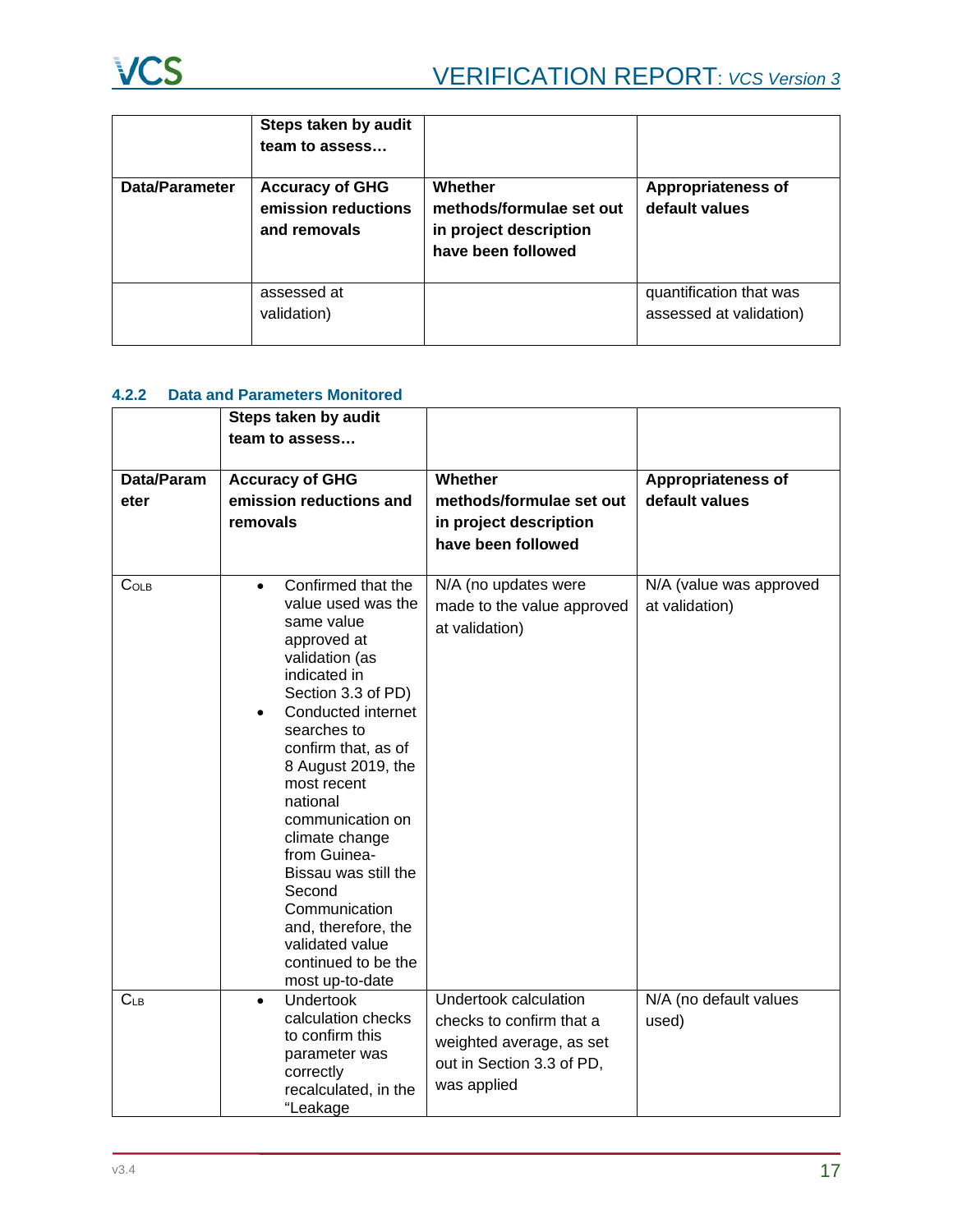

|                | Steps taken by audit<br>team to assess                        |                                                                                     |                                                    |
|----------------|---------------------------------------------------------------|-------------------------------------------------------------------------------------|----------------------------------------------------|
| Data/Parameter | <b>Accuracy of GHG</b><br>emission reductions<br>and removals | Whether<br>methods/formulae set out<br>in project description<br>have been followed | <b>Appropriateness of</b><br>default values        |
|                | assessed at<br>validation)                                    |                                                                                     | quantification that was<br>assessed at validation) |

# **4.2.2 Data and Parameters Monitored**

|                    | Steps taken by audit<br>team to assess                                                                                                                                                                                                                                                                                                                                                                                                               |                                                                                                                                  |                                             |
|--------------------|------------------------------------------------------------------------------------------------------------------------------------------------------------------------------------------------------------------------------------------------------------------------------------------------------------------------------------------------------------------------------------------------------------------------------------------------------|----------------------------------------------------------------------------------------------------------------------------------|---------------------------------------------|
| Data/Param<br>eter | <b>Accuracy of GHG</b><br>emission reductions and<br>removals                                                                                                                                                                                                                                                                                                                                                                                        | Whether<br>methods/formulae set out<br>in project description<br>have been followed                                              | <b>Appropriateness of</b><br>default values |
| C <sub>OLB</sub>   | Confirmed that the<br>$\bullet$<br>value used was the<br>same value<br>approved at<br>validation (as<br>indicated in<br>Section 3.3 of PD)<br>Conducted internet<br>searches to<br>confirm that, as of<br>8 August 2019, the<br>most recent<br>national<br>communication on<br>climate change<br>from Guinea-<br>Bissau was still the<br>Second<br>Communication<br>and, therefore, the<br>validated value<br>continued to be the<br>most up-to-date | N/A (no updates were<br>made to the value approved<br>at validation)                                                             | N/A (value was approved<br>at validation)   |
| $C_{LB}$           | <b>Undertook</b><br>$\bullet$<br>calculation checks<br>to confirm this<br>parameter was<br>correctly<br>recalculated, in the<br>"Leakage                                                                                                                                                                                                                                                                                                             | <b>Undertook calculation</b><br>checks to confirm that a<br>weighted average, as set<br>out in Section 3.3 of PD,<br>was applied | N/A (no default values<br>used)             |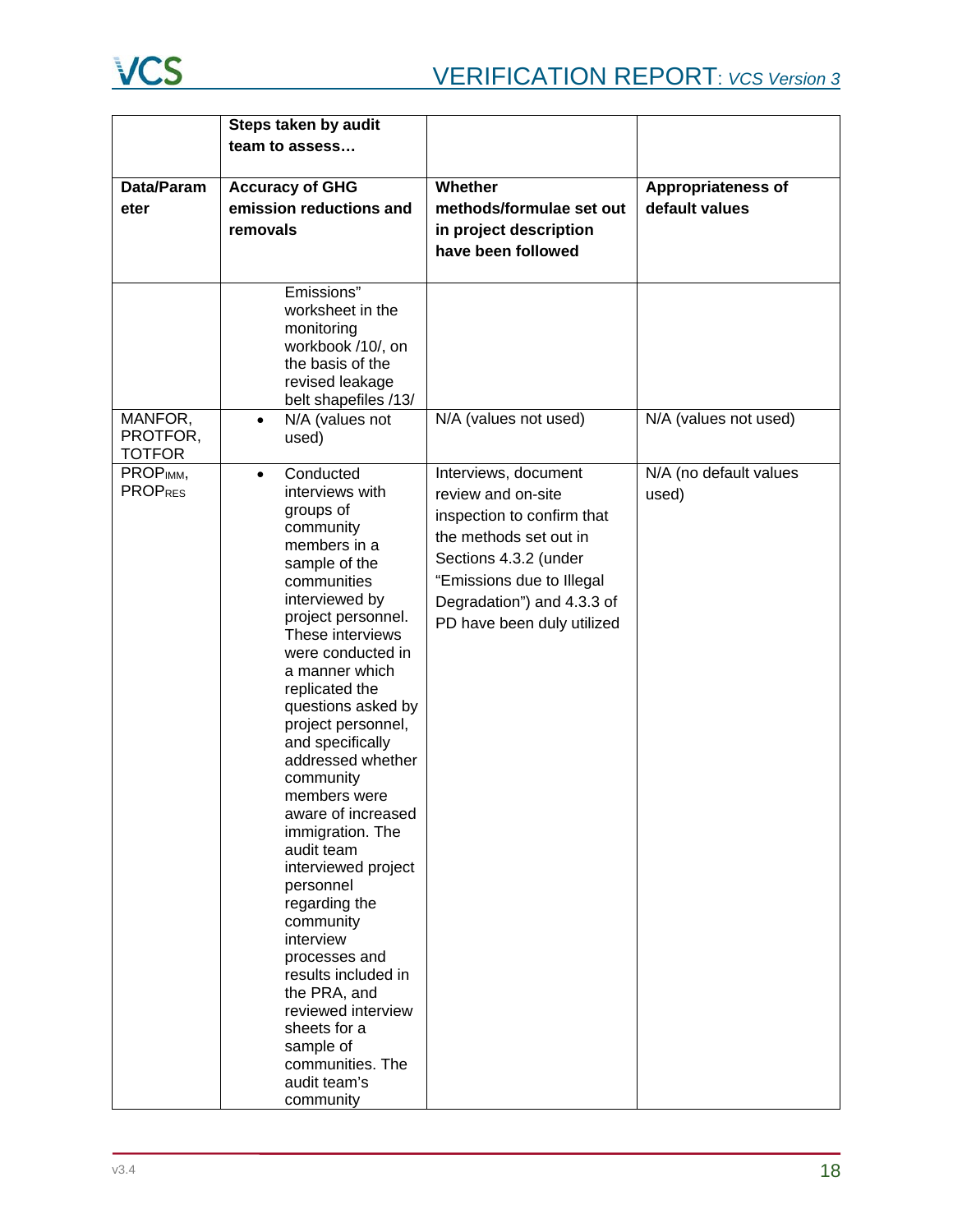

|                                      | Steps taken by audit                                                                                                                                                                                                                                                                                                                                                                                                                                                                                                                                                                                                                                          |                                                                                                                                                                                                                      |                                 |
|--------------------------------------|---------------------------------------------------------------------------------------------------------------------------------------------------------------------------------------------------------------------------------------------------------------------------------------------------------------------------------------------------------------------------------------------------------------------------------------------------------------------------------------------------------------------------------------------------------------------------------------------------------------------------------------------------------------|----------------------------------------------------------------------------------------------------------------------------------------------------------------------------------------------------------------------|---------------------------------|
|                                      | team to assess                                                                                                                                                                                                                                                                                                                                                                                                                                                                                                                                                                                                                                                |                                                                                                                                                                                                                      |                                 |
| Data/Param                           | <b>Accuracy of GHG</b>                                                                                                                                                                                                                                                                                                                                                                                                                                                                                                                                                                                                                                        | Whether                                                                                                                                                                                                              | Appropriateness of              |
| eter                                 | emission reductions and                                                                                                                                                                                                                                                                                                                                                                                                                                                                                                                                                                                                                                       | methods/formulae set out                                                                                                                                                                                             | default values                  |
|                                      | removals                                                                                                                                                                                                                                                                                                                                                                                                                                                                                                                                                                                                                                                      | in project description                                                                                                                                                                                               |                                 |
|                                      |                                                                                                                                                                                                                                                                                                                                                                                                                                                                                                                                                                                                                                                               | have been followed                                                                                                                                                                                                   |                                 |
|                                      |                                                                                                                                                                                                                                                                                                                                                                                                                                                                                                                                                                                                                                                               |                                                                                                                                                                                                                      |                                 |
|                                      | Emissions"<br>worksheet in the<br>monitoring<br>workbook /10/, on<br>the basis of the<br>revised leakage<br>belt shapefiles /13/                                                                                                                                                                                                                                                                                                                                                                                                                                                                                                                              |                                                                                                                                                                                                                      |                                 |
| MANFOR,<br>PROTFOR,<br><b>TOTFOR</b> | N/A (values not<br>$\bullet$<br>used)                                                                                                                                                                                                                                                                                                                                                                                                                                                                                                                                                                                                                         | N/A (values not used)                                                                                                                                                                                                | N/A (values not used)           |
| PROPIMM,<br><b>PROPRES</b>           | Conducted<br>$\bullet$<br>interviews with<br>groups of<br>community<br>members in a<br>sample of the<br>communities<br>interviewed by<br>project personnel.<br>These interviews<br>were conducted in<br>a manner which<br>replicated the<br>questions asked by<br>project personnel,<br>and specifically<br>addressed whether<br>community<br>members were<br>aware of increased<br>immigration. The<br>audit team<br>interviewed project<br>personnel<br>regarding the<br>community<br>interview<br>processes and<br>results included in<br>the PRA, and<br>reviewed interview<br>sheets for a<br>sample of<br>communities. The<br>audit team's<br>community | Interviews, document<br>review and on-site<br>inspection to confirm that<br>the methods set out in<br>Sections 4.3.2 (under<br>"Emissions due to Illegal<br>Degradation") and 4.3.3 of<br>PD have been duly utilized | N/A (no default values<br>used) |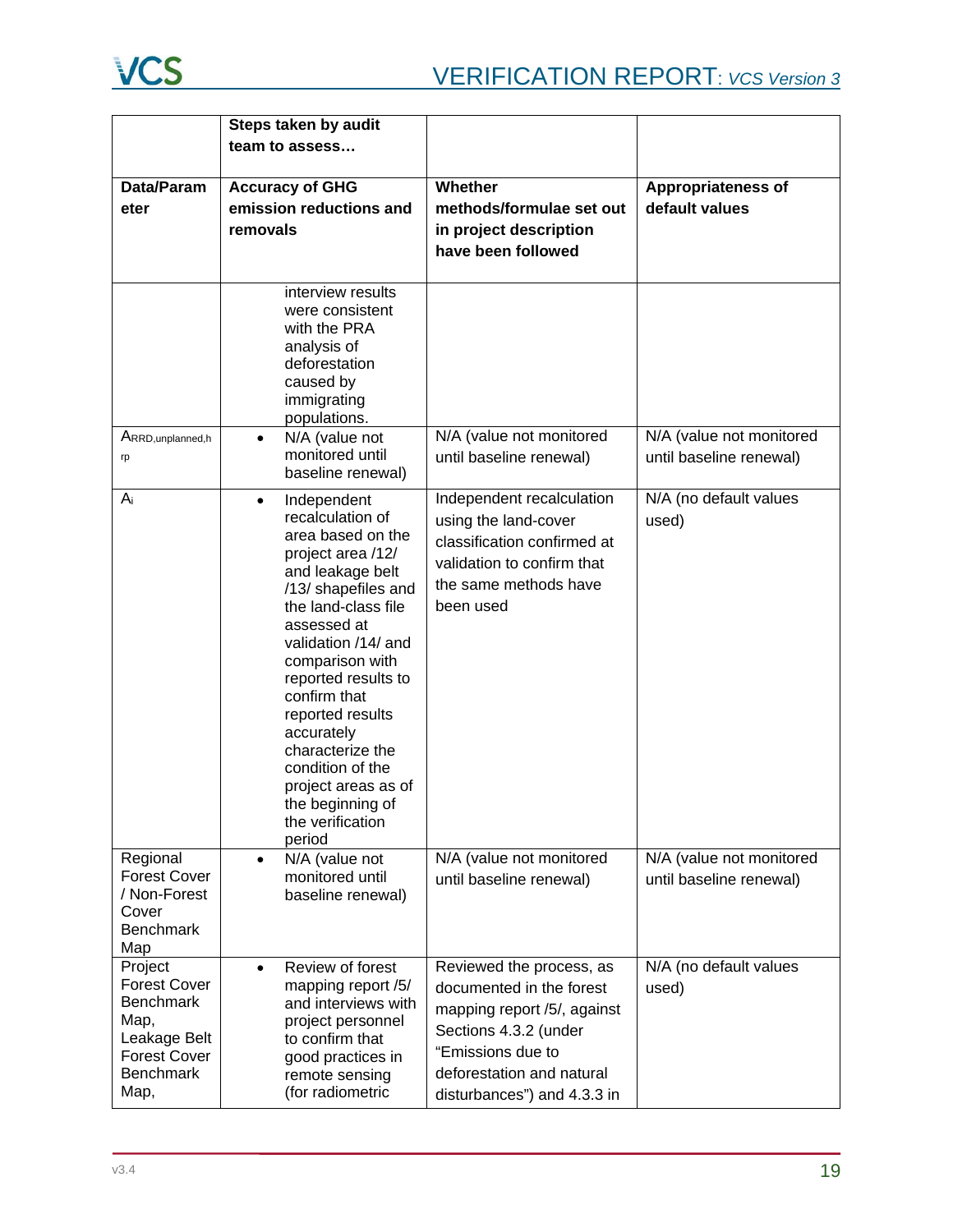

|                           | Steps taken by audit                           |                                                     |                           |
|---------------------------|------------------------------------------------|-----------------------------------------------------|---------------------------|
|                           | team to assess                                 |                                                     |                           |
|                           |                                                |                                                     |                           |
| Data/Param                | <b>Accuracy of GHG</b>                         | Whether                                             | <b>Appropriateness of</b> |
| eter                      | emission reductions and                        | methods/formulae set out                            | default values            |
|                           | removals                                       | in project description                              |                           |
|                           |                                                | have been followed                                  |                           |
|                           |                                                |                                                     |                           |
|                           | interview results<br>were consistent           |                                                     |                           |
|                           | with the PRA                                   |                                                     |                           |
|                           | analysis of<br>deforestation                   |                                                     |                           |
|                           | caused by                                      |                                                     |                           |
|                           | immigrating                                    |                                                     |                           |
|                           | populations.                                   |                                                     |                           |
| ARRD, unplanned, h        | N/A (value not<br>$\bullet$<br>monitored until | N/A (value not monitored<br>until baseline renewal) | N/A (value not monitored  |
| rp                        | baseline renewal)                              |                                                     | until baseline renewal)   |
| $A_i$                     | Independent<br>$\bullet$                       | Independent recalculation                           | N/A (no default values    |
|                           | recalculation of                               | using the land-cover                                | used)                     |
|                           | area based on the                              | classification confirmed at                         |                           |
|                           | project area /12/<br>and leakage belt          | validation to confirm that                          |                           |
|                           | /13/ shapefiles and                            | the same methods have                               |                           |
|                           | the land-class file                            | been used                                           |                           |
|                           | assessed at                                    |                                                     |                           |
|                           | validation /14/ and<br>comparison with         |                                                     |                           |
|                           | reported results to                            |                                                     |                           |
|                           | confirm that                                   |                                                     |                           |
|                           | reported results                               |                                                     |                           |
|                           | accurately<br>characterize the                 |                                                     |                           |
|                           | condition of the                               |                                                     |                           |
|                           | project areas as of                            |                                                     |                           |
|                           | the beginning of                               |                                                     |                           |
|                           | the verification                               |                                                     |                           |
| Regional                  | period<br>N/A (value not<br>$\bullet$          | N/A (value not monitored                            | N/A (value not monitored  |
| <b>Forest Cover</b>       | monitored until                                | until baseline renewal)                             | until baseline renewal)   |
| / Non-Forest              | baseline renewal)                              |                                                     |                           |
| Cover<br><b>Benchmark</b> |                                                |                                                     |                           |
| Map                       |                                                |                                                     |                           |
| Project                   | Review of forest<br>$\bullet$                  | Reviewed the process, as                            | N/A (no default values    |
| <b>Forest Cover</b>       | mapping report /5/                             | documented in the forest                            | used)                     |
| <b>Benchmark</b>          | and interviews with                            | mapping report /5/, against                         |                           |
| Map,<br>Leakage Belt      | project personnel<br>to confirm that           | Sections 4.3.2 (under                               |                           |
| <b>Forest Cover</b>       | good practices in                              | "Emissions due to                                   |                           |
| <b>Benchmark</b>          | remote sensing                                 | deforestation and natural                           |                           |
| Map,                      | (for radiometric                               | disturbances") and 4.3.3 in                         |                           |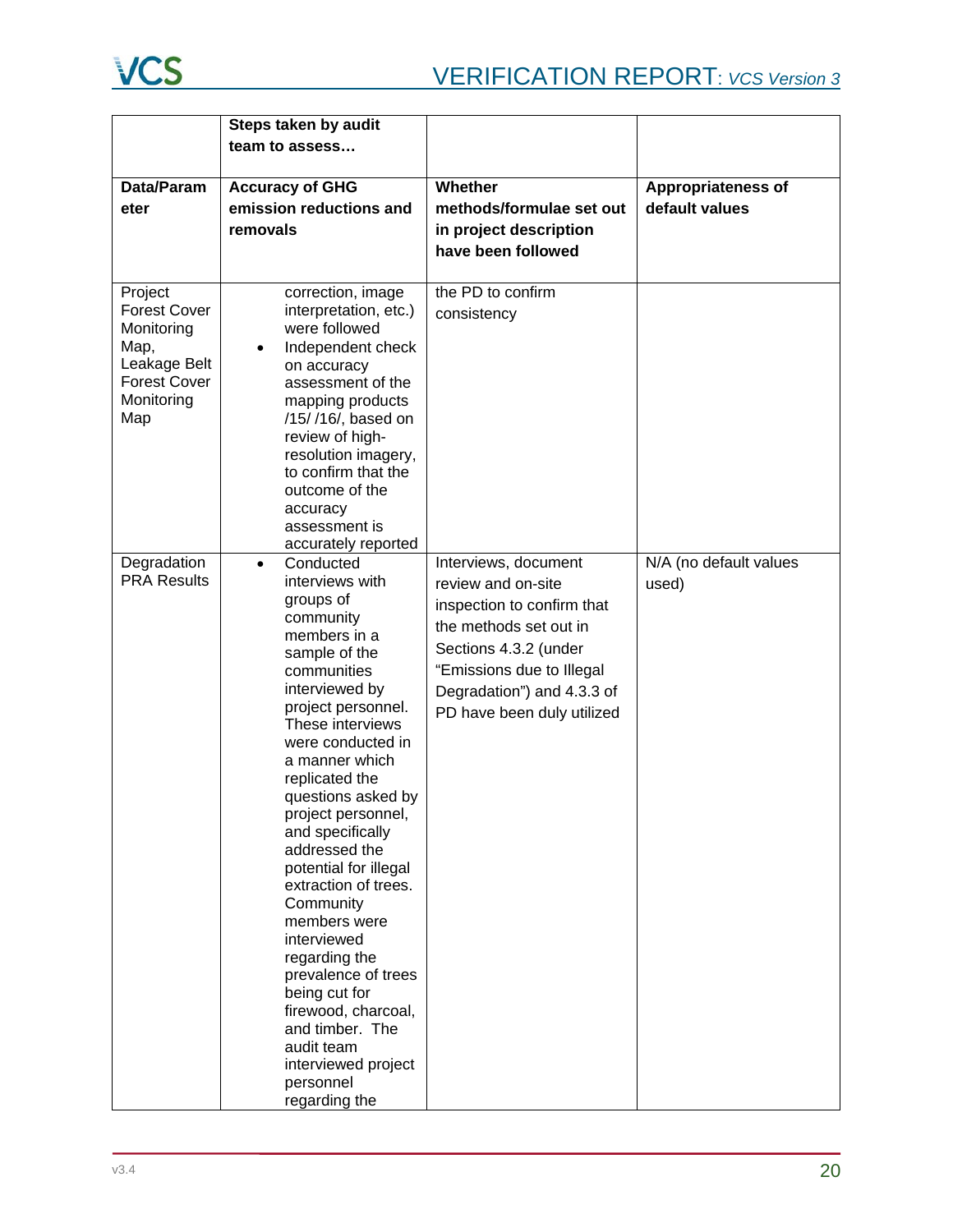|                                                                                                                  | Steps taken by audit                                                                                                                                                                                                                                                                                                                                                                                                                                                                                                                                                                         |                                                                                                                                                                                                                      |                                 |
|------------------------------------------------------------------------------------------------------------------|----------------------------------------------------------------------------------------------------------------------------------------------------------------------------------------------------------------------------------------------------------------------------------------------------------------------------------------------------------------------------------------------------------------------------------------------------------------------------------------------------------------------------------------------------------------------------------------------|----------------------------------------------------------------------------------------------------------------------------------------------------------------------------------------------------------------------|---------------------------------|
|                                                                                                                  | team to assess                                                                                                                                                                                                                                                                                                                                                                                                                                                                                                                                                                               |                                                                                                                                                                                                                      |                                 |
|                                                                                                                  |                                                                                                                                                                                                                                                                                                                                                                                                                                                                                                                                                                                              |                                                                                                                                                                                                                      |                                 |
| Data/Param                                                                                                       | <b>Accuracy of GHG</b>                                                                                                                                                                                                                                                                                                                                                                                                                                                                                                                                                                       | Whether                                                                                                                                                                                                              | <b>Appropriateness of</b>       |
| eter                                                                                                             | emission reductions and                                                                                                                                                                                                                                                                                                                                                                                                                                                                                                                                                                      | methods/formulae set out                                                                                                                                                                                             | default values                  |
|                                                                                                                  | removals                                                                                                                                                                                                                                                                                                                                                                                                                                                                                                                                                                                     | in project description                                                                                                                                                                                               |                                 |
|                                                                                                                  |                                                                                                                                                                                                                                                                                                                                                                                                                                                                                                                                                                                              | have been followed                                                                                                                                                                                                   |                                 |
|                                                                                                                  |                                                                                                                                                                                                                                                                                                                                                                                                                                                                                                                                                                                              |                                                                                                                                                                                                                      |                                 |
| Project<br><b>Forest Cover</b><br>Monitoring<br>Map,<br>Leakage Belt<br><b>Forest Cover</b><br>Monitoring<br>Map | correction, image<br>interpretation, etc.)<br>were followed<br>Independent check<br>$\bullet$<br>on accuracy<br>assessment of the<br>mapping products<br>/15//16/, based on<br>review of high-<br>resolution imagery,<br>to confirm that the                                                                                                                                                                                                                                                                                                                                                 | the PD to confirm<br>consistency                                                                                                                                                                                     |                                 |
|                                                                                                                  | outcome of the<br>accuracy<br>assessment is<br>accurately reported                                                                                                                                                                                                                                                                                                                                                                                                                                                                                                                           |                                                                                                                                                                                                                      |                                 |
| Degradation<br><b>PRA Results</b>                                                                                | Conducted<br>$\bullet$<br>interviews with<br>groups of<br>community<br>members in a<br>sample of the<br>communities<br>interviewed by<br>project personnel.<br>These interviews<br>were conducted in<br>a manner which<br>replicated the<br>questions asked by<br>project personnel,<br>and specifically<br>addressed the<br>potential for illegal<br>extraction of trees.<br>Community<br>members were<br>interviewed<br>regarding the<br>prevalence of trees<br>being cut for<br>firewood, charcoal,<br>and timber. The<br>audit team<br>interviewed project<br>personnel<br>regarding the | Interviews, document<br>review and on-site<br>inspection to confirm that<br>the methods set out in<br>Sections 4.3.2 (under<br>"Emissions due to Illegal<br>Degradation") and 4.3.3 of<br>PD have been duly utilized | N/A (no default values<br>used) |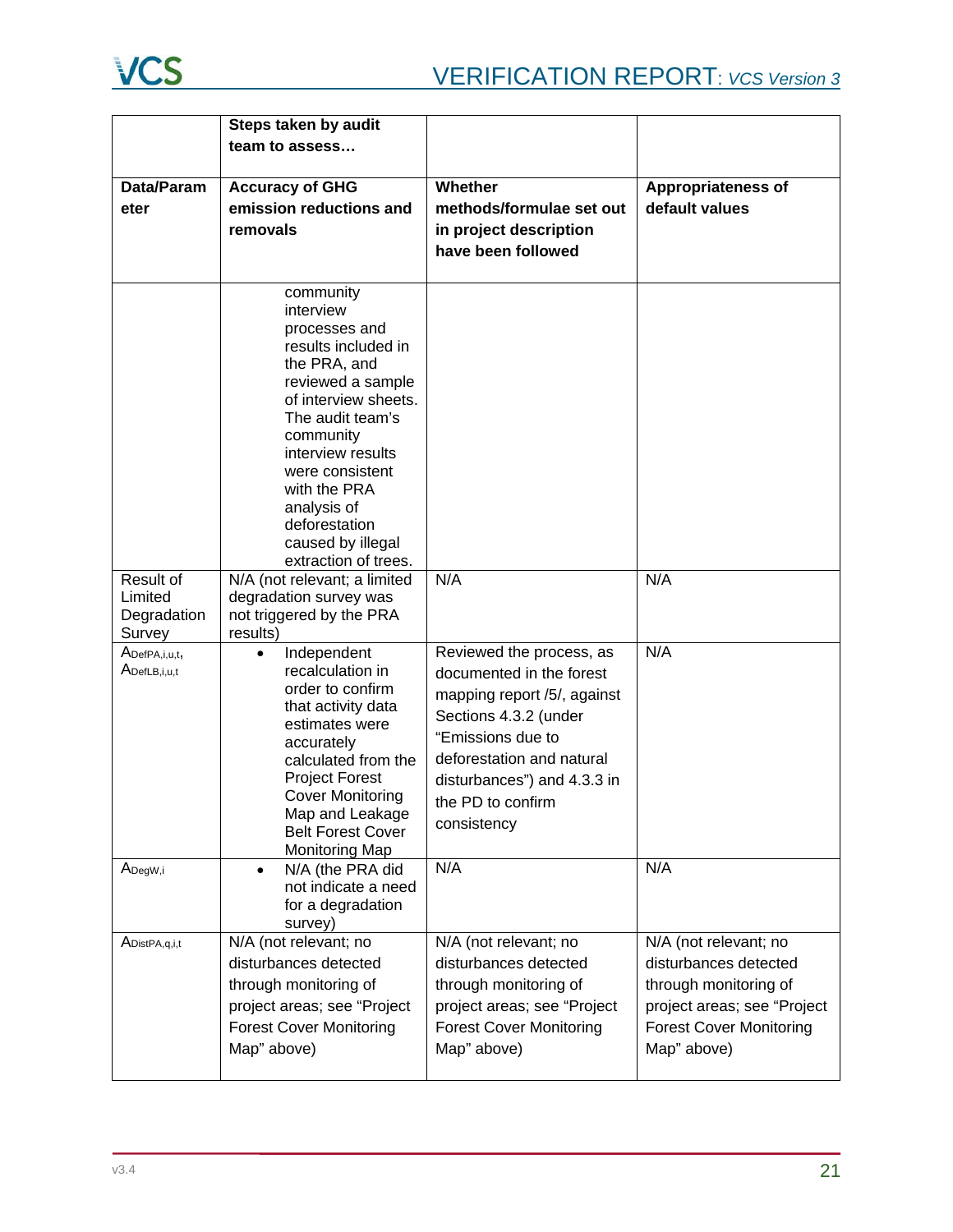

|                                               | Steps taken by audit                                                                                                                                                                                                                                                      |                                                                                                                                                                                                                                   |                                                                                                                                                         |
|-----------------------------------------------|---------------------------------------------------------------------------------------------------------------------------------------------------------------------------------------------------------------------------------------------------------------------------|-----------------------------------------------------------------------------------------------------------------------------------------------------------------------------------------------------------------------------------|---------------------------------------------------------------------------------------------------------------------------------------------------------|
|                                               | team to assess                                                                                                                                                                                                                                                            |                                                                                                                                                                                                                                   |                                                                                                                                                         |
|                                               |                                                                                                                                                                                                                                                                           |                                                                                                                                                                                                                                   |                                                                                                                                                         |
| Data/Param                                    | <b>Accuracy of GHG</b>                                                                                                                                                                                                                                                    | Whether                                                                                                                                                                                                                           | <b>Appropriateness of</b>                                                                                                                               |
| eter                                          | emission reductions and                                                                                                                                                                                                                                                   | methods/formulae set out                                                                                                                                                                                                          | default values                                                                                                                                          |
|                                               | removals                                                                                                                                                                                                                                                                  | in project description                                                                                                                                                                                                            |                                                                                                                                                         |
|                                               |                                                                                                                                                                                                                                                                           | have been followed                                                                                                                                                                                                                |                                                                                                                                                         |
|                                               | community<br>interview<br>processes and<br>results included in<br>the PRA, and<br>reviewed a sample<br>of interview sheets.<br>The audit team's<br>community<br>interview results<br>were consistent<br>with the PRA<br>analysis of<br>deforestation                      |                                                                                                                                                                                                                                   |                                                                                                                                                         |
|                                               | caused by illegal<br>extraction of trees.                                                                                                                                                                                                                                 |                                                                                                                                                                                                                                   |                                                                                                                                                         |
| Result of<br>Limited<br>Degradation<br>Survey | N/A (not relevant; a limited<br>degradation survey was<br>not triggered by the PRA<br>results)                                                                                                                                                                            | N/A                                                                                                                                                                                                                               | N/A                                                                                                                                                     |
| ADefPA,i,u,t,<br>ADefLB,i,u,t                 | Independent<br>$\bullet$<br>recalculation in<br>order to confirm<br>that activity data<br>estimates were<br>accurately<br>calculated from the<br><b>Project Forest</b><br><b>Cover Monitoring</b><br>Map and Leakage<br><b>Belt Forest Cover</b><br><b>Monitoring Map</b> | Reviewed the process, as<br>documented in the forest<br>mapping report /5/, against<br>Sections 4.3.2 (under<br>"Emissions due to<br>deforestation and natural<br>disturbances") and 4.3.3 in<br>the PD to confirm<br>consistency | N/A                                                                                                                                                     |
| A <sub>DegW,i</sub>                           | N/A (the PRA did<br>$\bullet$<br>not indicate a need<br>for a degradation<br>survey)                                                                                                                                                                                      | N/A                                                                                                                                                                                                                               | N/A                                                                                                                                                     |
| A <sub>DistPA,q,i,t</sub>                     | N/A (not relevant; no<br>disturbances detected<br>through monitoring of<br>project areas; see "Project<br><b>Forest Cover Monitoring</b><br>Map" above)                                                                                                                   | N/A (not relevant; no<br>disturbances detected<br>through monitoring of<br>project areas; see "Project<br><b>Forest Cover Monitoring</b><br>Map" above)                                                                           | N/A (not relevant; no<br>disturbances detected<br>through monitoring of<br>project areas; see "Project<br><b>Forest Cover Monitoring</b><br>Map" above) |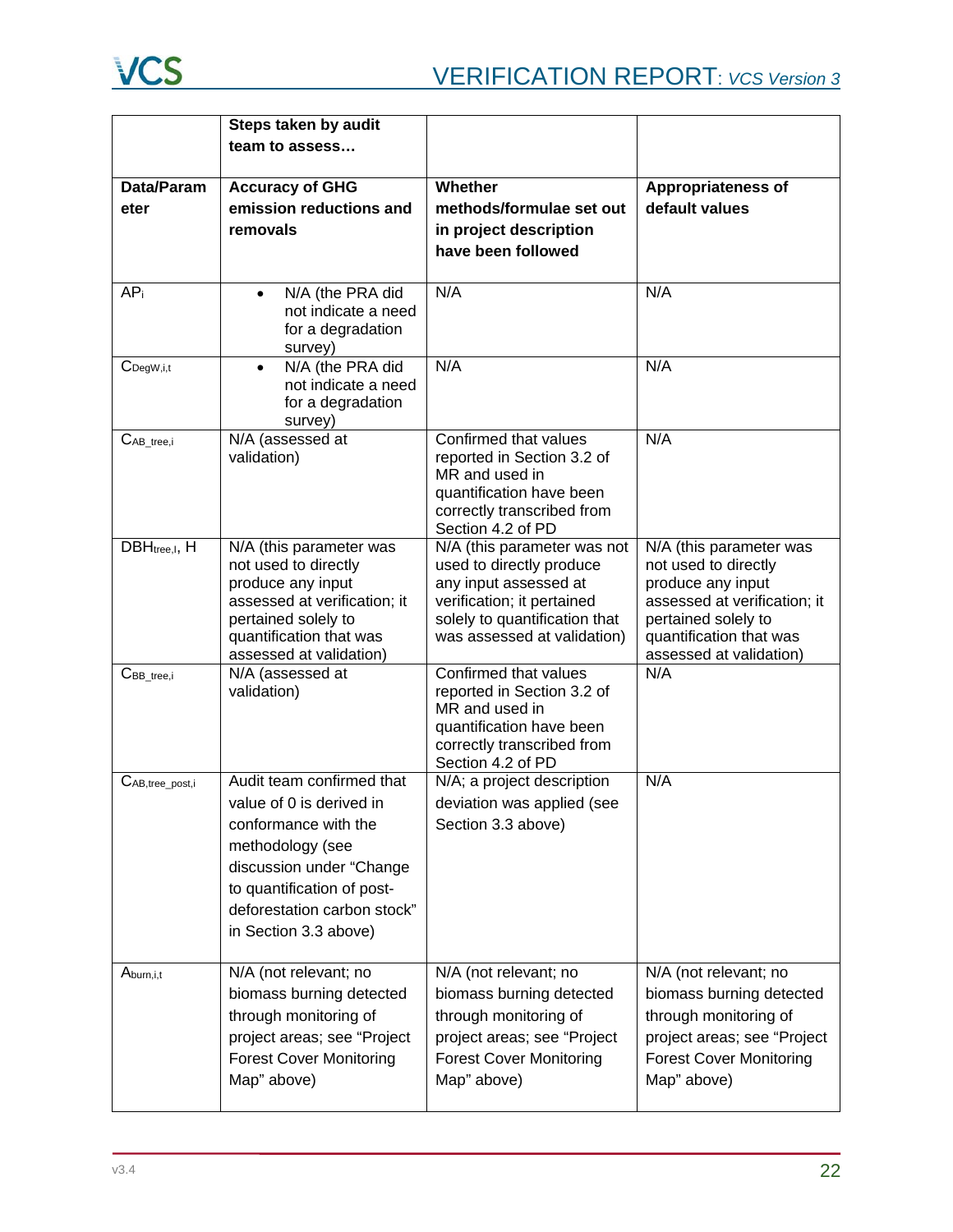

|                         | Steps taken by audit                                                                                                                                                                                                |                                                                                                                                                                                |                                                                                                                                                                                   |
|-------------------------|---------------------------------------------------------------------------------------------------------------------------------------------------------------------------------------------------------------------|--------------------------------------------------------------------------------------------------------------------------------------------------------------------------------|-----------------------------------------------------------------------------------------------------------------------------------------------------------------------------------|
|                         | team to assess                                                                                                                                                                                                      |                                                                                                                                                                                |                                                                                                                                                                                   |
| Data/Param<br>eter      | <b>Accuracy of GHG</b><br>emission reductions and                                                                                                                                                                   | Whether<br>methods/formulae set out                                                                                                                                            | <b>Appropriateness of</b><br>default values                                                                                                                                       |
|                         | removals                                                                                                                                                                                                            | in project description<br>have been followed                                                                                                                                   |                                                                                                                                                                                   |
| AP <sub>i</sub>         | N/A (the PRA did<br>$\bullet$<br>not indicate a need<br>for a degradation<br>survey)                                                                                                                                | N/A                                                                                                                                                                            | N/A                                                                                                                                                                               |
| $C_{\text{DegW}, i, t}$ | N/A (the PRA did<br>$\bullet$<br>not indicate a need<br>for a degradation<br>survey)                                                                                                                                | N/A                                                                                                                                                                            | N/A                                                                                                                                                                               |
| $C_{AB\_tree,i}$        | N/A (assessed at<br>validation)                                                                                                                                                                                     | Confirmed that values<br>reported in Section 3.2 of<br>MR and used in<br>quantification have been<br>correctly transcribed from<br>Section 4.2 of PD                           | N/A                                                                                                                                                                               |
| DBHtree, I, H           | N/A (this parameter was<br>not used to directly<br>produce any input<br>assessed at verification; it<br>pertained solely to<br>quantification that was<br>assessed at validation)                                   | N/A (this parameter was not<br>used to directly produce<br>any input assessed at<br>verification; it pertained<br>solely to quantification that<br>was assessed at validation) | N/A (this parameter was<br>not used to directly<br>produce any input<br>assessed at verification; it<br>pertained solely to<br>quantification that was<br>assessed at validation) |
| $CBB_{tree,i}$          | N/A (assessed at<br>validation)                                                                                                                                                                                     | Confirmed that values<br>reported in Section 3.2 of<br>MR and used in<br>quantification have been<br>correctly transcribed from<br>Section 4.2 of PD                           | N/A                                                                                                                                                                               |
| CAB, tree_post, i       | Audit team confirmed that<br>value of 0 is derived in<br>conformance with the<br>methodology (see<br>discussion under "Change<br>to quantification of post-<br>deforestation carbon stock"<br>in Section 3.3 above) | N/A; a project description<br>deviation was applied (see<br>Section 3.3 above)                                                                                                 | N/A                                                                                                                                                                               |
| Aburn, i, t             | N/A (not relevant; no<br>biomass burning detected<br>through monitoring of<br>project areas; see "Project<br><b>Forest Cover Monitoring</b><br>Map" above)                                                          | N/A (not relevant; no<br>biomass burning detected<br>through monitoring of<br>project areas; see "Project<br><b>Forest Cover Monitoring</b><br>Map" above)                     | N/A (not relevant; no<br>biomass burning detected<br>through monitoring of<br>project areas; see "Project<br><b>Forest Cover Monitoring</b><br>Map" above)                        |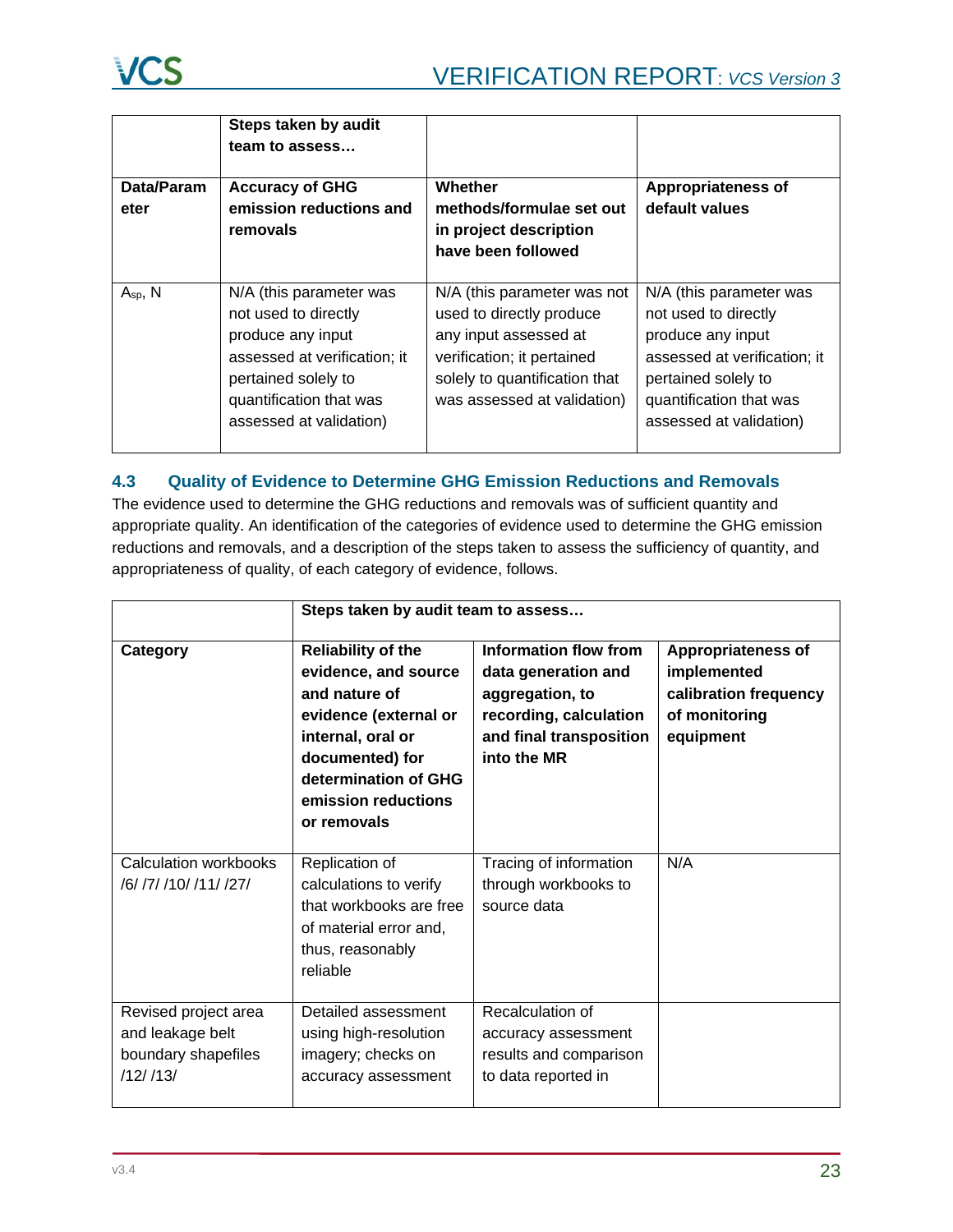|                    | Steps taken by audit<br>team to assess                                                                                                                                            |                                                                                                                                                                                |                                                                                                                                                                                   |
|--------------------|-----------------------------------------------------------------------------------------------------------------------------------------------------------------------------------|--------------------------------------------------------------------------------------------------------------------------------------------------------------------------------|-----------------------------------------------------------------------------------------------------------------------------------------------------------------------------------|
| Data/Param<br>eter | <b>Accuracy of GHG</b><br>emission reductions and<br>removals                                                                                                                     | Whether<br>methods/formulae set out<br>in project description<br>have been followed                                                                                            | <b>Appropriateness of</b><br>default values                                                                                                                                       |
| $A_{sp}$ , N       | N/A (this parameter was<br>not used to directly<br>produce any input<br>assessed at verification; it<br>pertained solely to<br>quantification that was<br>assessed at validation) | N/A (this parameter was not<br>used to directly produce<br>any input assessed at<br>verification; it pertained<br>solely to quantification that<br>was assessed at validation) | N/A (this parameter was<br>not used to directly<br>produce any input<br>assessed at verification; it<br>pertained solely to<br>quantification that was<br>assessed at validation) |

# <span id="page-22-0"></span>**4.3 Quality of Evidence to Determine GHG Emission Reductions and Removals**

The evidence used to determine the GHG reductions and removals was of sufficient quantity and appropriate quality. An identification of the categories of evidence used to determine the GHG emission reductions and removals, and a description of the steps taken to assess the sufficiency of quantity, and appropriateness of quality, of each category of evidence, follows.

|                                                                             | Steps taken by audit team to assess                                                                                                                                                               |                                                                                                                                     |                                                                                                 |
|-----------------------------------------------------------------------------|---------------------------------------------------------------------------------------------------------------------------------------------------------------------------------------------------|-------------------------------------------------------------------------------------------------------------------------------------|-------------------------------------------------------------------------------------------------|
| Category                                                                    | <b>Reliability of the</b><br>evidence, and source<br>and nature of<br>evidence (external or<br>internal, oral or<br>documented) for<br>determination of GHG<br>emission reductions<br>or removals | Information flow from<br>data generation and<br>aggregation, to<br>recording, calculation<br>and final transposition<br>into the MR | <b>Appropriateness of</b><br>implemented<br>calibration frequency<br>of monitoring<br>equipment |
| Calculation workbooks<br>/6/ /7/ /10/ /11/ /27/                             | Replication of<br>calculations to verify<br>that workbooks are free<br>of material error and,<br>thus, reasonably<br>reliable                                                                     | Tracing of information<br>through workbooks to<br>source data                                                                       | N/A                                                                                             |
| Revised project area<br>and leakage belt<br>boundary shapefiles<br>/12//13/ | Detailed assessment<br>using high-resolution<br>imagery; checks on<br>accuracy assessment                                                                                                         | Recalculation of<br>accuracy assessment<br>results and comparison<br>to data reported in                                            |                                                                                                 |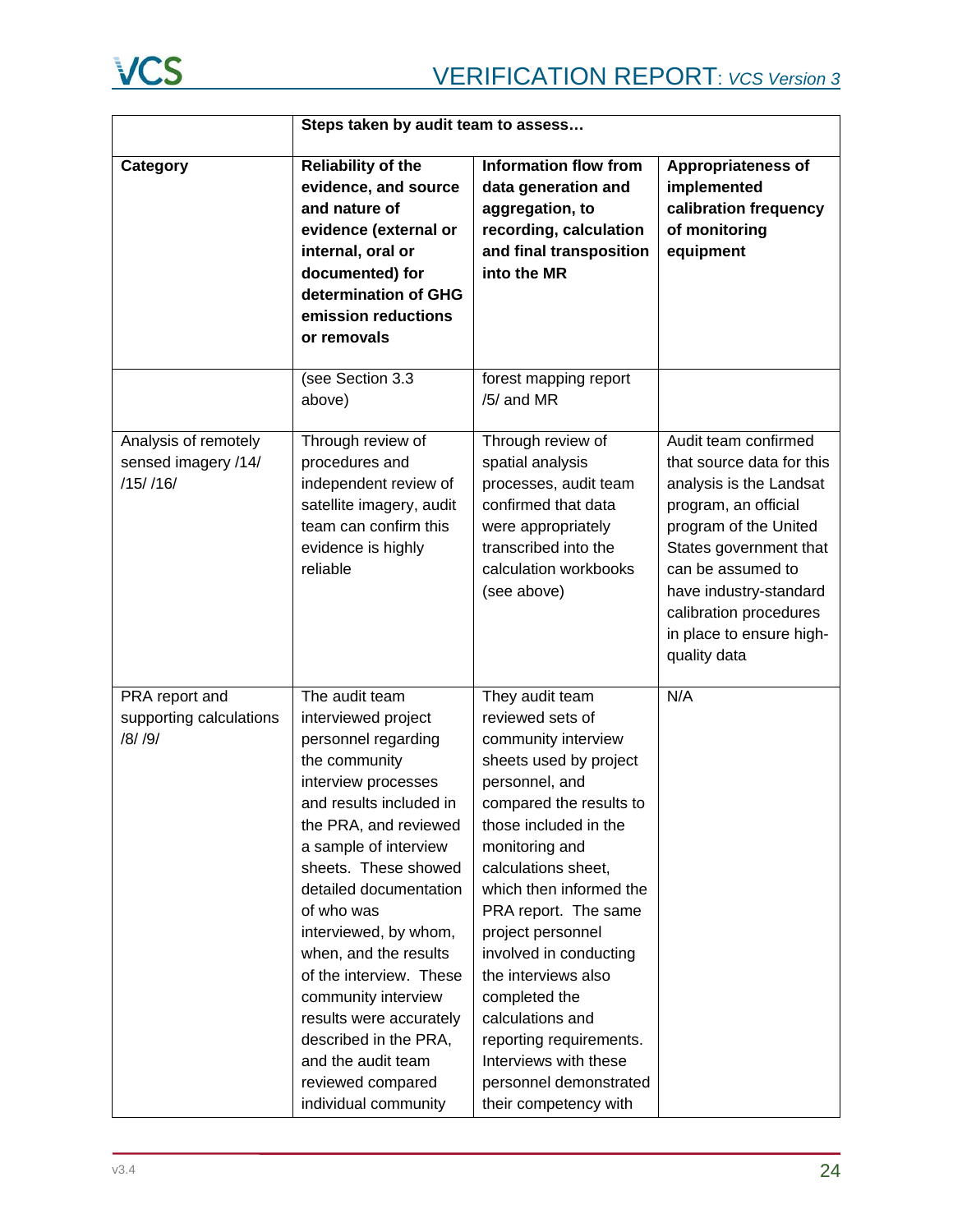

|                                                            | Steps taken by audit team to assess                                                                                                                                                                                                                                                                                                                                                                                                                                          |                                                                                                                                                                                                                                                                                                                                                                                                                                                                          |                                                                                                                                                                                                                                                                              |
|------------------------------------------------------------|------------------------------------------------------------------------------------------------------------------------------------------------------------------------------------------------------------------------------------------------------------------------------------------------------------------------------------------------------------------------------------------------------------------------------------------------------------------------------|--------------------------------------------------------------------------------------------------------------------------------------------------------------------------------------------------------------------------------------------------------------------------------------------------------------------------------------------------------------------------------------------------------------------------------------------------------------------------|------------------------------------------------------------------------------------------------------------------------------------------------------------------------------------------------------------------------------------------------------------------------------|
| Category                                                   | <b>Reliability of the</b><br>evidence, and source<br>and nature of<br>evidence (external or<br>internal, oral or<br>documented) for<br>determination of GHG<br>emission reductions<br>or removals                                                                                                                                                                                                                                                                            | <b>Information flow from</b><br>data generation and<br>aggregation, to<br>recording, calculation<br>and final transposition<br>into the MR                                                                                                                                                                                                                                                                                                                               | <b>Appropriateness of</b><br>implemented<br>calibration frequency<br>of monitoring<br>equipment                                                                                                                                                                              |
|                                                            | (see Section 3.3<br>above)                                                                                                                                                                                                                                                                                                                                                                                                                                                   | forest mapping report<br>/5/ and MR                                                                                                                                                                                                                                                                                                                                                                                                                                      |                                                                                                                                                                                                                                                                              |
| Analysis of remotely<br>sensed imagery /14/<br>$/15/$ /16/ | Through review of<br>procedures and<br>independent review of<br>satellite imagery, audit<br>team can confirm this<br>evidence is highly<br>reliable                                                                                                                                                                                                                                                                                                                          | Through review of<br>spatial analysis<br>processes, audit team<br>confirmed that data<br>were appropriately<br>transcribed into the<br>calculation workbooks<br>(see above)                                                                                                                                                                                                                                                                                              | Audit team confirmed<br>that source data for this<br>analysis is the Landsat<br>program, an official<br>program of the United<br>States government that<br>can be assumed to<br>have industry-standard<br>calibration procedures<br>in place to ensure high-<br>quality data |
| PRA report and<br>supporting calculations<br>/8/ /9/       | The audit team<br>interviewed project<br>personnel regarding<br>the community<br>interview processes<br>and results included in<br>the PRA, and reviewed<br>a sample of interview<br>sheets. These showed<br>detailed documentation<br>of who was<br>interviewed, by whom,<br>when, and the results<br>of the interview. These<br>community interview<br>results were accurately<br>described in the PRA,<br>and the audit team<br>reviewed compared<br>individual community | They audit team<br>reviewed sets of<br>community interview<br>sheets used by project<br>personnel, and<br>compared the results to<br>those included in the<br>monitoring and<br>calculations sheet,<br>which then informed the<br>PRA report. The same<br>project personnel<br>involved in conducting<br>the interviews also<br>completed the<br>calculations and<br>reporting requirements.<br>Interviews with these<br>personnel demonstrated<br>their competency with | N/A                                                                                                                                                                                                                                                                          |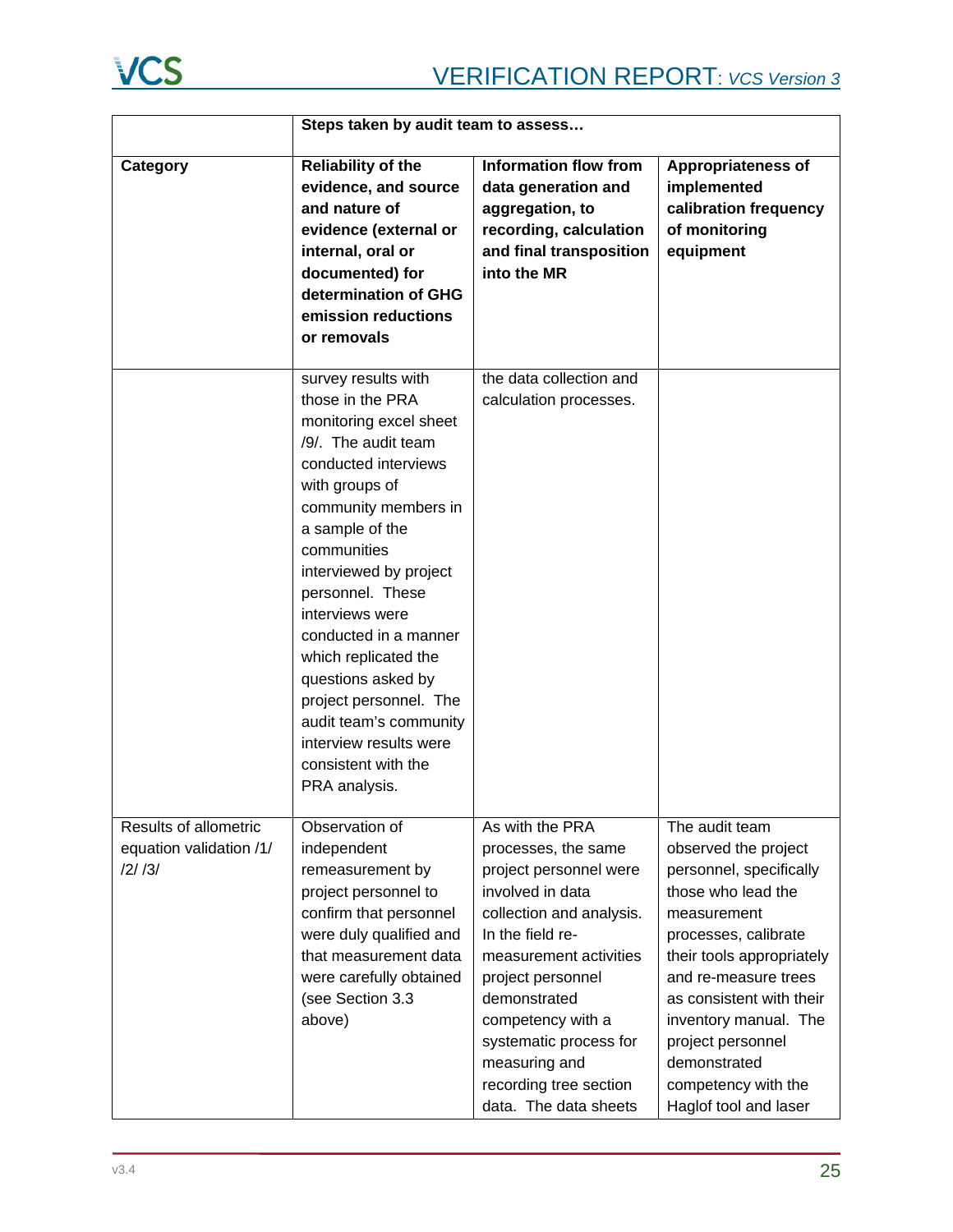

|                                                           | Steps taken by audit team to assess                                                                                                                                                                                                                                                                                                                                                                                                                        |                                                                                                                                                                                                                                                                                                                        |                                                                                                                                                                                                                                                                                                                               |
|-----------------------------------------------------------|------------------------------------------------------------------------------------------------------------------------------------------------------------------------------------------------------------------------------------------------------------------------------------------------------------------------------------------------------------------------------------------------------------------------------------------------------------|------------------------------------------------------------------------------------------------------------------------------------------------------------------------------------------------------------------------------------------------------------------------------------------------------------------------|-------------------------------------------------------------------------------------------------------------------------------------------------------------------------------------------------------------------------------------------------------------------------------------------------------------------------------|
| Category                                                  | Reliability of the<br>evidence, and source<br>and nature of<br>evidence (external or<br>internal, oral or<br>documented) for<br>determination of GHG<br>emission reductions<br>or removals                                                                                                                                                                                                                                                                 | <b>Information flow from</b><br>data generation and<br>aggregation, to<br>recording, calculation<br>and final transposition<br>into the MR                                                                                                                                                                             | Appropriateness of<br>implemented<br>calibration frequency<br>of monitoring<br>equipment                                                                                                                                                                                                                                      |
|                                                           | survey results with<br>those in the PRA<br>monitoring excel sheet<br>/9/. The audit team<br>conducted interviews<br>with groups of<br>community members in<br>a sample of the<br>communities<br>interviewed by project<br>personnel. These<br>interviews were<br>conducted in a manner<br>which replicated the<br>questions asked by<br>project personnel. The<br>audit team's community<br>interview results were<br>consistent with the<br>PRA analysis. | the data collection and<br>calculation processes.                                                                                                                                                                                                                                                                      |                                                                                                                                                                                                                                                                                                                               |
| Results of allometric<br>equation validation /1/<br>/2/3/ | Observation of<br>independent<br>remeasurement by<br>project personnel to<br>confirm that personnel<br>were duly qualified and<br>that measurement data<br>were carefully obtained<br>(see Section 3.3<br>above)                                                                                                                                                                                                                                           | As with the PRA<br>processes, the same<br>project personnel were<br>involved in data<br>collection and analysis.<br>In the field re-<br>measurement activities<br>project personnel<br>demonstrated<br>competency with a<br>systematic process for<br>measuring and<br>recording tree section<br>data. The data sheets | The audit team<br>observed the project<br>personnel, specifically<br>those who lead the<br>measurement<br>processes, calibrate<br>their tools appropriately<br>and re-measure trees<br>as consistent with their<br>inventory manual. The<br>project personnel<br>demonstrated<br>competency with the<br>Haglof tool and laser |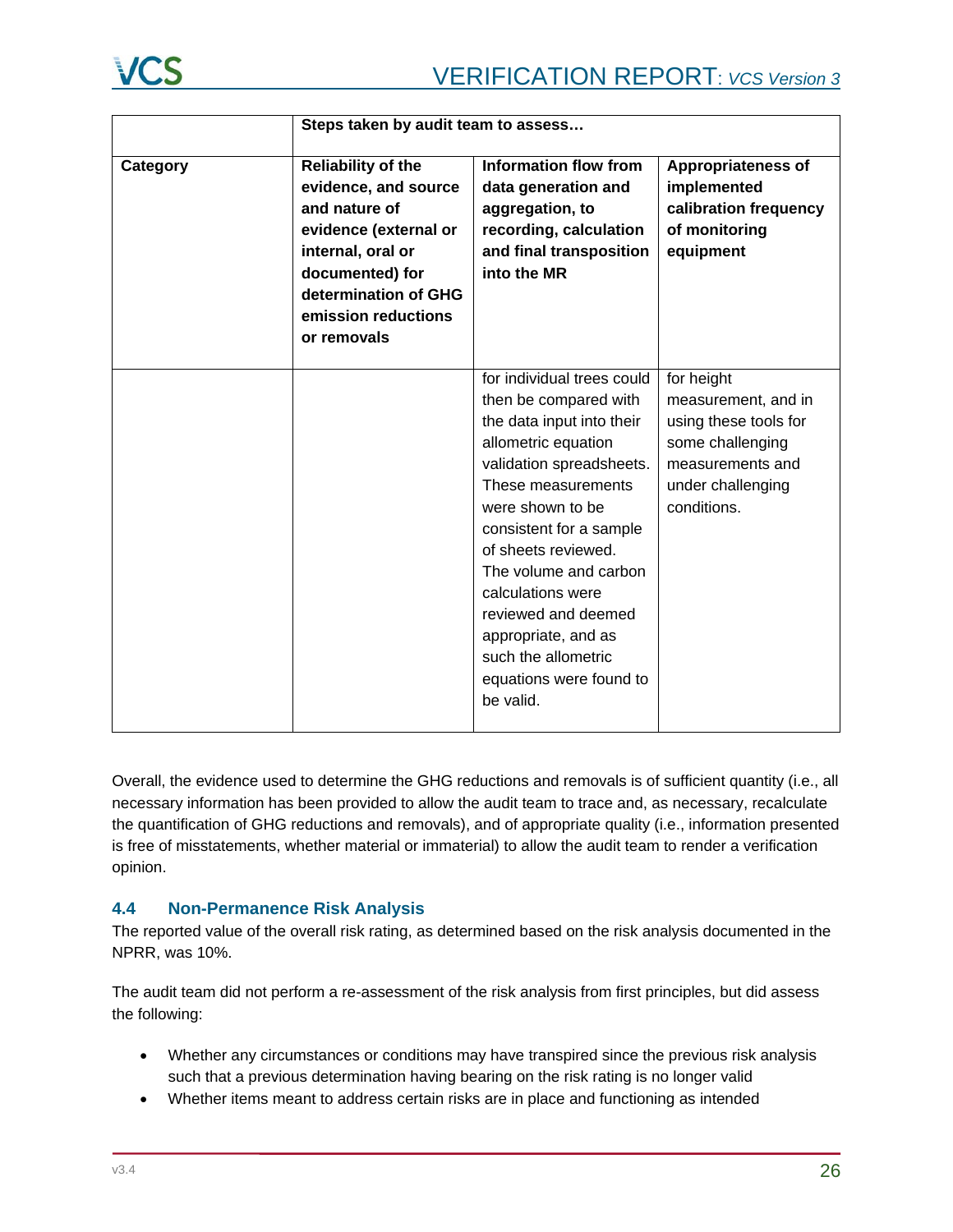

|          | Steps taken by audit team to assess                                                                                                                                                               |                                                                                                                                                                                                                                                                                                                                                                                            |                                                                                                                                        |
|----------|---------------------------------------------------------------------------------------------------------------------------------------------------------------------------------------------------|--------------------------------------------------------------------------------------------------------------------------------------------------------------------------------------------------------------------------------------------------------------------------------------------------------------------------------------------------------------------------------------------|----------------------------------------------------------------------------------------------------------------------------------------|
| Category | <b>Reliability of the</b><br>evidence, and source<br>and nature of<br>evidence (external or<br>internal, oral or<br>documented) for<br>determination of GHG<br>emission reductions<br>or removals | Information flow from<br>data generation and<br>aggregation, to<br>recording, calculation<br>and final transposition<br>into the MR                                                                                                                                                                                                                                                        | <b>Appropriateness of</b><br>implemented<br>calibration frequency<br>of monitoring<br>equipment                                        |
|          |                                                                                                                                                                                                   | for individual trees could<br>then be compared with<br>the data input into their<br>allometric equation<br>validation spreadsheets.<br>These measurements<br>were shown to be<br>consistent for a sample<br>of sheets reviewed.<br>The volume and carbon<br>calculations were<br>reviewed and deemed<br>appropriate, and as<br>such the allometric<br>equations were found to<br>be valid. | for height<br>measurement, and in<br>using these tools for<br>some challenging<br>measurements and<br>under challenging<br>conditions. |

Overall, the evidence used to determine the GHG reductions and removals is of sufficient quantity (i.e., all necessary information has been provided to allow the audit team to trace and, as necessary, recalculate the quantification of GHG reductions and removals), and of appropriate quality (i.e., information presented is free of misstatements, whether material or immaterial) to allow the audit team to render a verification opinion.

# <span id="page-25-0"></span>**4.4 Non-Permanence Risk Analysis**

The reported value of the overall risk rating, as determined based on the risk analysis documented in the NPRR, was 10%.

The audit team did not perform a re-assessment of the risk analysis from first principles, but did assess the following:

- Whether any circumstances or conditions may have transpired since the previous risk analysis such that a previous determination having bearing on the risk rating is no longer valid
- Whether items meant to address certain risks are in place and functioning as intended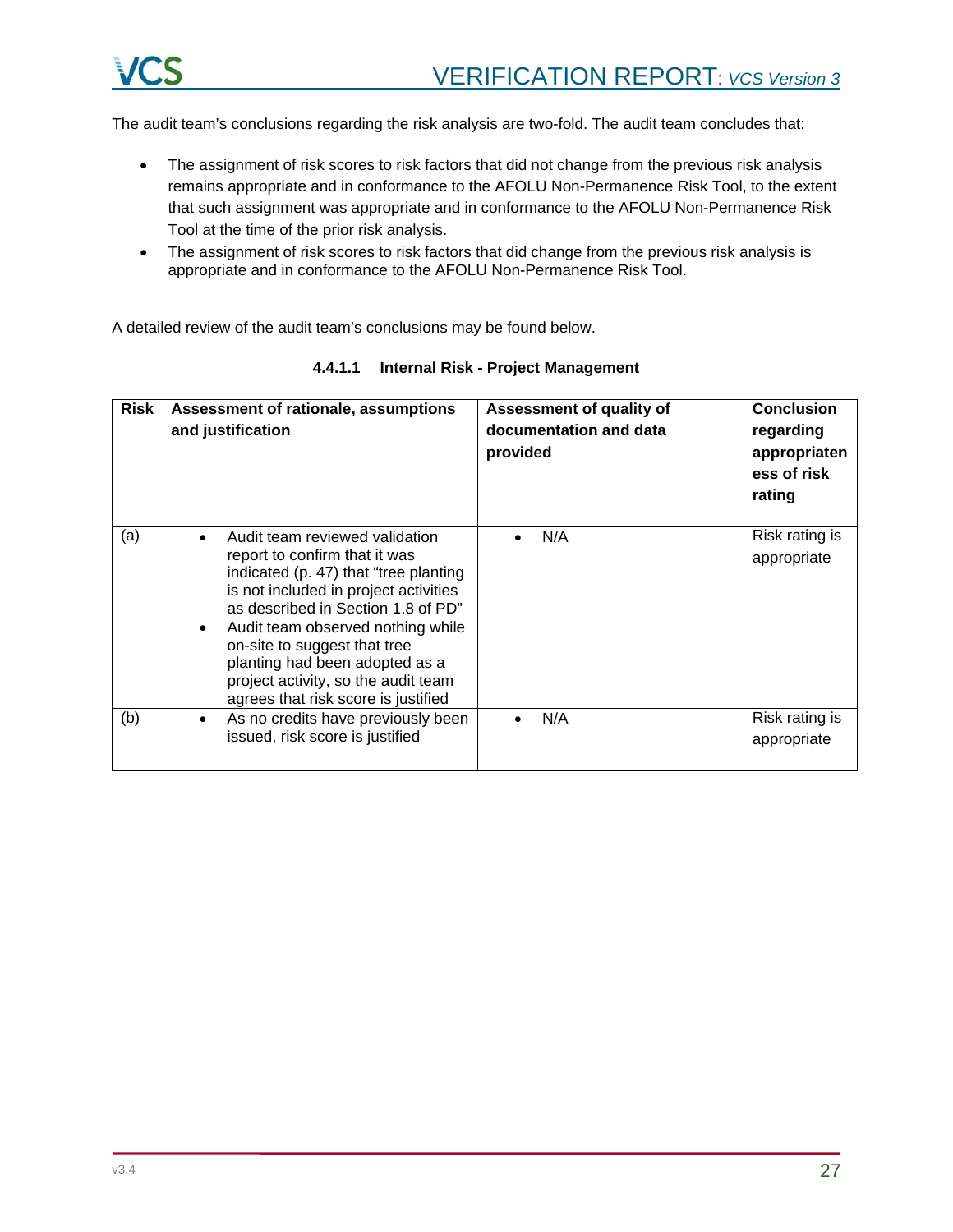

The audit team's conclusions regarding the risk analysis are two-fold. The audit team concludes that:

- The assignment of risk scores to risk factors that did not change from the previous risk analysis remains appropriate and in conformance to the AFOLU Non-Permanence Risk Tool, to the extent that such assignment was appropriate and in conformance to the AFOLU Non-Permanence Risk Tool at the time of the prior risk analysis.
- The assignment of risk scores to risk factors that did change from the previous risk analysis is appropriate and in conformance to the AFOLU Non-Permanence Risk Tool.

A detailed review of the audit team's conclusions may be found below.

| <b>Risk</b> | Assessment of rationale, assumptions<br>and justification                                                                                                                                                                                                                                                                                                                                 | Assessment of quality of<br>documentation and data<br>provided | <b>Conclusion</b><br>regarding<br>appropriaten<br>ess of risk<br>rating |
|-------------|-------------------------------------------------------------------------------------------------------------------------------------------------------------------------------------------------------------------------------------------------------------------------------------------------------------------------------------------------------------------------------------------|----------------------------------------------------------------|-------------------------------------------------------------------------|
| (a)         | Audit team reviewed validation<br>report to confirm that it was<br>indicated (p. 47) that "tree planting<br>is not included in project activities<br>as described in Section 1.8 of PD"<br>Audit team observed nothing while<br>$\bullet$<br>on-site to suggest that tree<br>planting had been adopted as a<br>project activity, so the audit team<br>agrees that risk score is justified | N/A                                                            | Risk rating is<br>appropriate                                           |
| (b)         | As no credits have previously been<br>$\bullet$<br>issued, risk score is justified                                                                                                                                                                                                                                                                                                        | N/A                                                            | Risk rating is<br>appropriate                                           |

**4.4.1.1 Internal Risk - Project Management**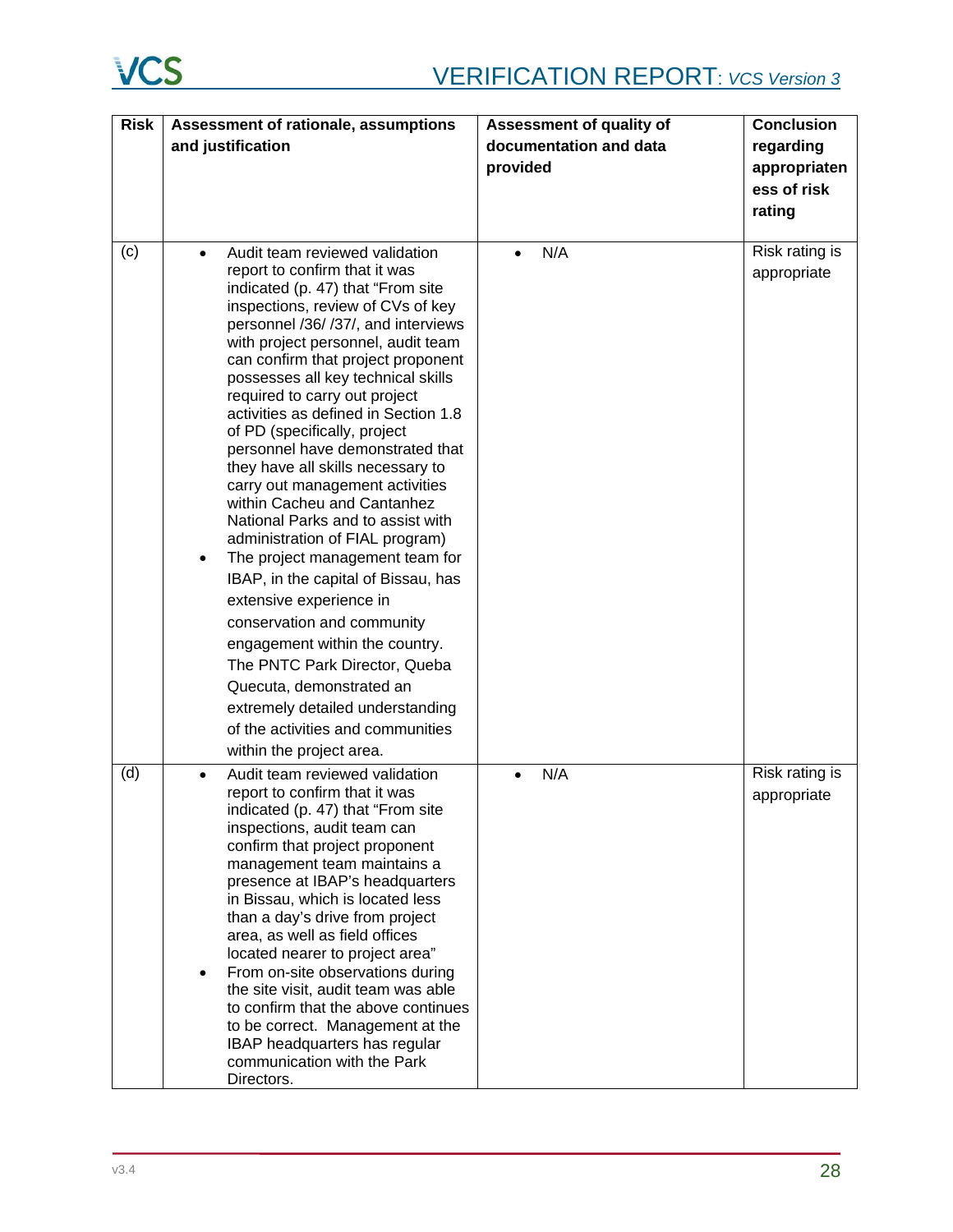# **VCS**

| <b>Risk</b> | Assessment of rationale, assumptions                                                                                                                                                                                                                                                                                                                                                                                                                                                                                                                                                                                                                                                                                                                                           | Assessment of quality of | <b>Conclusion</b>             |
|-------------|--------------------------------------------------------------------------------------------------------------------------------------------------------------------------------------------------------------------------------------------------------------------------------------------------------------------------------------------------------------------------------------------------------------------------------------------------------------------------------------------------------------------------------------------------------------------------------------------------------------------------------------------------------------------------------------------------------------------------------------------------------------------------------|--------------------------|-------------------------------|
|             | and justification                                                                                                                                                                                                                                                                                                                                                                                                                                                                                                                                                                                                                                                                                                                                                              | documentation and data   | regarding                     |
|             |                                                                                                                                                                                                                                                                                                                                                                                                                                                                                                                                                                                                                                                                                                                                                                                | provided                 | appropriaten                  |
|             |                                                                                                                                                                                                                                                                                                                                                                                                                                                                                                                                                                                                                                                                                                                                                                                |                          | ess of risk                   |
|             |                                                                                                                                                                                                                                                                                                                                                                                                                                                                                                                                                                                                                                                                                                                                                                                |                          | rating                        |
|             |                                                                                                                                                                                                                                                                                                                                                                                                                                                                                                                                                                                                                                                                                                                                                                                |                          |                               |
| (c)         | Audit team reviewed validation<br>report to confirm that it was<br>indicated (p. 47) that "From site<br>inspections, review of CVs of key<br>personnel /36/ /37/, and interviews<br>with project personnel, audit team<br>can confirm that project proponent<br>possesses all key technical skills<br>required to carry out project<br>activities as defined in Section 1.8<br>of PD (specifically, project<br>personnel have demonstrated that<br>they have all skills necessary to<br>carry out management activities<br>within Cacheu and Cantanhez<br>National Parks and to assist with<br>administration of FIAL program)<br>The project management team for<br>$\bullet$<br>IBAP, in the capital of Bissau, has<br>extensive experience in<br>conservation and community | N/A                      | Risk rating is<br>appropriate |
|             | engagement within the country.<br>The PNTC Park Director, Queba<br>Quecuta, demonstrated an<br>extremely detailed understanding<br>of the activities and communities<br>within the project area.                                                                                                                                                                                                                                                                                                                                                                                                                                                                                                                                                                               |                          |                               |
| (d)         | Audit team reviewed validation<br>report to confirm that it was<br>indicated (p. 47) that "From site<br>inspections, audit team can<br>confirm that project proponent<br>management team maintains a<br>presence at IBAP's headquarters<br>in Bissau, which is located less<br>than a day's drive from project<br>area, as well as field offices<br>located nearer to project area"<br>From on-site observations during<br>$\bullet$<br>the site visit, audit team was able<br>to confirm that the above continues<br>to be correct. Management at the<br><b>IBAP</b> headquarters has regular<br>communication with the Park<br>Directors.                                                                                                                                    | N/A                      | Risk rating is<br>appropriate |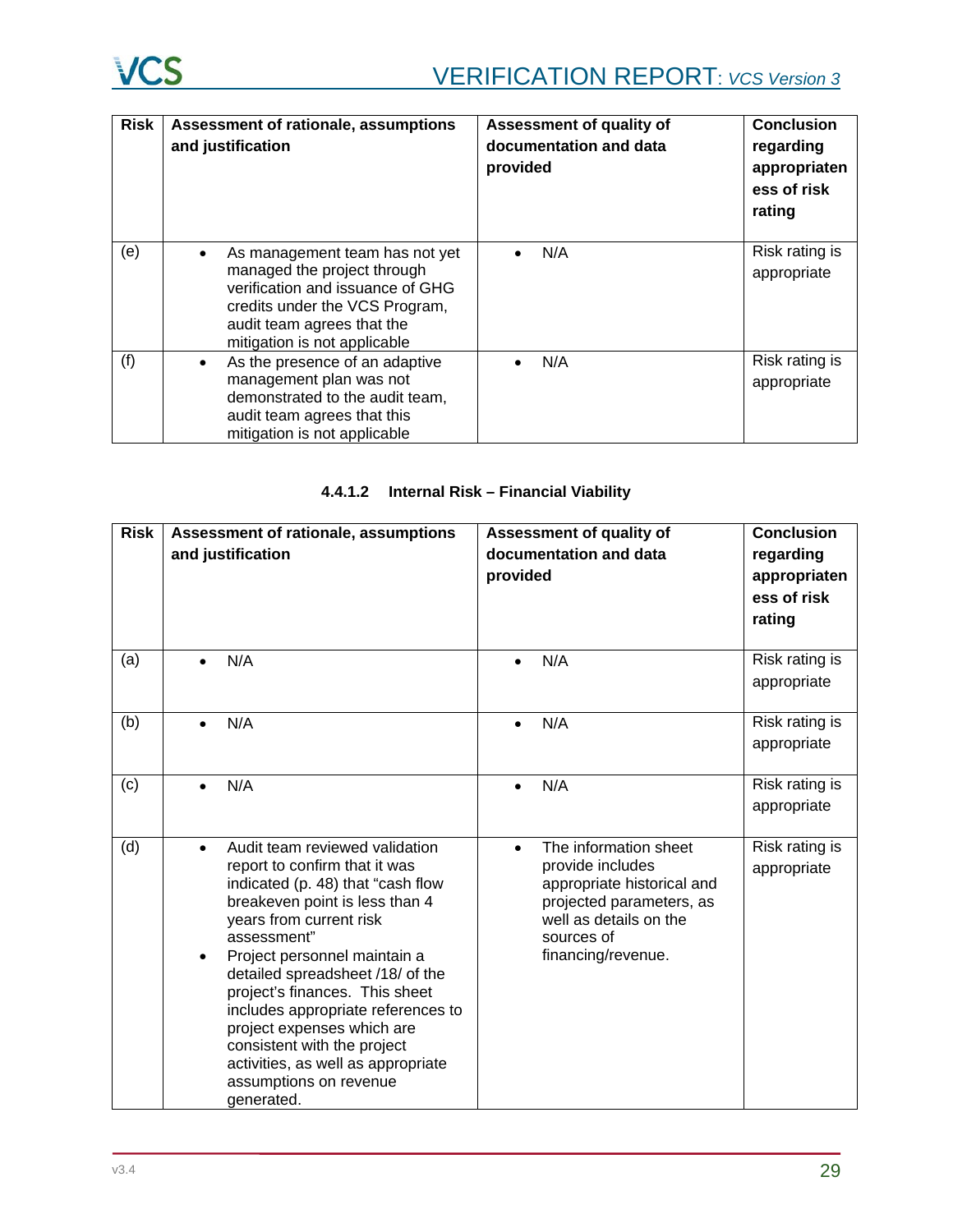| <b>Risk</b> | Assessment of rationale, assumptions<br>and justification                                                                                                                                         | Assessment of quality of<br>documentation and data<br>provided | <b>Conclusion</b><br>regarding<br>appropriaten<br>ess of risk<br>rating |
|-------------|---------------------------------------------------------------------------------------------------------------------------------------------------------------------------------------------------|----------------------------------------------------------------|-------------------------------------------------------------------------|
| (e)         | As management team has not yet<br>managed the project through<br>verification and issuance of GHG<br>credits under the VCS Program,<br>audit team agrees that the<br>mitigation is not applicable | N/A                                                            | Risk rating is<br>appropriate                                           |
| (f)         | As the presence of an adaptive<br>$\bullet$<br>management plan was not<br>demonstrated to the audit team,<br>audit team agrees that this<br>mitigation is not applicable                          | N/A                                                            | Risk rating is<br>appropriate                                           |

# **4.4.1.2 Internal Risk – Financial Viability**

| <b>Risk</b> | Assessment of rationale, assumptions<br>and justification                                                                                                                                                                                                                                                                                                                                                                                                               | <b>Assessment of quality of</b><br>documentation and data<br>provided                                                                                                          | <b>Conclusion</b><br>regarding<br>appropriaten<br>ess of risk<br>rating |
|-------------|-------------------------------------------------------------------------------------------------------------------------------------------------------------------------------------------------------------------------------------------------------------------------------------------------------------------------------------------------------------------------------------------------------------------------------------------------------------------------|--------------------------------------------------------------------------------------------------------------------------------------------------------------------------------|-------------------------------------------------------------------------|
| (a)         | N/A                                                                                                                                                                                                                                                                                                                                                                                                                                                                     | N/A<br>$\bullet$                                                                                                                                                               | Risk rating is<br>appropriate                                           |
| (b)         | N/A                                                                                                                                                                                                                                                                                                                                                                                                                                                                     | N/A                                                                                                                                                                            | Risk rating is<br>appropriate                                           |
| (c)         | N/A                                                                                                                                                                                                                                                                                                                                                                                                                                                                     | N/A                                                                                                                                                                            | Risk rating is<br>appropriate                                           |
| (d)         | Audit team reviewed validation<br>report to confirm that it was<br>indicated (p. 48) that "cash flow<br>breakeven point is less than 4<br>years from current risk<br>assessment"<br>Project personnel maintain a<br>detailed spreadsheet /18/ of the<br>project's finances. This sheet<br>includes appropriate references to<br>project expenses which are<br>consistent with the project<br>activities, as well as appropriate<br>assumptions on revenue<br>generated. | The information sheet<br>$\bullet$<br>provide includes<br>appropriate historical and<br>projected parameters, as<br>well as details on the<br>sources of<br>financing/revenue. | Risk rating is<br>appropriate                                           |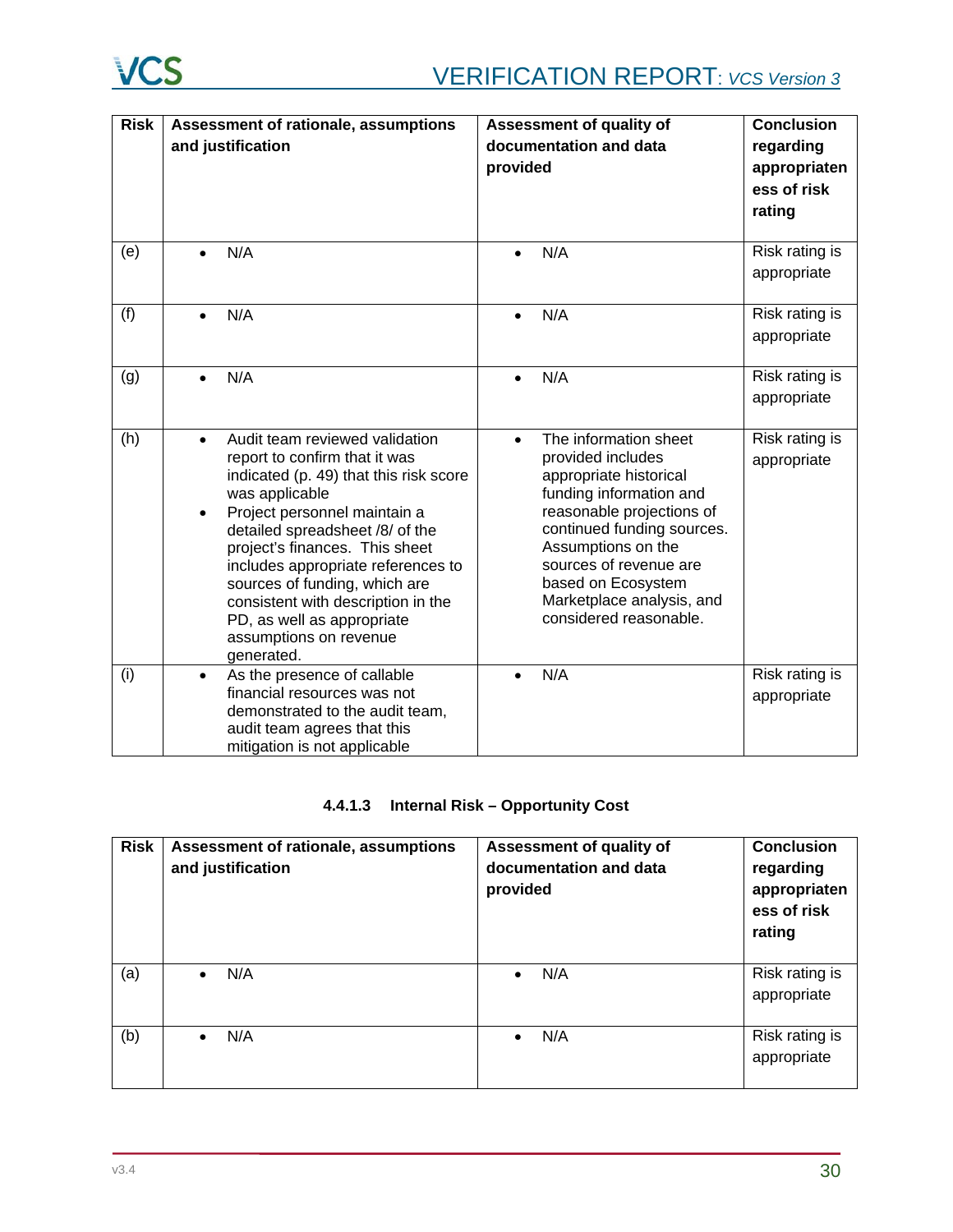

| <b>Risk</b> | Assessment of rationale, assumptions                              | Assessment of quality of                         | <b>Conclusion</b> |
|-------------|-------------------------------------------------------------------|--------------------------------------------------|-------------------|
|             | and justification                                                 | documentation and data                           | regarding         |
|             |                                                                   | provided                                         | appropriaten      |
|             |                                                                   |                                                  | ess of risk       |
|             |                                                                   |                                                  | rating            |
|             |                                                                   |                                                  |                   |
| (e)         | N/A                                                               | N/A                                              | Risk rating is    |
|             |                                                                   |                                                  | appropriate       |
|             |                                                                   |                                                  |                   |
| (f)         | N/A                                                               | N/A<br>$\bullet$                                 | Risk rating is    |
|             |                                                                   |                                                  | appropriate       |
|             |                                                                   |                                                  |                   |
| (g)         | N/A<br>$\bullet$                                                  | N/A<br>$\bullet$                                 | Risk rating is    |
|             |                                                                   |                                                  | appropriate       |
| (h)         | Audit team reviewed validation<br>$\bullet$                       | The information sheet<br>$\bullet$               | Risk rating is    |
|             | report to confirm that it was                                     | provided includes                                | appropriate       |
|             | indicated (p. 49) that this risk score                            | appropriate historical                           |                   |
|             | was applicable                                                    | funding information and                          |                   |
|             | Project personnel maintain a<br>$\bullet$                         | reasonable projections of                        |                   |
|             | detailed spreadsheet /8/ of the<br>project's finances. This sheet | continued funding sources.<br>Assumptions on the |                   |
|             | includes appropriate references to                                | sources of revenue are                           |                   |
|             | sources of funding, which are                                     | based on Ecosystem                               |                   |
|             | consistent with description in the                                | Marketplace analysis, and                        |                   |
|             | PD, as well as appropriate                                        | considered reasonable.                           |                   |
|             | assumptions on revenue<br>generated.                              |                                                  |                   |
| (i)         | As the presence of callable<br>$\bullet$                          | N/A<br>$\bullet$                                 | Risk rating is    |
|             | financial resources was not                                       |                                                  | appropriate       |
|             | demonstrated to the audit team,                                   |                                                  |                   |
|             | audit team agrees that this                                       |                                                  |                   |
|             | mitigation is not applicable                                      |                                                  |                   |

# **4.4.1.3 Internal Risk – Opportunity Cost**

| <b>Risk</b> | Assessment of rationale, assumptions<br>and justification | Assessment of quality of<br>documentation and data<br>provided | <b>Conclusion</b><br>regarding<br>appropriaten<br>ess of risk<br>rating |
|-------------|-----------------------------------------------------------|----------------------------------------------------------------|-------------------------------------------------------------------------|
| (a)         | N/A                                                       | N/A<br>$\bullet$                                               | Risk rating is<br>appropriate                                           |
| (b)         | N/A                                                       | N/A<br>$\bullet$                                               | Risk rating is<br>appropriate                                           |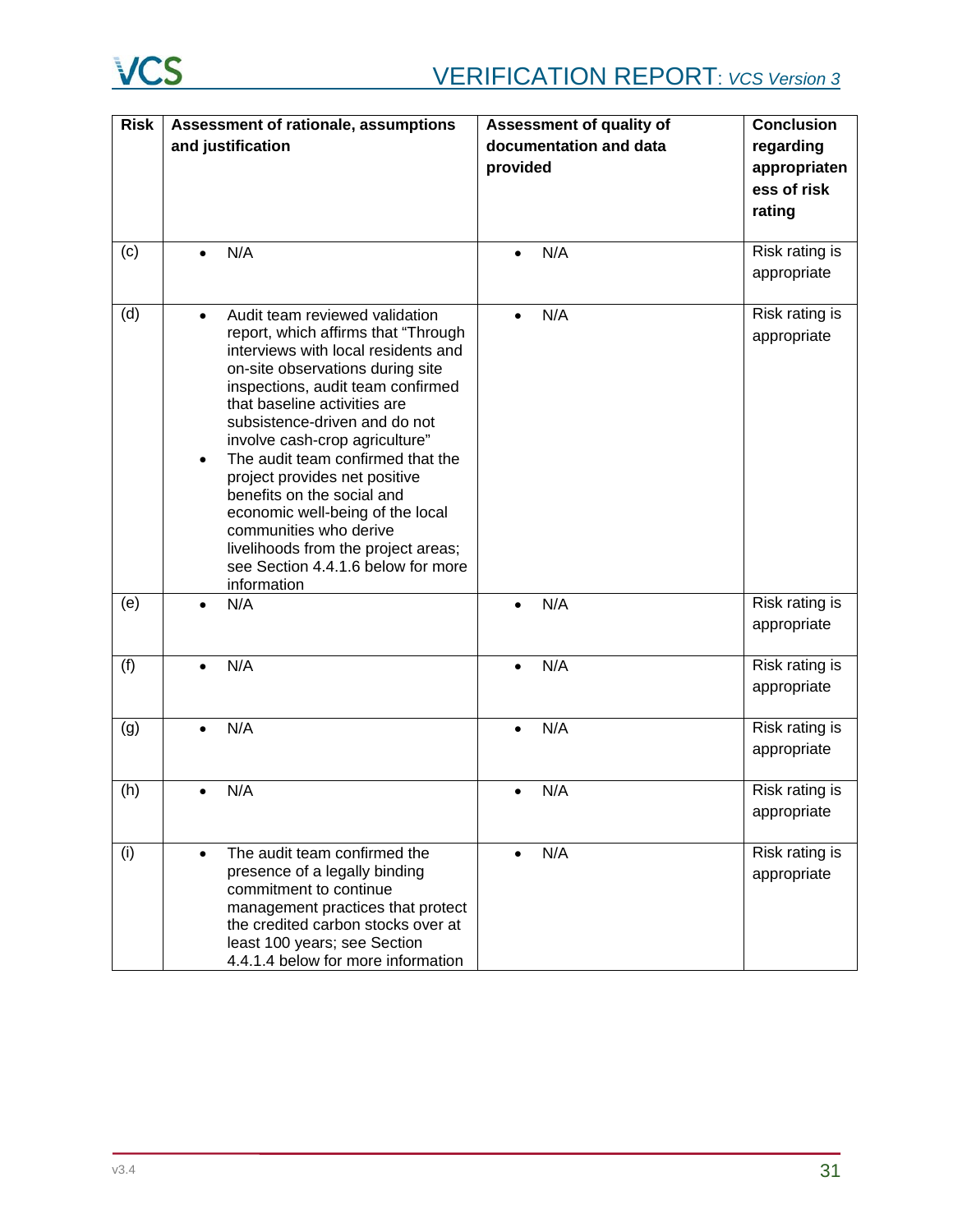

| <b>Risk</b> |           | Assessment of rationale, assumptions                        | Assessment of quality of | <b>Conclusion</b> |
|-------------|-----------|-------------------------------------------------------------|--------------------------|-------------------|
|             |           | and justification                                           | documentation and data   | regarding         |
|             |           |                                                             | provided                 | appropriaten      |
|             |           |                                                             |                          | ess of risk       |
|             |           |                                                             |                          | rating            |
|             |           |                                                             |                          |                   |
| (c)         |           | N/A                                                         | N/A<br>$\bullet$         | Risk rating is    |
|             |           |                                                             |                          | appropriate       |
|             |           |                                                             |                          |                   |
| (d)         | $\bullet$ | Audit team reviewed validation                              | N/A<br>$\bullet$         | Risk rating is    |
|             |           | report, which affirms that "Through                         |                          | appropriate       |
|             |           | interviews with local residents and                         |                          |                   |
|             |           | on-site observations during site                            |                          |                   |
|             |           | inspections, audit team confirmed                           |                          |                   |
|             |           | that baseline activities are                                |                          |                   |
|             |           | subsistence-driven and do not                               |                          |                   |
|             |           | involve cash-crop agriculture"                              |                          |                   |
|             | $\bullet$ | The audit team confirmed that the                           |                          |                   |
|             |           | project provides net positive<br>benefits on the social and |                          |                   |
|             |           | economic well-being of the local                            |                          |                   |
|             |           | communities who derive                                      |                          |                   |
|             |           | livelihoods from the project areas;                         |                          |                   |
|             |           | see Section 4.4.1.6 below for more                          |                          |                   |
|             |           | information                                                 |                          |                   |
| (e)         | $\bullet$ | N/A                                                         | N/A<br>$\bullet$         | Risk rating is    |
|             |           |                                                             |                          | appropriate       |
|             |           |                                                             |                          |                   |
| (f)         |           | N/A                                                         | N/A<br>$\bullet$         | Risk rating is    |
|             |           |                                                             |                          | appropriate       |
|             |           |                                                             |                          |                   |
| (g)         | $\bullet$ | N/A                                                         | N/A<br>$\bullet$         | Risk rating is    |
|             |           |                                                             |                          | appropriate       |
|             |           |                                                             |                          |                   |
| (h)         |           | N/A                                                         | N/A<br>$\bullet$         | Risk rating is    |
|             |           |                                                             |                          | appropriate       |
| (i)         | $\bullet$ | The audit team confirmed the                                | N/A<br>$\bullet$         | Risk rating is    |
|             |           | presence of a legally binding                               |                          |                   |
|             |           | commitment to continue                                      |                          | appropriate       |
|             |           | management practices that protect                           |                          |                   |
|             |           | the credited carbon stocks over at                          |                          |                   |
|             |           | least 100 years; see Section                                |                          |                   |
|             |           | 4.4.1.4 below for more information                          |                          |                   |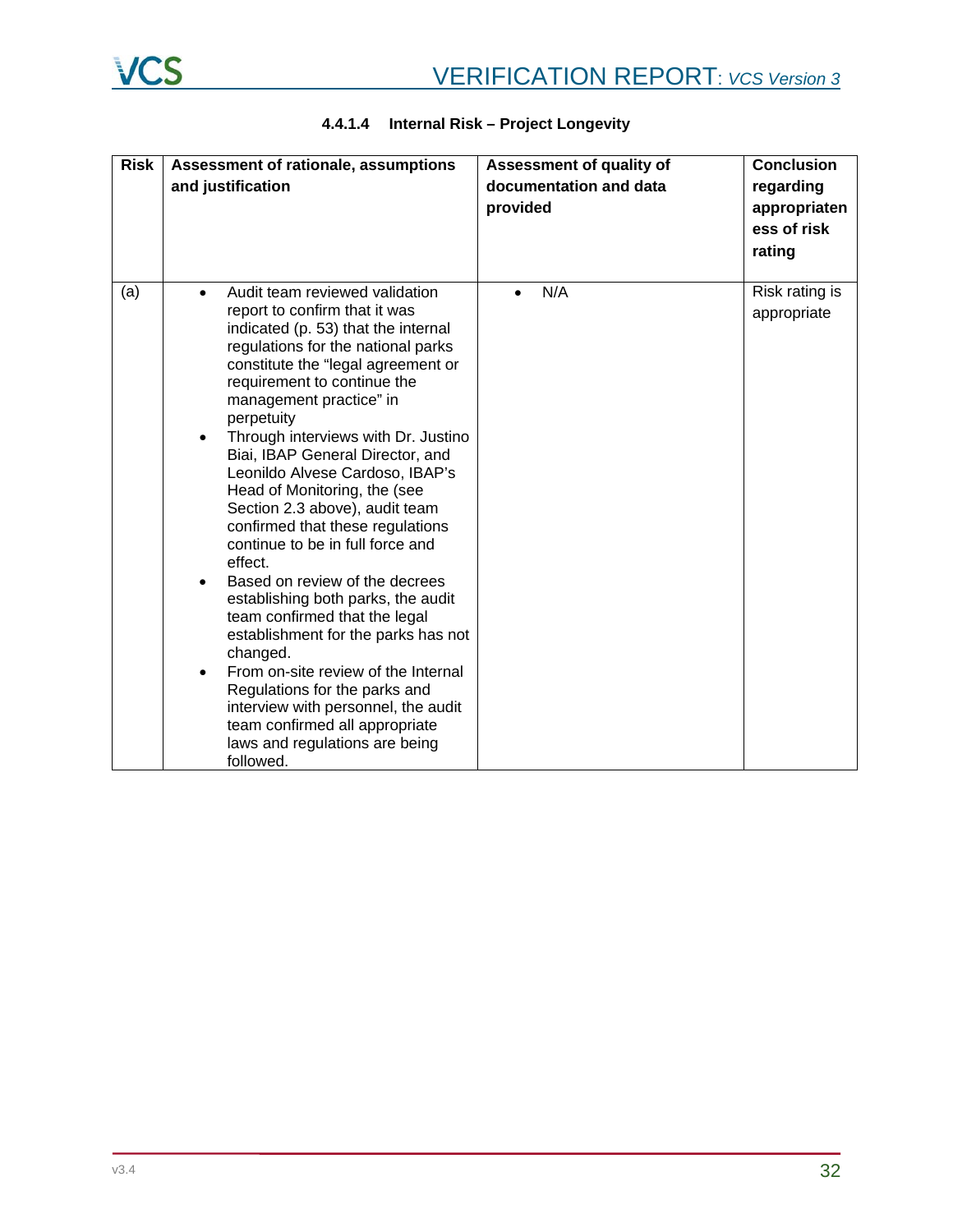| <b>Risk</b> | Assessment of rationale, assumptions<br>and justification                                                                                                                                                                                                                                                                                                                                                                                                                                                                                                                                                                                                                                                                                                                                                                                                                                                   | <b>Assessment of quality of</b><br>documentation and data<br>provided | <b>Conclusion</b><br>regarding<br>appropriaten<br>ess of risk<br>rating |
|-------------|-------------------------------------------------------------------------------------------------------------------------------------------------------------------------------------------------------------------------------------------------------------------------------------------------------------------------------------------------------------------------------------------------------------------------------------------------------------------------------------------------------------------------------------------------------------------------------------------------------------------------------------------------------------------------------------------------------------------------------------------------------------------------------------------------------------------------------------------------------------------------------------------------------------|-----------------------------------------------------------------------|-------------------------------------------------------------------------|
| (a)         | Audit team reviewed validation<br>report to confirm that it was<br>indicated (p. 53) that the internal<br>regulations for the national parks<br>constitute the "legal agreement or<br>requirement to continue the<br>management practice" in<br>perpetuity<br>Through interviews with Dr. Justino<br>٠<br>Biai, IBAP General Director, and<br>Leonildo Alvese Cardoso, IBAP's<br>Head of Monitoring, the (see<br>Section 2.3 above), audit team<br>confirmed that these regulations<br>continue to be in full force and<br>effect.<br>Based on review of the decrees<br>establishing both parks, the audit<br>team confirmed that the legal<br>establishment for the parks has not<br>changed.<br>From on-site review of the Internal<br>$\bullet$<br>Regulations for the parks and<br>interview with personnel, the audit<br>team confirmed all appropriate<br>laws and regulations are being<br>followed. | N/A                                                                   | Risk rating is<br>appropriate                                           |

# **4.4.1.4 Internal Risk – Project Longevity**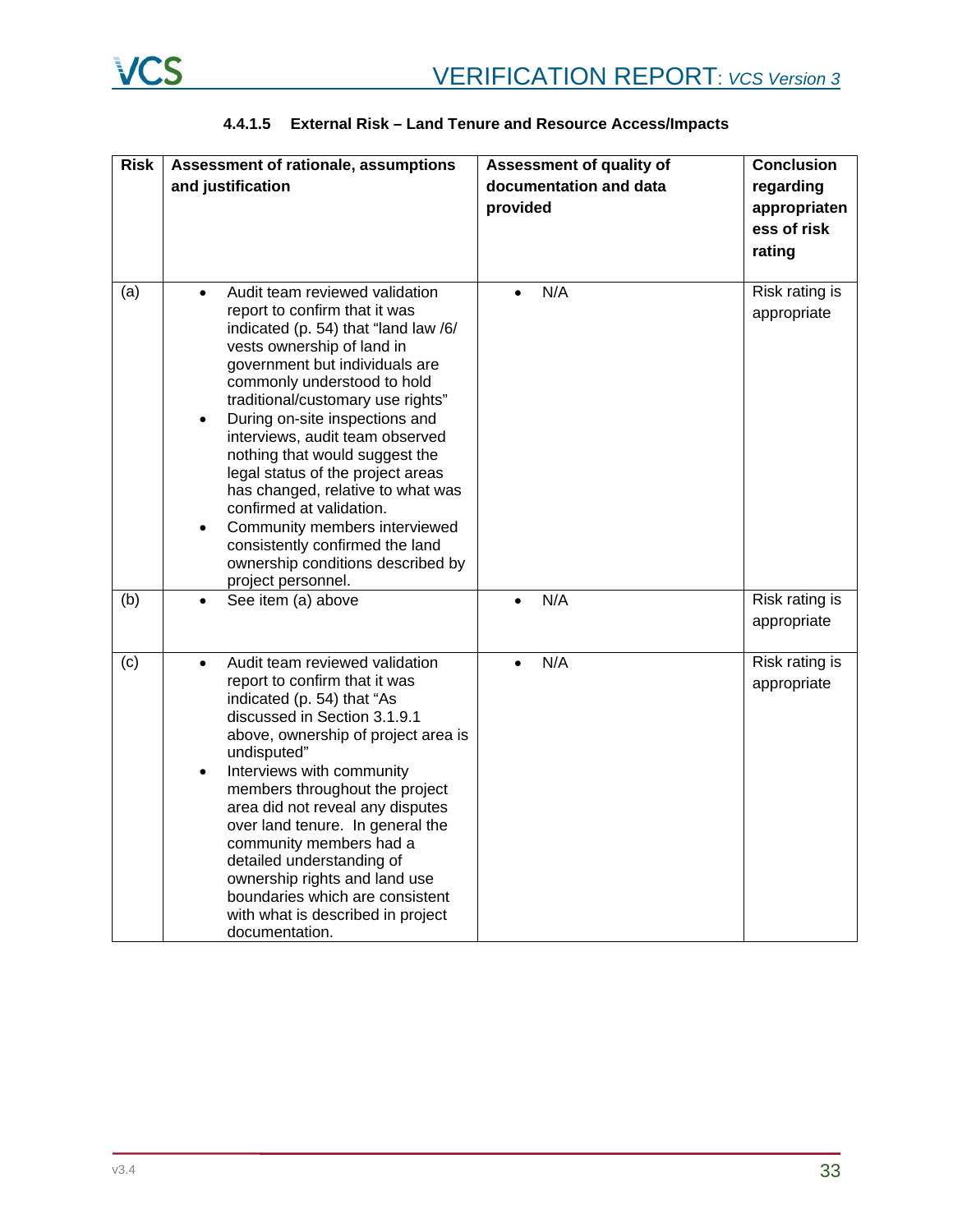| <b>Risk</b> | Assessment of rationale, assumptions                                                                                                                                                                                                                                                                                                                                                                                                                                                                                                                                                                                           | Assessment of quality of | <b>Conclusion</b>             |
|-------------|--------------------------------------------------------------------------------------------------------------------------------------------------------------------------------------------------------------------------------------------------------------------------------------------------------------------------------------------------------------------------------------------------------------------------------------------------------------------------------------------------------------------------------------------------------------------------------------------------------------------------------|--------------------------|-------------------------------|
|             | and justification                                                                                                                                                                                                                                                                                                                                                                                                                                                                                                                                                                                                              | documentation and data   | regarding                     |
|             |                                                                                                                                                                                                                                                                                                                                                                                                                                                                                                                                                                                                                                | provided                 | appropriaten                  |
|             |                                                                                                                                                                                                                                                                                                                                                                                                                                                                                                                                                                                                                                |                          | ess of risk                   |
|             |                                                                                                                                                                                                                                                                                                                                                                                                                                                                                                                                                                                                                                |                          | rating                        |
|             |                                                                                                                                                                                                                                                                                                                                                                                                                                                                                                                                                                                                                                |                          |                               |
| (a)         | Audit team reviewed validation<br>$\bullet$<br>report to confirm that it was<br>indicated (p. 54) that "land law /6/<br>vests ownership of land in<br>government but individuals are<br>commonly understood to hold<br>traditional/customary use rights"<br>During on-site inspections and<br>$\bullet$<br>interviews, audit team observed<br>nothing that would suggest the<br>legal status of the project areas<br>has changed, relative to what was<br>confirmed at validation.<br>Community members interviewed<br>$\bullet$<br>consistently confirmed the land<br>ownership conditions described by<br>project personnel. | N/A                      | Risk rating is<br>appropriate |
| (b)         | See item (a) above<br>$\bullet$                                                                                                                                                                                                                                                                                                                                                                                                                                                                                                                                                                                                | N/A<br>$\bullet$         | Risk rating is<br>appropriate |
| (c)         | Audit team reviewed validation<br>$\bullet$<br>report to confirm that it was<br>indicated (p. 54) that "As<br>discussed in Section 3.1.9.1<br>above, ownership of project area is<br>undisputed"<br>Interviews with community<br>$\bullet$<br>members throughout the project<br>area did not reveal any disputes<br>over land tenure. In general the<br>community members had a<br>detailed understanding of<br>ownership rights and land use<br>boundaries which are consistent<br>with what is described in project<br>documentation.                                                                                        | N/A<br>$\bullet$         | Risk rating is<br>appropriate |

# **4.4.1.5 External Risk – Land Tenure and Resource Access/Impacts**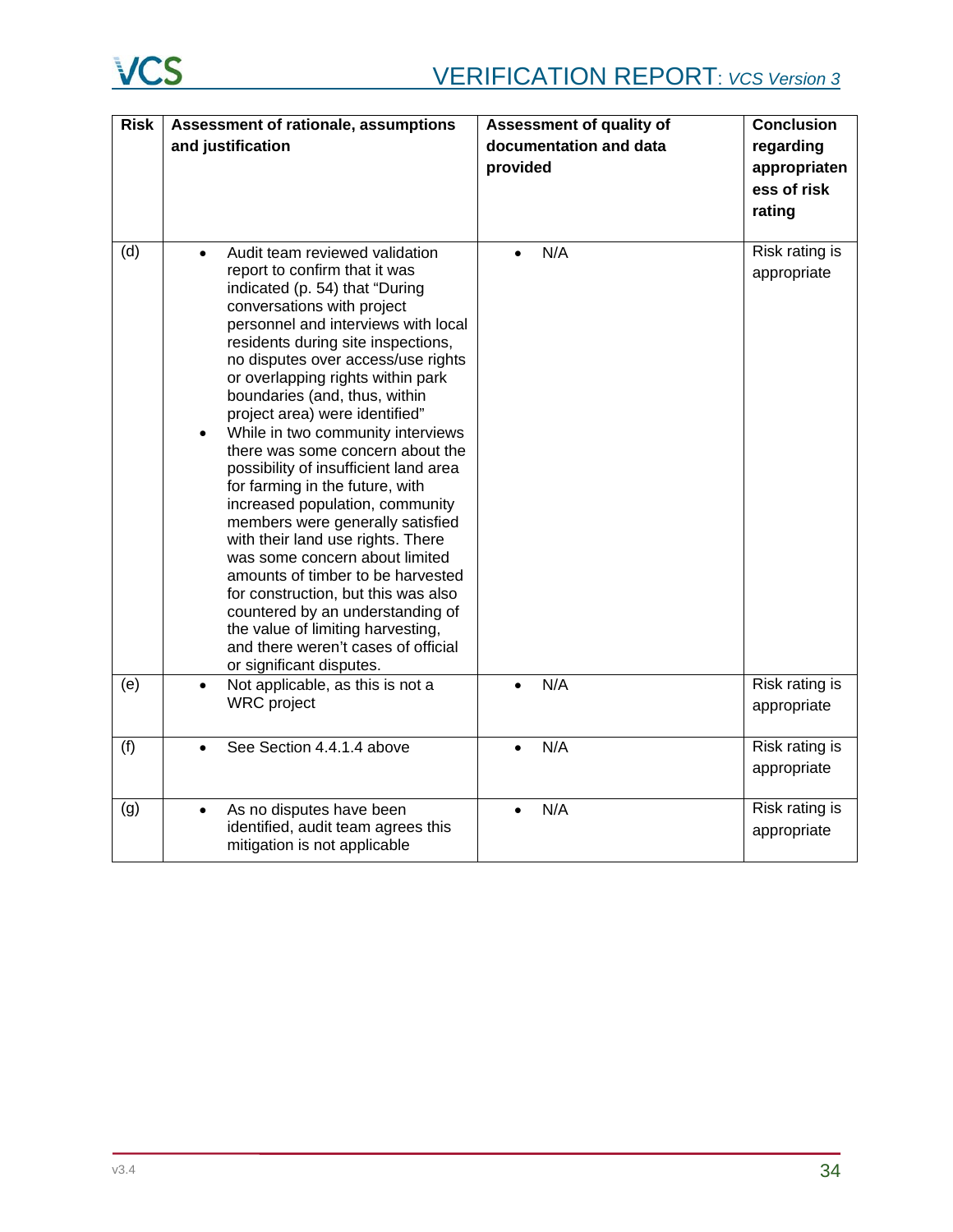| <b>Risk</b> | Assessment of rationale, assumptions                                                                                                                                                                                                                                                                                                                                                                                                                                                                                                                                                                                                                                                                                                                                                                                                                      | Assessment of quality of | <b>Conclusion</b>             |
|-------------|-----------------------------------------------------------------------------------------------------------------------------------------------------------------------------------------------------------------------------------------------------------------------------------------------------------------------------------------------------------------------------------------------------------------------------------------------------------------------------------------------------------------------------------------------------------------------------------------------------------------------------------------------------------------------------------------------------------------------------------------------------------------------------------------------------------------------------------------------------------|--------------------------|-------------------------------|
|             | and justification                                                                                                                                                                                                                                                                                                                                                                                                                                                                                                                                                                                                                                                                                                                                                                                                                                         | documentation and data   | regarding                     |
|             |                                                                                                                                                                                                                                                                                                                                                                                                                                                                                                                                                                                                                                                                                                                                                                                                                                                           | provided                 | appropriaten                  |
|             |                                                                                                                                                                                                                                                                                                                                                                                                                                                                                                                                                                                                                                                                                                                                                                                                                                                           |                          | ess of risk                   |
|             |                                                                                                                                                                                                                                                                                                                                                                                                                                                                                                                                                                                                                                                                                                                                                                                                                                                           |                          | rating                        |
|             |                                                                                                                                                                                                                                                                                                                                                                                                                                                                                                                                                                                                                                                                                                                                                                                                                                                           |                          |                               |
| (d)         | Audit team reviewed validation<br>report to confirm that it was<br>indicated (p. 54) that "During<br>conversations with project<br>personnel and interviews with local<br>residents during site inspections,<br>no disputes over access/use rights<br>or overlapping rights within park<br>boundaries (and, thus, within<br>project area) were identified"<br>While in two community interviews<br>there was some concern about the<br>possibility of insufficient land area<br>for farming in the future, with<br>increased population, community<br>members were generally satisfied<br>with their land use rights. There<br>was some concern about limited<br>amounts of timber to be harvested<br>for construction, but this was also<br>countered by an understanding of<br>the value of limiting harvesting,<br>and there weren't cases of official | N/A                      | Risk rating is<br>appropriate |
| (e)         | or significant disputes.<br>Not applicable, as this is not a<br>$\bullet$<br><b>WRC</b> project                                                                                                                                                                                                                                                                                                                                                                                                                                                                                                                                                                                                                                                                                                                                                           | N/A                      | Risk rating is<br>appropriate |
| (f)         | See Section 4.4.1.4 above                                                                                                                                                                                                                                                                                                                                                                                                                                                                                                                                                                                                                                                                                                                                                                                                                                 | N/A                      | Risk rating is<br>appropriate |
| (g)         | As no disputes have been<br>$\bullet$<br>identified, audit team agrees this<br>mitigation is not applicable                                                                                                                                                                                                                                                                                                                                                                                                                                                                                                                                                                                                                                                                                                                                               | N/A<br>$\bullet$         | Risk rating is<br>appropriate |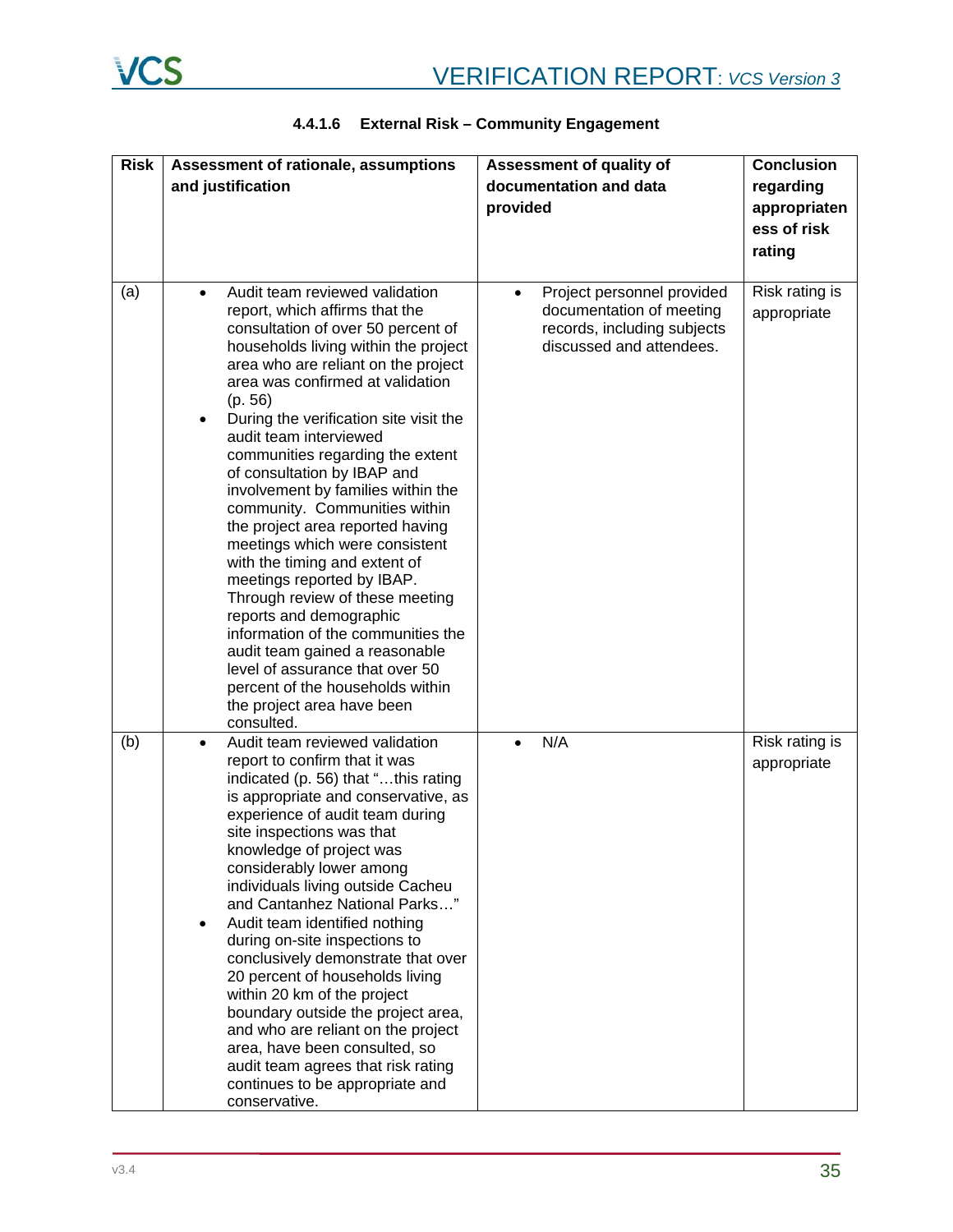| <b>Risk</b> | Assessment of rationale, assumptions                                                                                                                                                                                                                                                                                                                                                                                                                                                                                                                                                                                                                                                                                                                                                                                                                                       | Assessment of quality of                                                                                                       | Conclusion                                         |
|-------------|----------------------------------------------------------------------------------------------------------------------------------------------------------------------------------------------------------------------------------------------------------------------------------------------------------------------------------------------------------------------------------------------------------------------------------------------------------------------------------------------------------------------------------------------------------------------------------------------------------------------------------------------------------------------------------------------------------------------------------------------------------------------------------------------------------------------------------------------------------------------------|--------------------------------------------------------------------------------------------------------------------------------|----------------------------------------------------|
|             | and justification                                                                                                                                                                                                                                                                                                                                                                                                                                                                                                                                                                                                                                                                                                                                                                                                                                                          | documentation and data<br>provided                                                                                             | regarding<br>appropriaten<br>ess of risk<br>rating |
| (a)         | Audit team reviewed validation<br>$\bullet$<br>report, which affirms that the<br>consultation of over 50 percent of<br>households living within the project<br>area who are reliant on the project<br>area was confirmed at validation<br>(p. 56)<br>During the verification site visit the<br>$\bullet$<br>audit team interviewed<br>communities regarding the extent<br>of consultation by IBAP and<br>involvement by families within the<br>community. Communities within<br>the project area reported having<br>meetings which were consistent<br>with the timing and extent of<br>meetings reported by IBAP.<br>Through review of these meeting<br>reports and demographic<br>information of the communities the<br>audit team gained a reasonable<br>level of assurance that over 50<br>percent of the households within<br>the project area have been<br>consulted. | Project personnel provided<br>$\bullet$<br>documentation of meeting<br>records, including subjects<br>discussed and attendees. | Risk rating is<br>appropriate                      |
| (b)         | Audit team reviewed validation<br>$\bullet$<br>report to confirm that it was<br>indicated (p. 56) that "this rating<br>is appropriate and conservative, as<br>experience of audit team during<br>site inspections was that<br>knowledge of project was<br>considerably lower among<br>individuals living outside Cacheu<br>and Cantanhez National Parks"<br>Audit team identified nothing<br>during on-site inspections to<br>conclusively demonstrate that over<br>20 percent of households living<br>within 20 km of the project<br>boundary outside the project area,<br>and who are reliant on the project<br>area, have been consulted, so<br>audit team agrees that risk rating<br>continues to be appropriate and<br>conservative.                                                                                                                                  | N/A<br>$\bullet$                                                                                                               | Risk rating is<br>appropriate                      |

# **4.4.1.6 External Risk – Community Engagement**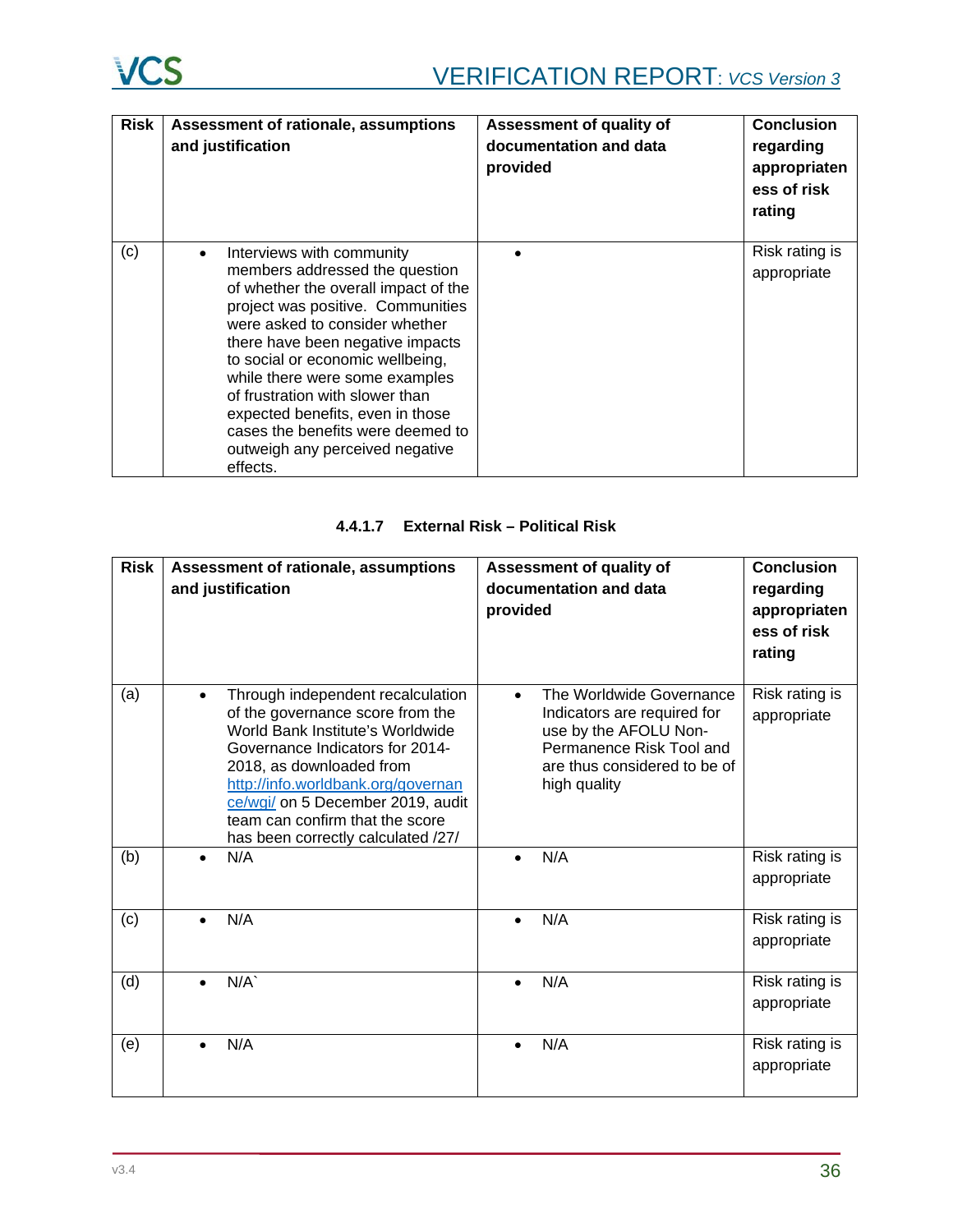| <b>Risk</b> | Assessment of rationale, assumptions<br>and justification                                                                                                                                                                                                                                                                                                                                                                                                    | Assessment of quality of<br>documentation and data<br>provided | <b>Conclusion</b><br>regarding<br>appropriaten<br>ess of risk<br>rating |
|-------------|--------------------------------------------------------------------------------------------------------------------------------------------------------------------------------------------------------------------------------------------------------------------------------------------------------------------------------------------------------------------------------------------------------------------------------------------------------------|----------------------------------------------------------------|-------------------------------------------------------------------------|
| (c)         | Interviews with community<br>$\bullet$<br>members addressed the question<br>of whether the overall impact of the<br>project was positive. Communities<br>were asked to consider whether<br>there have been negative impacts<br>to social or economic wellbeing,<br>while there were some examples<br>of frustration with slower than<br>expected benefits, even in those<br>cases the benefits were deemed to<br>outweigh any perceived negative<br>effects. |                                                                | Risk rating is<br>appropriate                                           |

# **4.4.1.7 External Risk – Political Risk**

| <b>Risk</b> | Assessment of rationale, assumptions<br>and justification                                                                                                                                                                                                                                                                    | Assessment of quality of<br>documentation and data<br>provided                                                                                               | <b>Conclusion</b><br>regarding<br>appropriaten<br>ess of risk<br>rating |
|-------------|------------------------------------------------------------------------------------------------------------------------------------------------------------------------------------------------------------------------------------------------------------------------------------------------------------------------------|--------------------------------------------------------------------------------------------------------------------------------------------------------------|-------------------------------------------------------------------------|
| (a)         | Through independent recalculation<br>of the governance score from the<br>World Bank Institute's Worldwide<br>Governance Indicators for 2014-<br>2018, as downloaded from<br>http://info.worldbank.org/governan<br>ce/wgi/ on 5 December 2019, audit<br>team can confirm that the score<br>has been correctly calculated /27/ | The Worldwide Governance<br>Indicators are required for<br>use by the AFOLU Non-<br>Permanence Risk Tool and<br>are thus considered to be of<br>high quality | Risk rating is<br>appropriate                                           |
| (b)         | N/A                                                                                                                                                                                                                                                                                                                          | N/A<br>$\bullet$                                                                                                                                             | Risk rating is<br>appropriate                                           |
| (c)         | N/A                                                                                                                                                                                                                                                                                                                          | N/A                                                                                                                                                          | Risk rating is<br>appropriate                                           |
| (d)         | N/A                                                                                                                                                                                                                                                                                                                          | N/A<br>$\bullet$                                                                                                                                             | Risk rating is<br>appropriate                                           |
| (e)         | N/A                                                                                                                                                                                                                                                                                                                          | N/A                                                                                                                                                          | Risk rating is<br>appropriate                                           |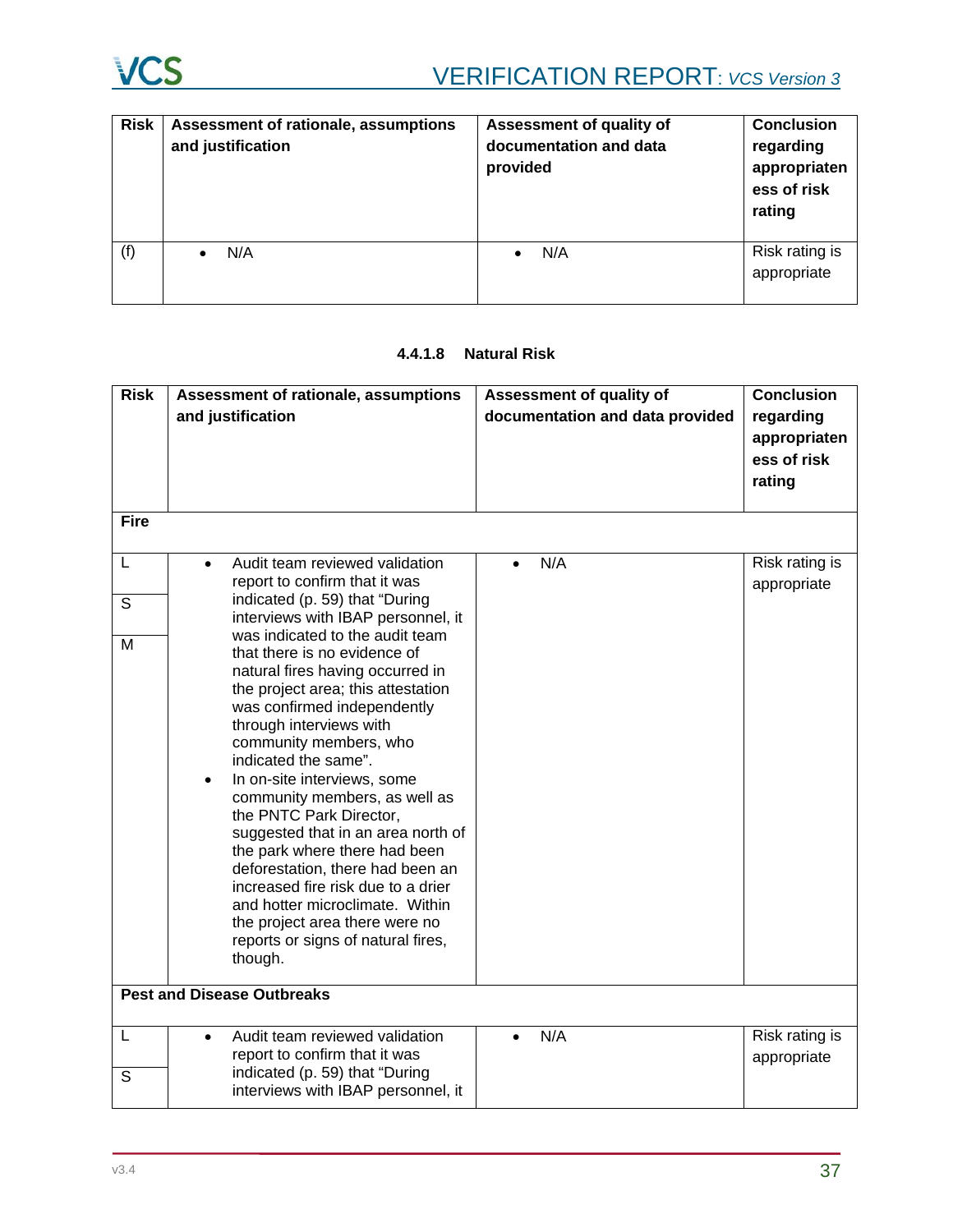

| <b>Risk</b> | Assessment of rationale, assumptions<br>and justification | Assessment of quality of<br>documentation and data<br>provided | <b>Conclusion</b><br>regarding<br>appropriaten<br>ess of risk<br>rating |
|-------------|-----------------------------------------------------------|----------------------------------------------------------------|-------------------------------------------------------------------------|
| (f)         | N/A                                                       | N/A<br>$\bullet$                                               | Risk rating is<br>appropriate                                           |

# **4.4.1.8 Natural Risk**

| <b>Risk</b> | Assessment of rationale, assumptions<br>and justification                                                                                                                                                                                                                                                                                                                                                                                                                                                                                                                                                                                                                                                                                                                                    | Assessment of quality of<br>documentation and data provided | <b>Conclusion</b><br>regarding<br>appropriaten<br>ess of risk |
|-------------|----------------------------------------------------------------------------------------------------------------------------------------------------------------------------------------------------------------------------------------------------------------------------------------------------------------------------------------------------------------------------------------------------------------------------------------------------------------------------------------------------------------------------------------------------------------------------------------------------------------------------------------------------------------------------------------------------------------------------------------------------------------------------------------------|-------------------------------------------------------------|---------------------------------------------------------------|
|             |                                                                                                                                                                                                                                                                                                                                                                                                                                                                                                                                                                                                                                                                                                                                                                                              |                                                             | rating                                                        |
| <b>Fire</b> |                                                                                                                                                                                                                                                                                                                                                                                                                                                                                                                                                                                                                                                                                                                                                                                              |                                                             |                                                               |
| L<br>S<br>M | Audit team reviewed validation<br>$\bullet$<br>report to confirm that it was<br>indicated (p. 59) that "During<br>interviews with IBAP personnel, it<br>was indicated to the audit team<br>that there is no evidence of<br>natural fires having occurred in<br>the project area; this attestation<br>was confirmed independently<br>through interviews with<br>community members, who<br>indicated the same".<br>In on-site interviews, some<br>$\bullet$<br>community members, as well as<br>the PNTC Park Director,<br>suggested that in an area north of<br>the park where there had been<br>deforestation, there had been an<br>increased fire risk due to a drier<br>and hotter microclimate. Within<br>the project area there were no<br>reports or signs of natural fires,<br>though. | N/A<br>$\bullet$                                            | Risk rating is<br>appropriate                                 |
|             | <b>Pest and Disease Outbreaks</b>                                                                                                                                                                                                                                                                                                                                                                                                                                                                                                                                                                                                                                                                                                                                                            |                                                             |                                                               |
| L<br>S      | Audit team reviewed validation<br>$\bullet$<br>report to confirm that it was<br>indicated (p. 59) that "During<br>interviews with IBAP personnel, it                                                                                                                                                                                                                                                                                                                                                                                                                                                                                                                                                                                                                                         | N/A                                                         | Risk rating is<br>appropriate                                 |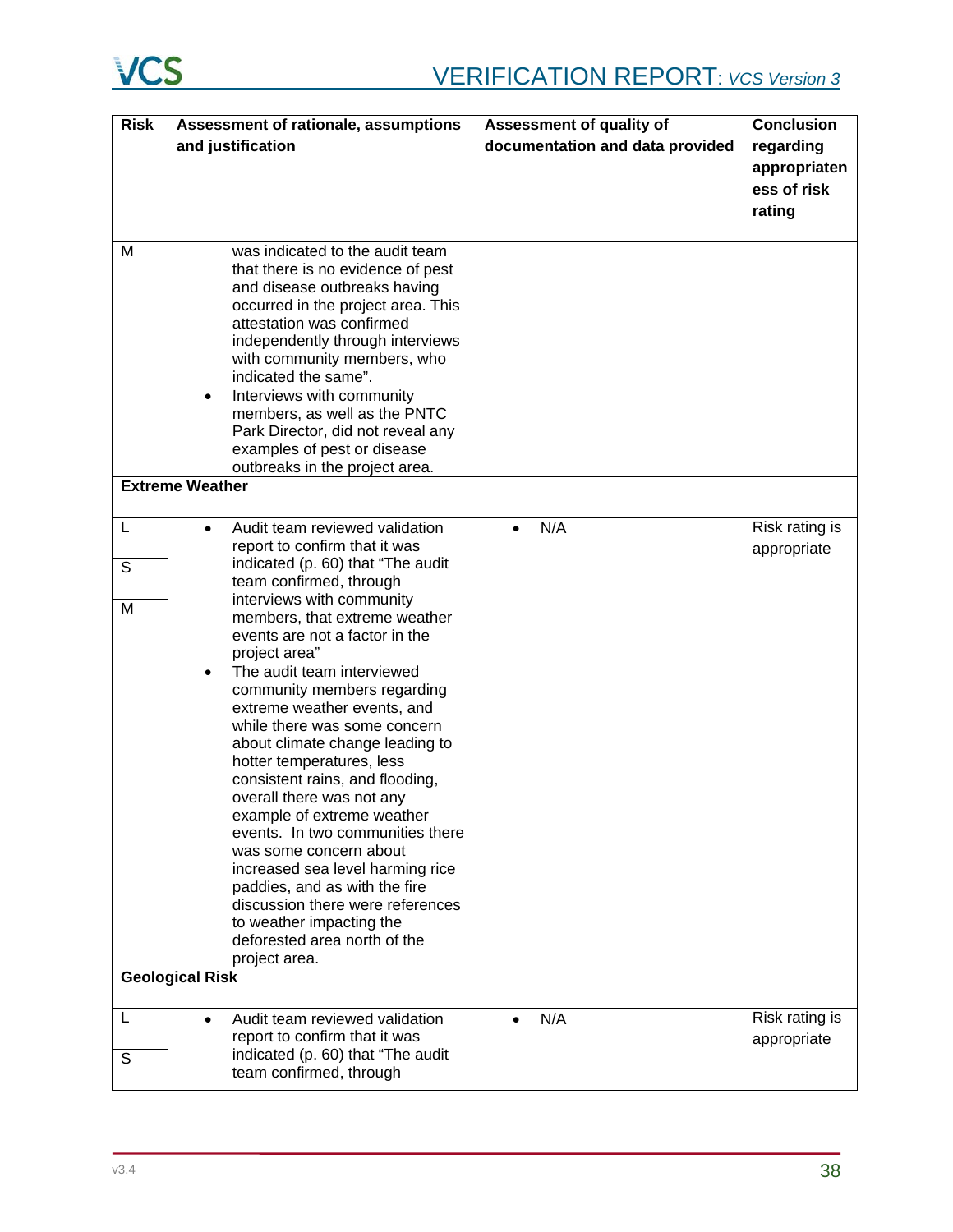| <b>Risk</b> | Assessment of rationale, assumptions                                                                                                                                                                                                                                                                                                                                                                                                                                                                                                                                                                                                                                     | Assessment of quality of        | <b>Conclusion</b>             |
|-------------|--------------------------------------------------------------------------------------------------------------------------------------------------------------------------------------------------------------------------------------------------------------------------------------------------------------------------------------------------------------------------------------------------------------------------------------------------------------------------------------------------------------------------------------------------------------------------------------------------------------------------------------------------------------------------|---------------------------------|-------------------------------|
|             | and justification                                                                                                                                                                                                                                                                                                                                                                                                                                                                                                                                                                                                                                                        | documentation and data provided | regarding                     |
|             |                                                                                                                                                                                                                                                                                                                                                                                                                                                                                                                                                                                                                                                                          |                                 | appropriaten                  |
|             |                                                                                                                                                                                                                                                                                                                                                                                                                                                                                                                                                                                                                                                                          |                                 | ess of risk                   |
|             |                                                                                                                                                                                                                                                                                                                                                                                                                                                                                                                                                                                                                                                                          |                                 | rating                        |
| M           | was indicated to the audit team<br>that there is no evidence of pest<br>and disease outbreaks having<br>occurred in the project area. This<br>attestation was confirmed<br>independently through interviews<br>with community members, who<br>indicated the same".<br>Interviews with community<br>$\bullet$                                                                                                                                                                                                                                                                                                                                                             |                                 |                               |
|             | members, as well as the PNTC                                                                                                                                                                                                                                                                                                                                                                                                                                                                                                                                                                                                                                             |                                 |                               |
|             | Park Director, did not reveal any<br>examples of pest or disease                                                                                                                                                                                                                                                                                                                                                                                                                                                                                                                                                                                                         |                                 |                               |
|             | outbreaks in the project area.                                                                                                                                                                                                                                                                                                                                                                                                                                                                                                                                                                                                                                           |                                 |                               |
|             | <b>Extreme Weather</b>                                                                                                                                                                                                                                                                                                                                                                                                                                                                                                                                                                                                                                                   |                                 |                               |
| L           | Audit team reviewed validation<br>$\bullet$<br>report to confirm that it was                                                                                                                                                                                                                                                                                                                                                                                                                                                                                                                                                                                             | N/A<br>$\bullet$                | Risk rating is<br>appropriate |
| S           | indicated (p. 60) that "The audit<br>team confirmed, through                                                                                                                                                                                                                                                                                                                                                                                                                                                                                                                                                                                                             |                                 |                               |
| M           | interviews with community<br>members, that extreme weather<br>events are not a factor in the<br>project area"<br>The audit team interviewed<br>$\bullet$<br>community members regarding<br>extreme weather events, and<br>while there was some concern<br>about climate change leading to<br>hotter temperatures, less<br>consistent rains, and flooding,<br>overall there was not any<br>example of extreme weather<br>events. In two communities there<br>was some concern about<br>increased sea level harming rice<br>paddies, and as with the fire<br>discussion there were references<br>to weather impacting the<br>deforested area north of the<br>project area. |                                 |                               |
|             | <b>Geological Risk</b>                                                                                                                                                                                                                                                                                                                                                                                                                                                                                                                                                                                                                                                   |                                 |                               |
| L<br>S      | Audit team reviewed validation<br>$\bullet$<br>report to confirm that it was<br>indicated (p. 60) that "The audit<br>team confirmed, through                                                                                                                                                                                                                                                                                                                                                                                                                                                                                                                             | N/A<br>$\bullet$                | Risk rating is<br>appropriate |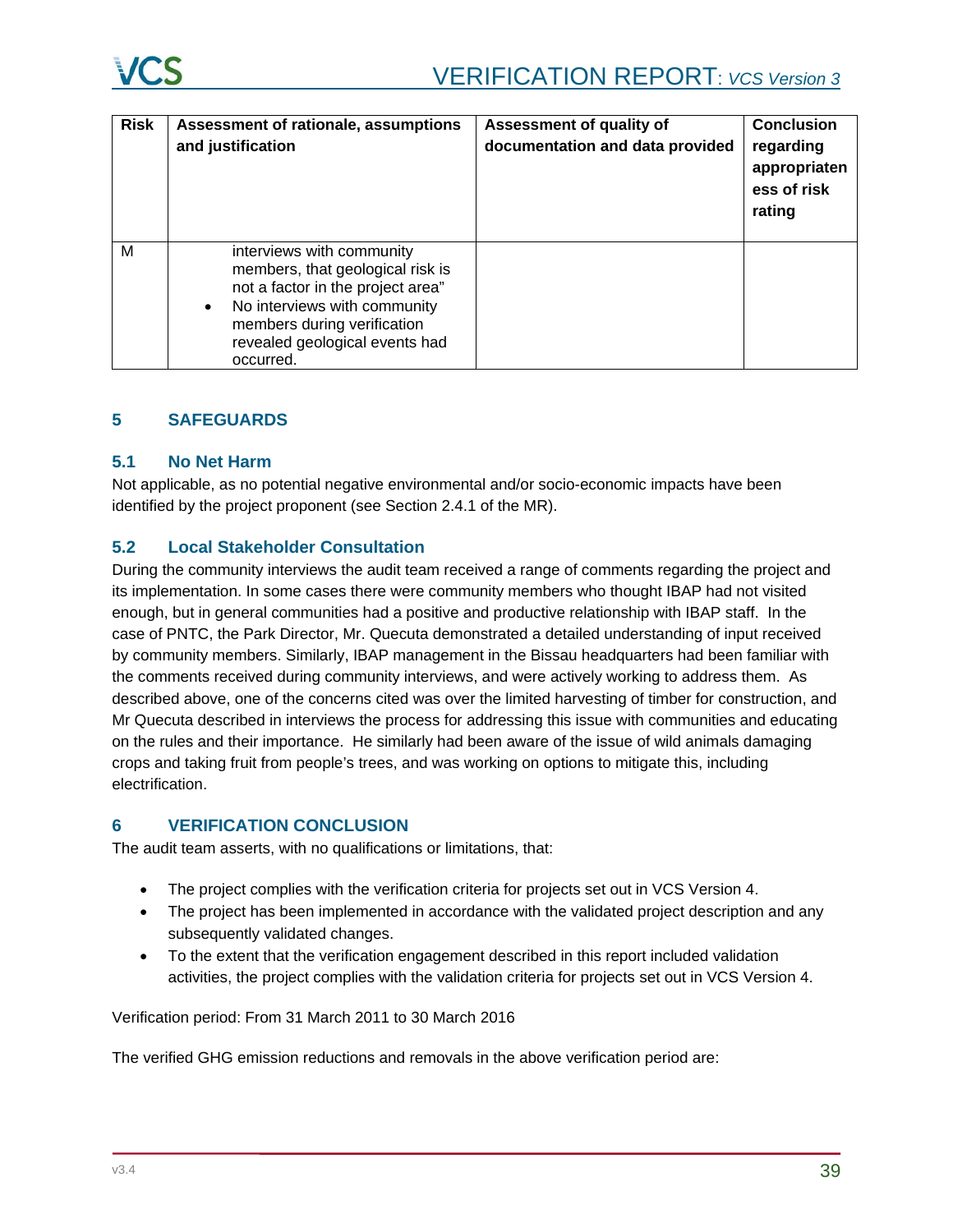| <b>Risk</b> | Assessment of rationale, assumptions<br>and justification                                                                                                                                                                     | Assessment of quality of<br>documentation and data provided | <b>Conclusion</b><br>regarding<br>appropriaten<br>ess of risk<br>rating |
|-------------|-------------------------------------------------------------------------------------------------------------------------------------------------------------------------------------------------------------------------------|-------------------------------------------------------------|-------------------------------------------------------------------------|
| M           | interviews with community<br>members, that geological risk is<br>not a factor in the project area"<br>No interviews with community<br>$\bullet$<br>members during verification<br>revealed geological events had<br>occurred. |                                                             |                                                                         |

# **5 SAFEGUARDS**

# **5.1 No Net Harm**

Not applicable, as no potential negative environmental and/or socio-economic impacts have been identified by the project proponent (see Section 2.4.1 of the MR).

# **5.2 Local Stakeholder Consultation**

During the community interviews the audit team received a range of comments regarding the project and its implementation. In some cases there were community members who thought IBAP had not visited enough, but in general communities had a positive and productive relationship with IBAP staff. In the case of PNTC, the Park Director, Mr. Quecuta demonstrated a detailed understanding of input received by community members. Similarly, IBAP management in the Bissau headquarters had been familiar with the comments received during community interviews, and were actively working to address them. As described above, one of the concerns cited was over the limited harvesting of timber for construction, and Mr Quecuta described in interviews the process for addressing this issue with communities and educating on the rules and their importance. He similarly had been aware of the issue of wild animals damaging crops and taking fruit from people's trees, and was working on options to mitigate this, including electrification.

### **6 VERIFICATION CONCLUSION**

The audit team asserts, with no qualifications or limitations, that:

- The project complies with the verification criteria for projects set out in VCS Version 4.
- The project has been implemented in accordance with the validated project description and any subsequently validated changes.
- To the extent that the verification engagement described in this report included validation activities, the project complies with the validation criteria for projects set out in VCS Version 4.

Verification period: From 31 March 2011 to 30 March 2016

The verified GHG emission reductions and removals in the above verification period are: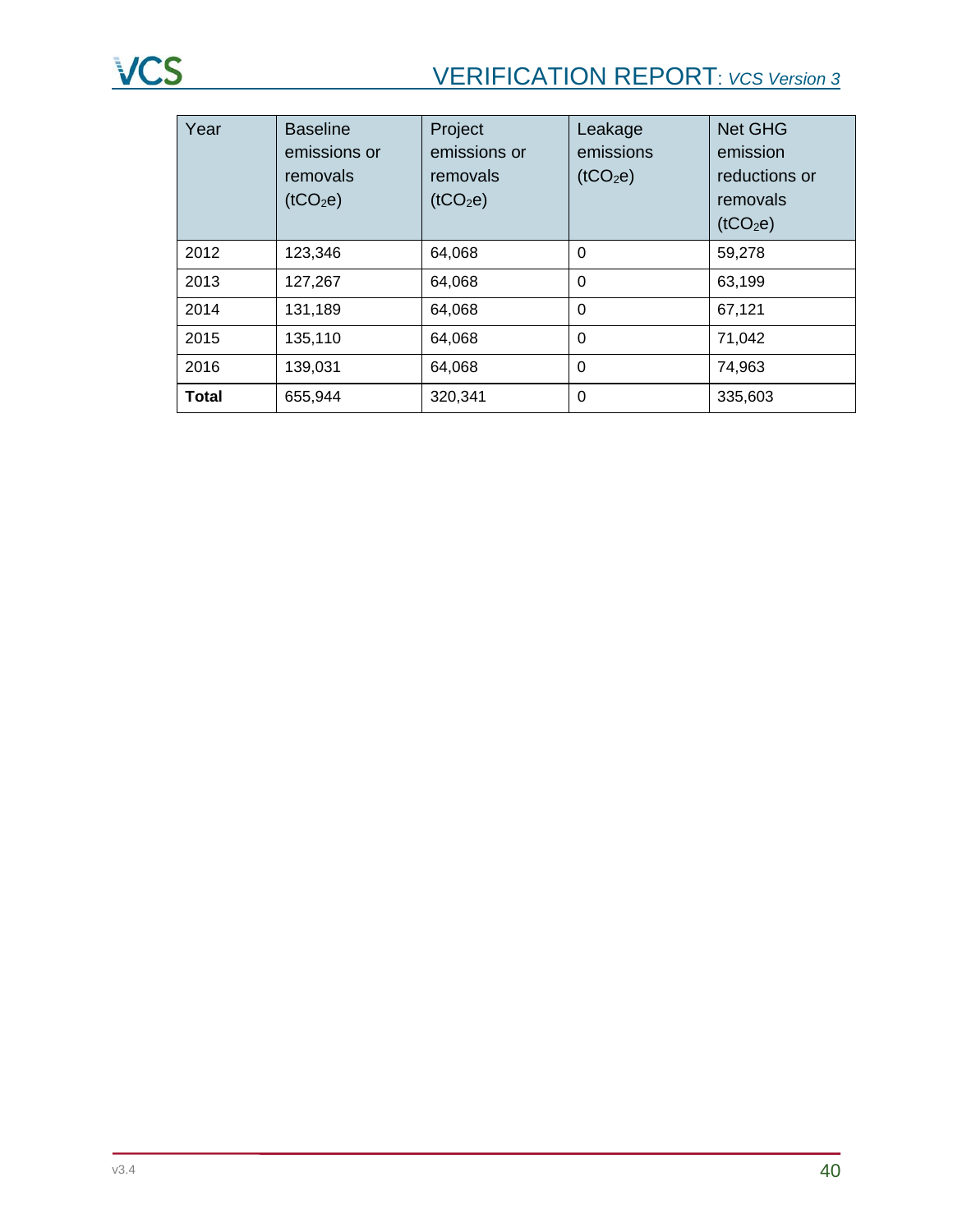# VERIFICATION REPORT: *VCS Version 3*

| Year         | <b>Baseline</b><br>emissions or<br>removals<br>(tCO <sub>2</sub> e) | Project<br>emissions or<br>removals<br>(tCO <sub>2</sub> e) | Leakage<br>emissions<br>(tCO <sub>2</sub> e) | <b>Net GHG</b><br>emission<br>reductions or<br>removals<br>(tCO <sub>2</sub> e) |
|--------------|---------------------------------------------------------------------|-------------------------------------------------------------|----------------------------------------------|---------------------------------------------------------------------------------|
| 2012         | 123,346                                                             | 64,068                                                      | $\Omega$                                     | 59,278                                                                          |
| 2013         | 127,267                                                             | 64,068                                                      | $\Omega$                                     | 63,199                                                                          |
| 2014         | 131,189                                                             | 64,068                                                      | $\Omega$                                     | 67,121                                                                          |
| 2015         | 135,110                                                             | 64,068                                                      | $\Omega$                                     | 71,042                                                                          |
| 2016         | 139,031                                                             | 64,068                                                      | $\Omega$                                     | 74,963                                                                          |
| <b>Total</b> | 655,944                                                             | 320,341                                                     | 0                                            | 335,603                                                                         |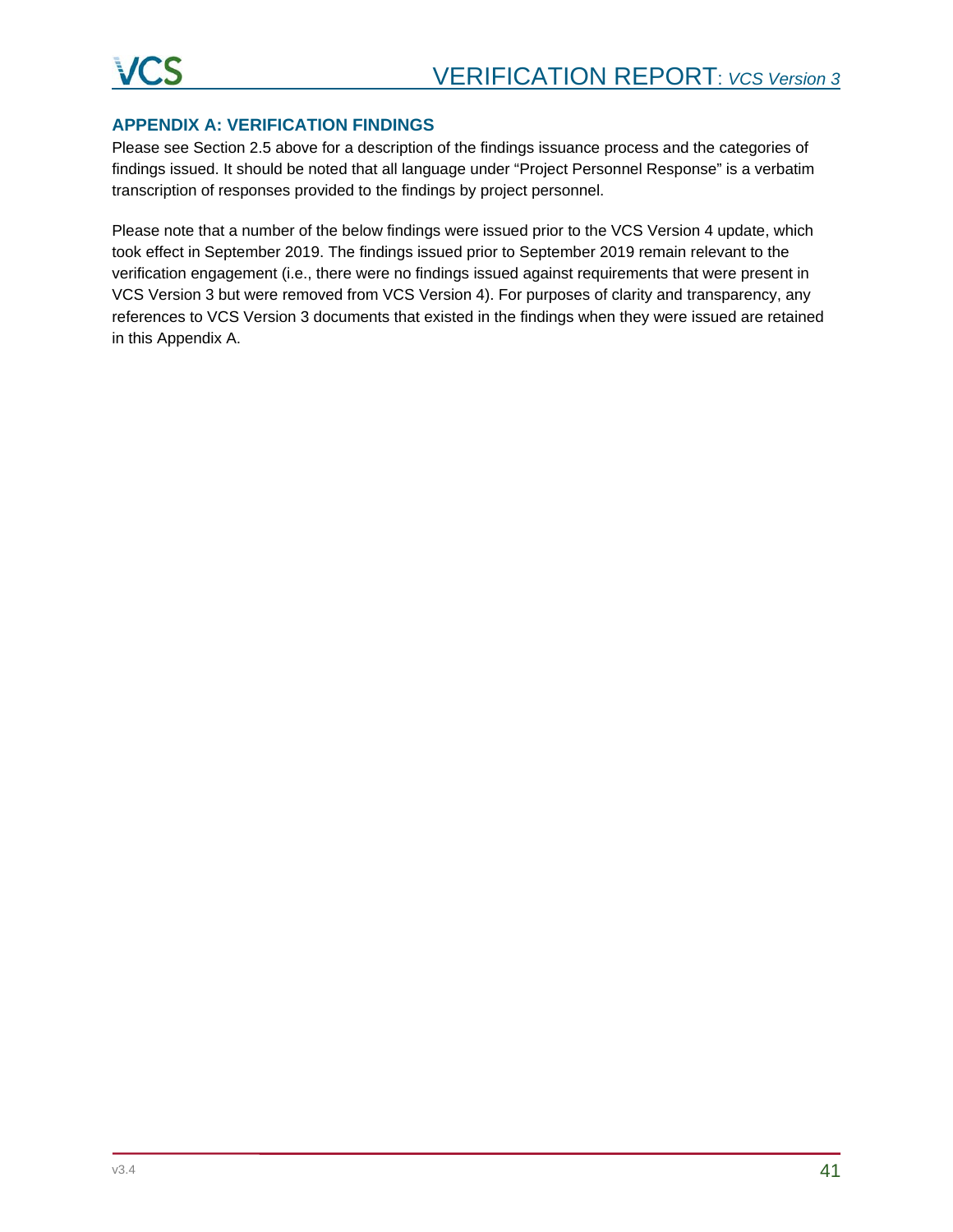# **APPENDIX A: VERIFICATION FINDINGS**

Please see Section 2.5 above for a description of the findings issuance process and the categories of findings issued. It should be noted that all language under "Project Personnel Response" is a verbatim transcription of responses provided to the findings by project personnel.

Please note that a number of the below findings were issued prior to the VCS Version 4 update, which took effect in September 2019. The findings issued prior to September 2019 remain relevant to the verification engagement (i.e., there were no findings issued against requirements that were present in VCS Version 3 but were removed from VCS Version 4). For purposes of clarity and transparency, any references to VCS Version 3 documents that existed in the findings when they were issued are retained in this Appendix A.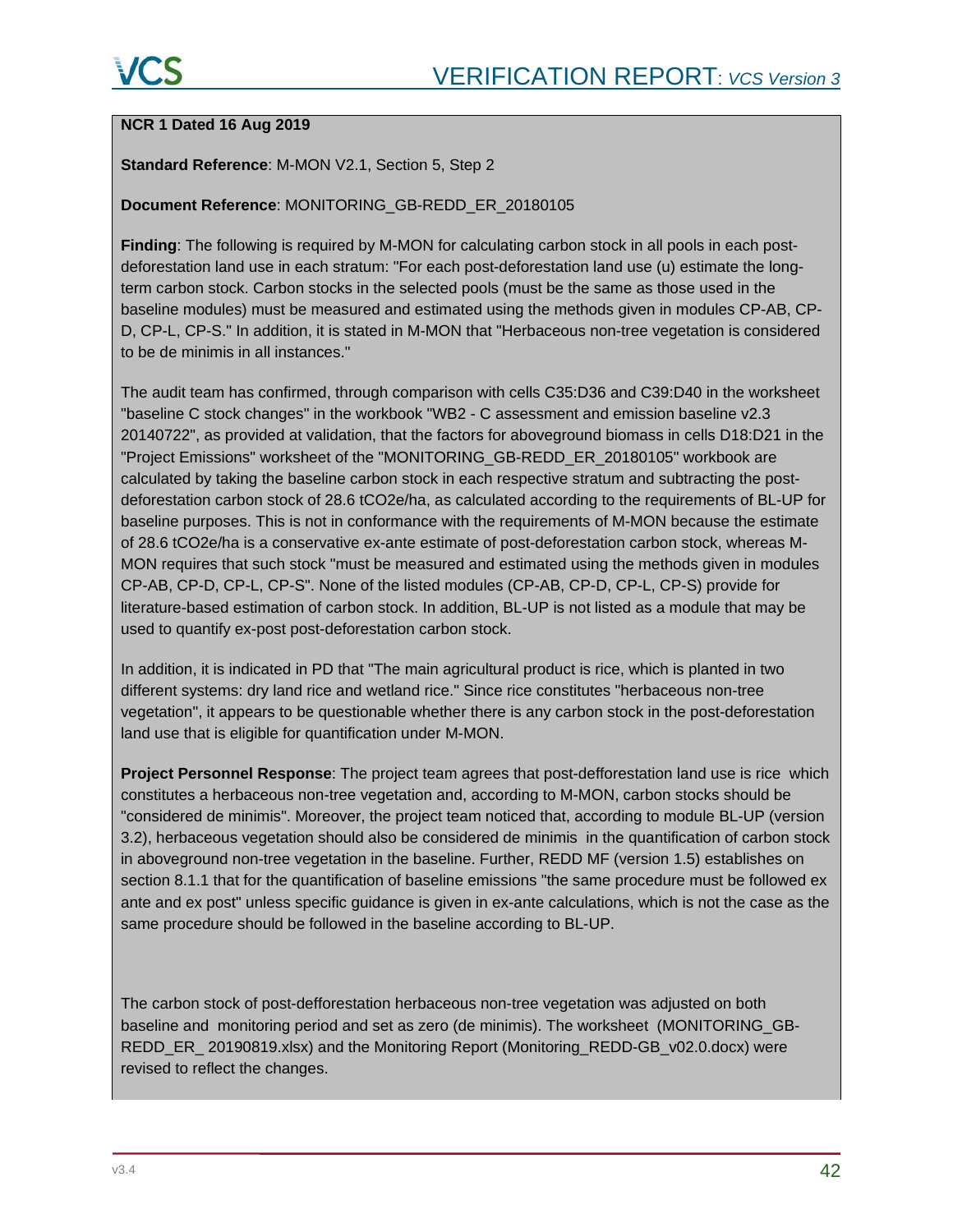#### **NCR 1 Dated 16 Aug 2019**

#### **Standard Reference**: M-MON V2.1, Section 5, Step 2

#### **Document Reference**: MONITORING\_GB-REDD\_ER\_20180105

**Finding**: The following is required by M-MON for calculating carbon stock in all pools in each postdeforestation land use in each stratum: "For each post-deforestation land use (u) estimate the longterm carbon stock. Carbon stocks in the selected pools (must be the same as those used in the baseline modules) must be measured and estimated using the methods given in modules CP-AB, CP-D, CP-L, CP-S." In addition, it is stated in M-MON that "Herbaceous non-tree vegetation is considered to be de minimis in all instances."

The audit team has confirmed, through comparison with cells C35:D36 and C39:D40 in the worksheet "baseline C stock changes" in the workbook "WB2 - C assessment and emission baseline v2.3 20140722", as provided at validation, that the factors for aboveground biomass in cells D18:D21 in the "Project Emissions" worksheet of the "MONITORING\_GB-REDD\_ER\_20180105" workbook are calculated by taking the baseline carbon stock in each respective stratum and subtracting the postdeforestation carbon stock of 28.6 tCO2e/ha, as calculated according to the requirements of BL-UP for baseline purposes. This is not in conformance with the requirements of M-MON because the estimate of 28.6 tCO2e/ha is a conservative ex-ante estimate of post-deforestation carbon stock, whereas M-MON requires that such stock "must be measured and estimated using the methods given in modules CP-AB, CP-D, CP-L, CP-S". None of the listed modules (CP-AB, CP-D, CP-L, CP-S) provide for literature-based estimation of carbon stock. In addition, BL-UP is not listed as a module that may be used to quantify ex-post post-deforestation carbon stock.

In addition, it is indicated in PD that "The main agricultural product is rice, which is planted in two different systems: dry land rice and wetland rice." Since rice constitutes "herbaceous non-tree vegetation", it appears to be questionable whether there is any carbon stock in the post-deforestation land use that is eligible for quantification under M-MON.

**Project Personnel Response**: The project team agrees that post-defforestation land use is rice which constitutes a herbaceous non-tree vegetation and, according to M-MON, carbon stocks should be "considered de minimis". Moreover, the project team noticed that, according to module BL-UP (version 3.2), herbaceous vegetation should also be considered de minimis in the quantification of carbon stock in aboveground non-tree vegetation in the baseline. Further, REDD MF (version 1.5) establishes on section 8.1.1 that for the quantification of baseline emissions "the same procedure must be followed ex ante and ex post" unless specific guidance is given in ex-ante calculations, which is not the case as the same procedure should be followed in the baseline according to BL-UP.

The carbon stock of post-defforestation herbaceous non-tree vegetation was adjusted on both baseline and monitoring period and set as zero (de minimis). The worksheet (MONITORING\_GB-REDD\_ER\_ 20190819.xlsx) and the Monitoring Report (Monitoring\_REDD-GB\_v02.0.docx) were revised to reflect the changes.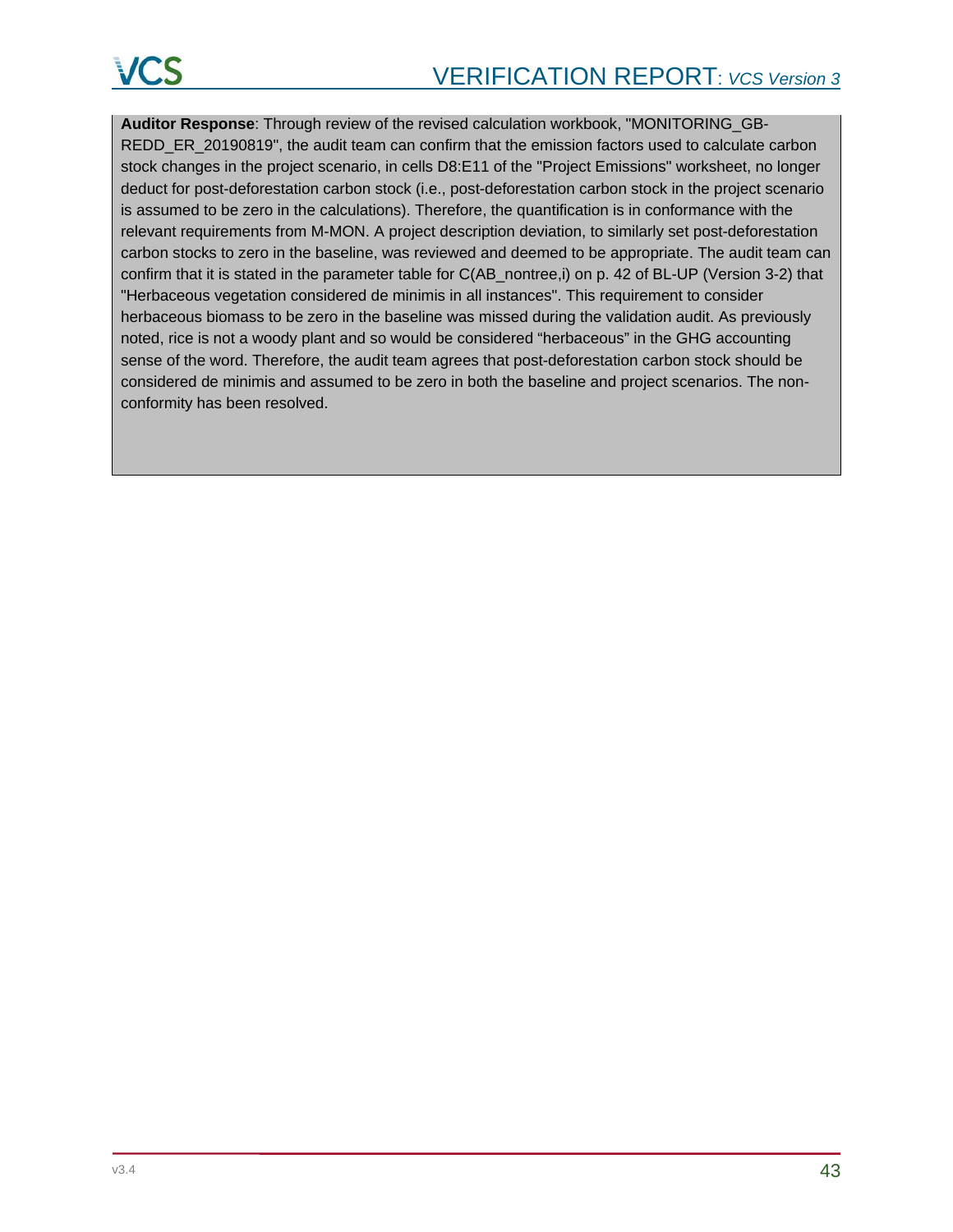**Auditor Response**: Through review of the revised calculation workbook, "MONITORING\_GB-REDD\_ER\_20190819", the audit team can confirm that the emission factors used to calculate carbon stock changes in the project scenario, in cells D8:E11 of the "Project Emissions" worksheet, no longer deduct for post-deforestation carbon stock (i.e., post-deforestation carbon stock in the project scenario is assumed to be zero in the calculations). Therefore, the quantification is in conformance with the relevant requirements from M-MON. A project description deviation, to similarly set post-deforestation carbon stocks to zero in the baseline, was reviewed and deemed to be appropriate. The audit team can confirm that it is stated in the parameter table for C(AB\_nontree,i) on p. 42 of BL-UP (Version 3-2) that "Herbaceous vegetation considered de minimis in all instances". This requirement to consider herbaceous biomass to be zero in the baseline was missed during the validation audit. As previously noted, rice is not a woody plant and so would be considered "herbaceous" in the GHG accounting sense of the word. Therefore, the audit team agrees that post-deforestation carbon stock should be considered de minimis and assumed to be zero in both the baseline and project scenarios. The nonconformity has been resolved.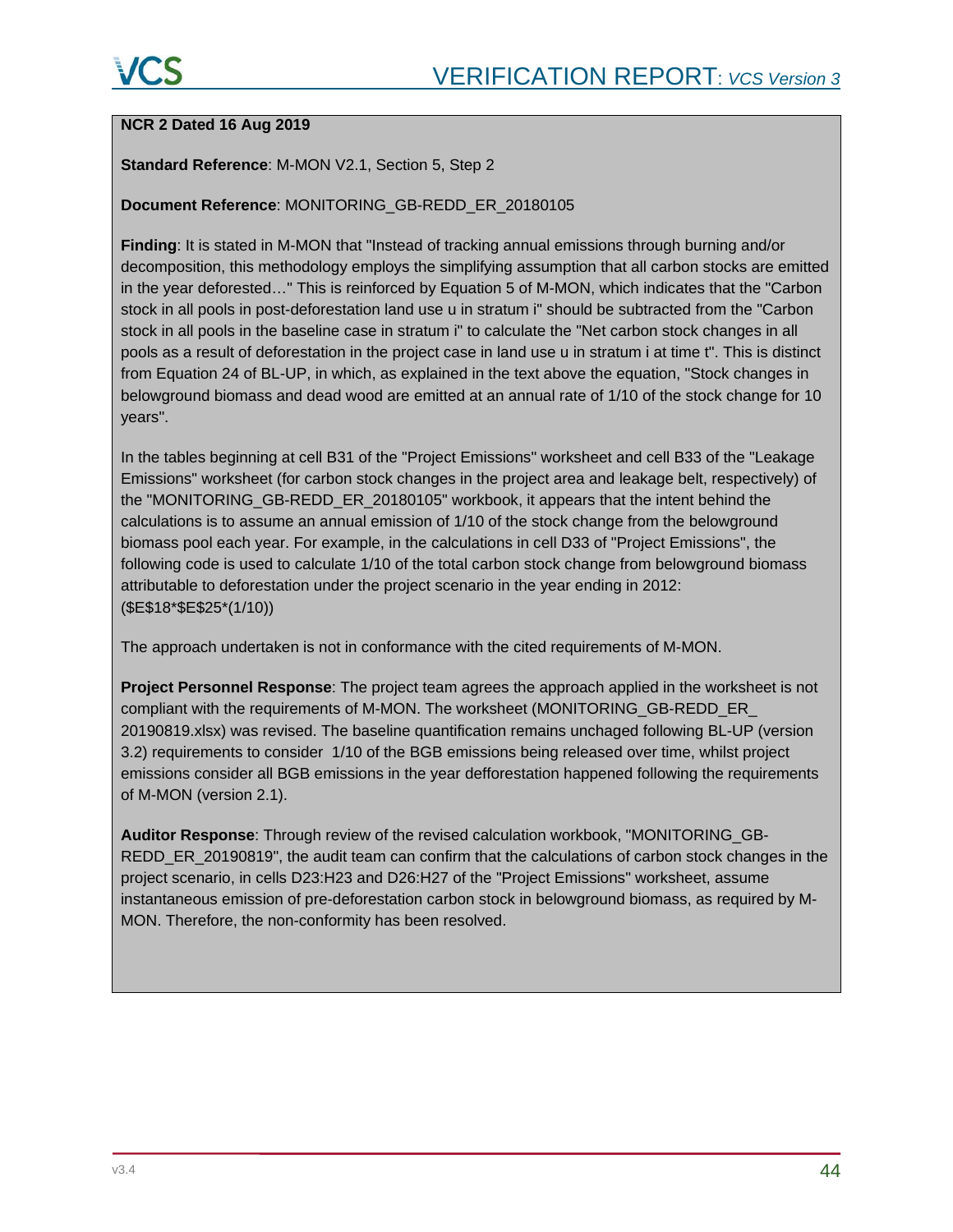### **NCR 2 Dated 16 Aug 2019**

#### **Standard Reference**: M-MON V2.1, Section 5, Step 2

#### **Document Reference**: MONITORING\_GB-REDD\_ER\_20180105

**Finding**: It is stated in M-MON that "Instead of tracking annual emissions through burning and/or decomposition, this methodology employs the simplifying assumption that all carbon stocks are emitted in the year deforested…" This is reinforced by Equation 5 of M-MON, which indicates that the "Carbon stock in all pools in post-deforestation land use u in stratum i" should be subtracted from the "Carbon stock in all pools in the baseline case in stratum i" to calculate the "Net carbon stock changes in all pools as a result of deforestation in the project case in land use u in stratum i at time t". This is distinct from Equation 24 of BL-UP, in which, as explained in the text above the equation, "Stock changes in belowground biomass and dead wood are emitted at an annual rate of 1/10 of the stock change for 10 years".

In the tables beginning at cell B31 of the "Project Emissions" worksheet and cell B33 of the "Leakage Emissions" worksheet (for carbon stock changes in the project area and leakage belt, respectively) of the "MONITORING\_GB-REDD\_ER\_20180105" workbook, it appears that the intent behind the calculations is to assume an annual emission of 1/10 of the stock change from the belowground biomass pool each year. For example, in the calculations in cell D33 of "Project Emissions", the following code is used to calculate 1/10 of the total carbon stock change from belowground biomass attributable to deforestation under the project scenario in the year ending in 2012: (\$E\$18\*\$E\$25\*(1/10))

The approach undertaken is not in conformance with the cited requirements of M-MON.

**Project Personnel Response**: The project team agrees the approach applied in the worksheet is not compliant with the requirements of M-MON. The worksheet (MONITORING\_GB-REDD\_ER\_ 20190819.xlsx) was revised. The baseline quantification remains unchaged following BL-UP (version 3.2) requirements to consider 1/10 of the BGB emissions being released over time, whilst project emissions consider all BGB emissions in the year defforestation happened following the requirements of M-MON (version 2.1).

**Auditor Response**: Through review of the revised calculation workbook, "MONITORING\_GB-REDD\_ER\_20190819", the audit team can confirm that the calculations of carbon stock changes in the project scenario, in cells D23:H23 and D26:H27 of the "Project Emissions" worksheet, assume instantaneous emission of pre-deforestation carbon stock in belowground biomass, as required by M-MON. Therefore, the non-conformity has been resolved.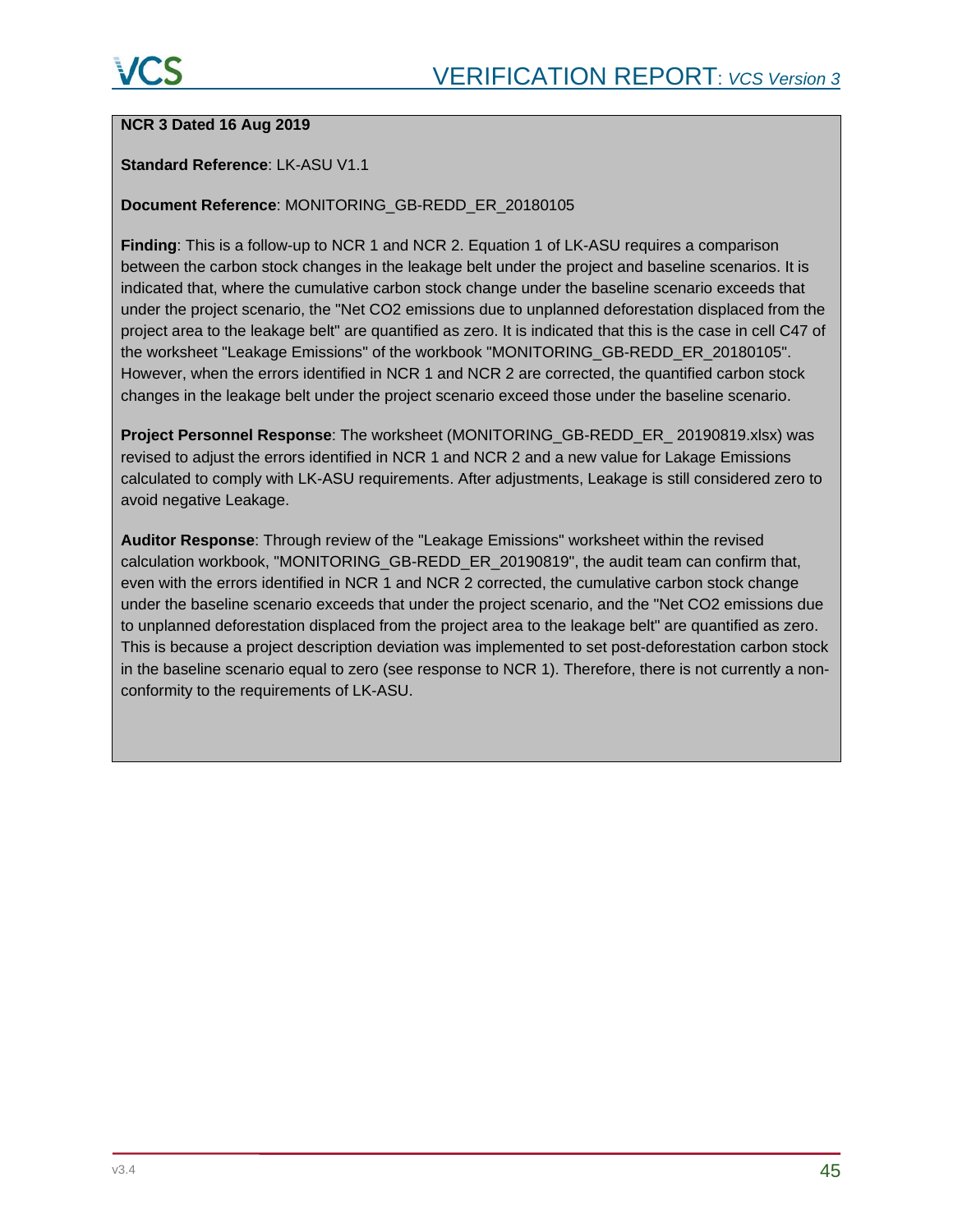#### **NCR 3 Dated 16 Aug 2019**

#### **Standard Reference**: LK-ASU V1.1

#### **Document Reference**: MONITORING\_GB-REDD\_ER\_20180105

**Finding**: This is a follow-up to NCR 1 and NCR 2. Equation 1 of LK-ASU requires a comparison between the carbon stock changes in the leakage belt under the project and baseline scenarios. It is indicated that, where the cumulative carbon stock change under the baseline scenario exceeds that under the project scenario, the "Net CO2 emissions due to unplanned deforestation displaced from the project area to the leakage belt" are quantified as zero. It is indicated that this is the case in cell C47 of the worksheet "Leakage Emissions" of the workbook "MONITORING\_GB-REDD\_ER\_20180105". However, when the errors identified in NCR 1 and NCR 2 are corrected, the quantified carbon stock changes in the leakage belt under the project scenario exceed those under the baseline scenario.

**Project Personnel Response**: The worksheet (MONITORING\_GB-REDD\_ER\_ 20190819.xlsx) was revised to adjust the errors identified in NCR 1 and NCR 2 and a new value for Lakage Emissions calculated to comply with LK-ASU requirements. After adjustments, Leakage is still considered zero to avoid negative Leakage.

**Auditor Response**: Through review of the "Leakage Emissions" worksheet within the revised calculation workbook, "MONITORING\_GB-REDD\_ER\_20190819", the audit team can confirm that, even with the errors identified in NCR 1 and NCR 2 corrected, the cumulative carbon stock change under the baseline scenario exceeds that under the project scenario, and the "Net CO2 emissions due to unplanned deforestation displaced from the project area to the leakage belt" are quantified as zero. This is because a project description deviation was implemented to set post-deforestation carbon stock in the baseline scenario equal to zero (see response to NCR 1). Therefore, there is not currently a nonconformity to the requirements of LK-ASU.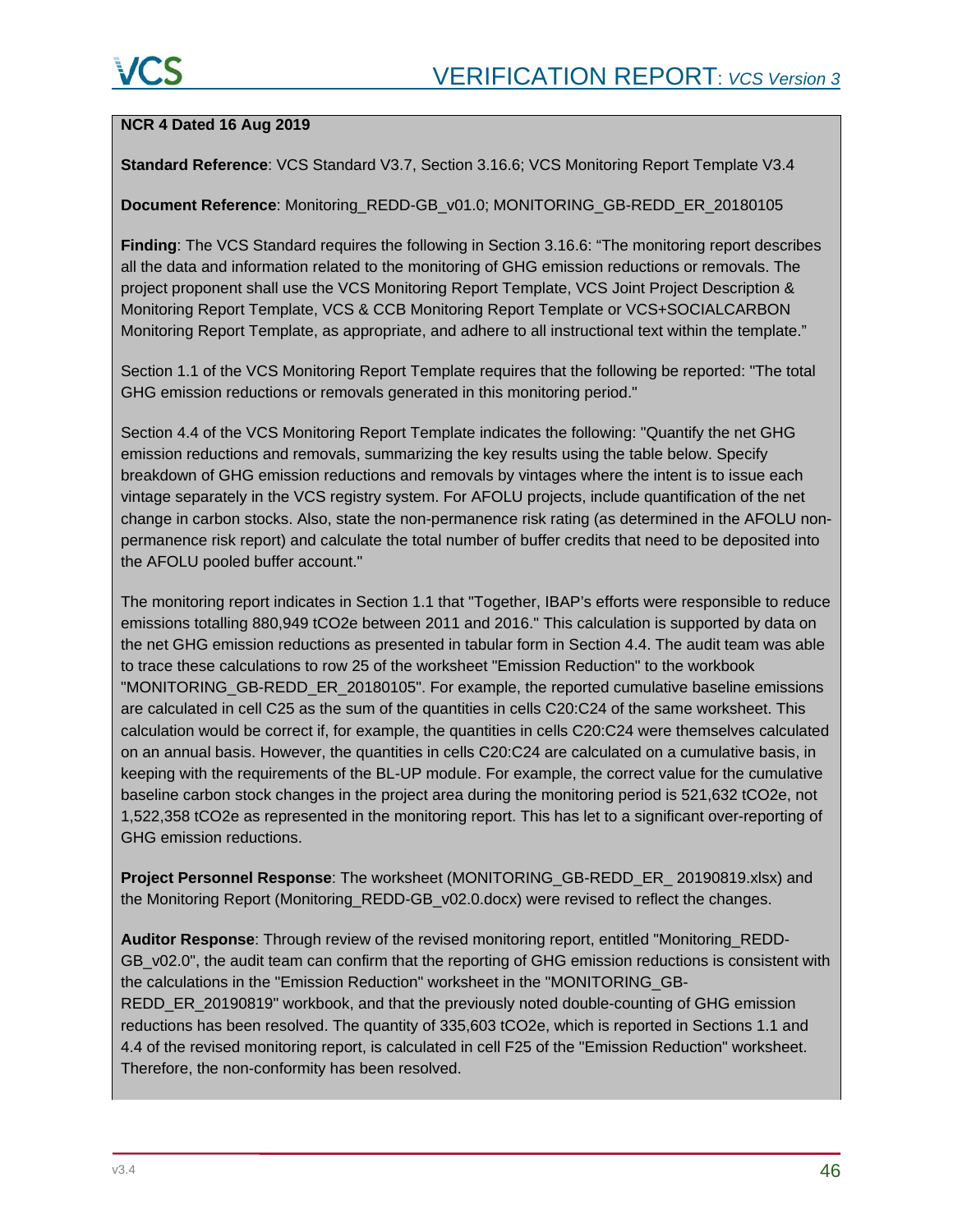#### **NCR 4 Dated 16 Aug 2019**

**Standard Reference**: VCS Standard V3.7, Section 3.16.6; VCS Monitoring Report Template V3.4

**Document Reference**: Monitoring\_REDD-GB\_v01.0; MONITORING\_GB-REDD\_ER\_20180105

**Finding**: The VCS Standard requires the following in Section 3.16.6: "The monitoring report describes all the data and information related to the monitoring of GHG emission reductions or removals. The project proponent shall use the VCS Monitoring Report Template, VCS Joint Project Description & Monitoring Report Template, VCS & CCB Monitoring Report Template or VCS+SOCIALCARBON Monitoring Report Template, as appropriate, and adhere to all instructional text within the template."

Section 1.1 of the VCS Monitoring Report Template requires that the following be reported: "The total GHG emission reductions or removals generated in this monitoring period."

Section 4.4 of the VCS Monitoring Report Template indicates the following: "Quantify the net GHG emission reductions and removals, summarizing the key results using the table below. Specify breakdown of GHG emission reductions and removals by vintages where the intent is to issue each vintage separately in the VCS registry system. For AFOLU projects, include quantification of the net change in carbon stocks. Also, state the non-permanence risk rating (as determined in the AFOLU nonpermanence risk report) and calculate the total number of buffer credits that need to be deposited into the AFOLU pooled buffer account."

The monitoring report indicates in Section 1.1 that "Together, IBAP's efforts were responsible to reduce emissions totalling 880,949 tCO2e between 2011 and 2016." This calculation is supported by data on the net GHG emission reductions as presented in tabular form in Section 4.4. The audit team was able to trace these calculations to row 25 of the worksheet "Emission Reduction" to the workbook "MONITORING\_GB-REDD\_ER\_20180105". For example, the reported cumulative baseline emissions are calculated in cell C25 as the sum of the quantities in cells C20:C24 of the same worksheet. This calculation would be correct if, for example, the quantities in cells C20:C24 were themselves calculated on an annual basis. However, the quantities in cells C20:C24 are calculated on a cumulative basis, in keeping with the requirements of the BL-UP module. For example, the correct value for the cumulative baseline carbon stock changes in the project area during the monitoring period is 521,632 tCO2e, not 1,522,358 tCO2e as represented in the monitoring report. This has let to a significant over-reporting of GHG emission reductions.

**Project Personnel Response**: The worksheet (MONITORING\_GB-REDD\_ER\_ 20190819.xlsx) and the Monitoring Report (Monitoring\_REDD-GB\_v02.0.docx) were revised to reflect the changes.

**Auditor Response**: Through review of the revised monitoring report, entitled "Monitoring\_REDD-GB v02.0", the audit team can confirm that the reporting of GHG emission reductions is consistent with the calculations in the "Emission Reduction" worksheet in the "MONITORING\_GB-REDD\_ER\_20190819" workbook, and that the previously noted double-counting of GHG emission reductions has been resolved. The quantity of 335,603 tCO2e, which is reported in Sections 1.1 and 4.4 of the revised monitoring report, is calculated in cell F25 of the "Emission Reduction" worksheet. Therefore, the non-conformity has been resolved.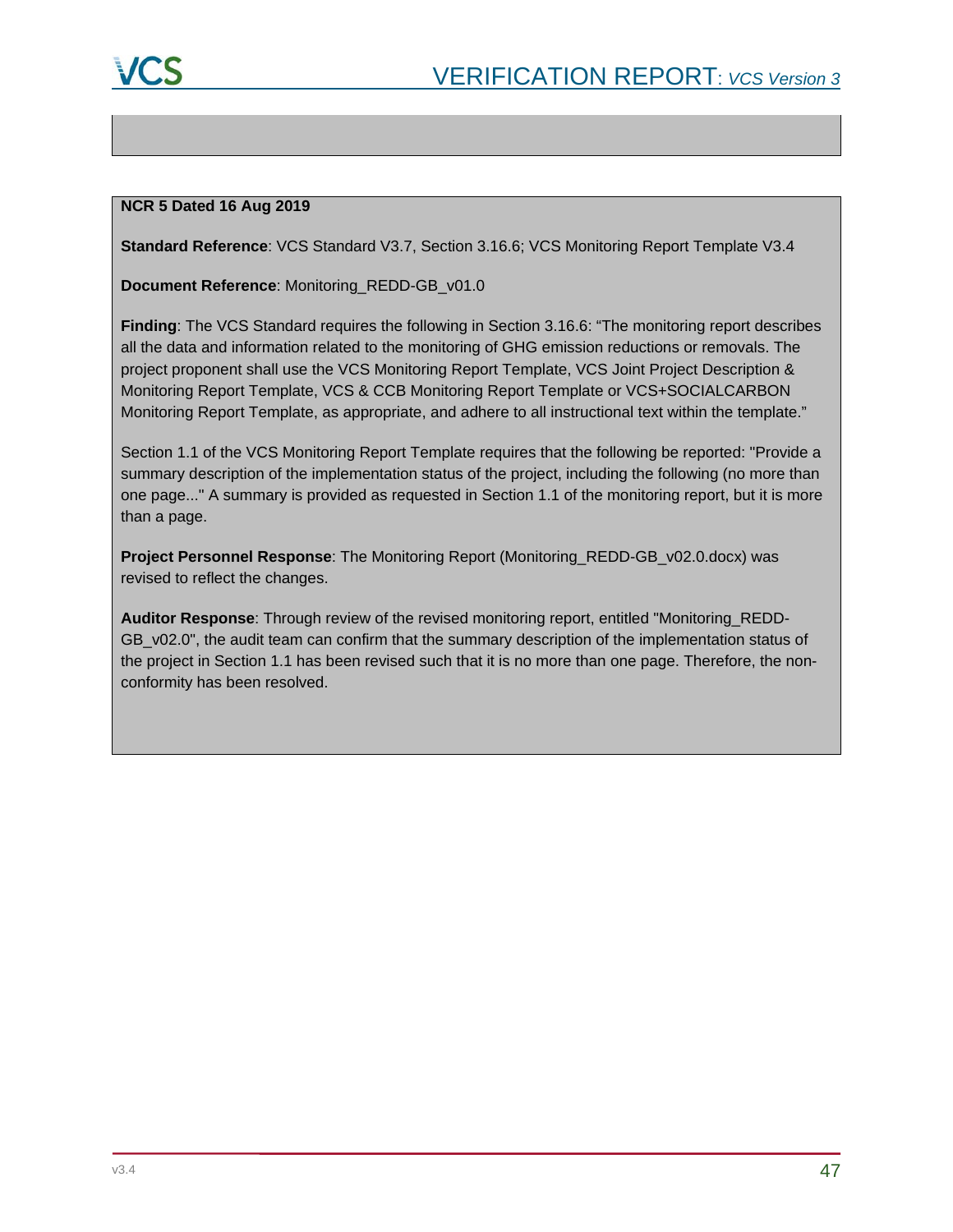

#### **NCR 5 Dated 16 Aug 2019**

**Standard Reference**: VCS Standard V3.7, Section 3.16.6; VCS Monitoring Report Template V3.4

**Document Reference**: Monitoring\_REDD-GB\_v01.0

**Finding**: The VCS Standard requires the following in Section 3.16.6: "The monitoring report describes all the data and information related to the monitoring of GHG emission reductions or removals. The project proponent shall use the VCS Monitoring Report Template, VCS Joint Project Description & Monitoring Report Template, VCS & CCB Monitoring Report Template or VCS+SOCIALCARBON Monitoring Report Template, as appropriate, and adhere to all instructional text within the template."

Section 1.1 of the VCS Monitoring Report Template requires that the following be reported: "Provide a summary description of the implementation status of the project, including the following (no more than one page..." A summary is provided as requested in Section 1.1 of the monitoring report, but it is more than a page.

**Project Personnel Response**: The Monitoring Report (Monitoring\_REDD-GB\_v02.0.docx) was revised to reflect the changes.

**Auditor Response**: Through review of the revised monitoring report, entitled "Monitoring\_REDD-GB\_v02.0", the audit team can confirm that the summary description of the implementation status of the project in Section 1.1 has been revised such that it is no more than one page. Therefore, the nonconformity has been resolved.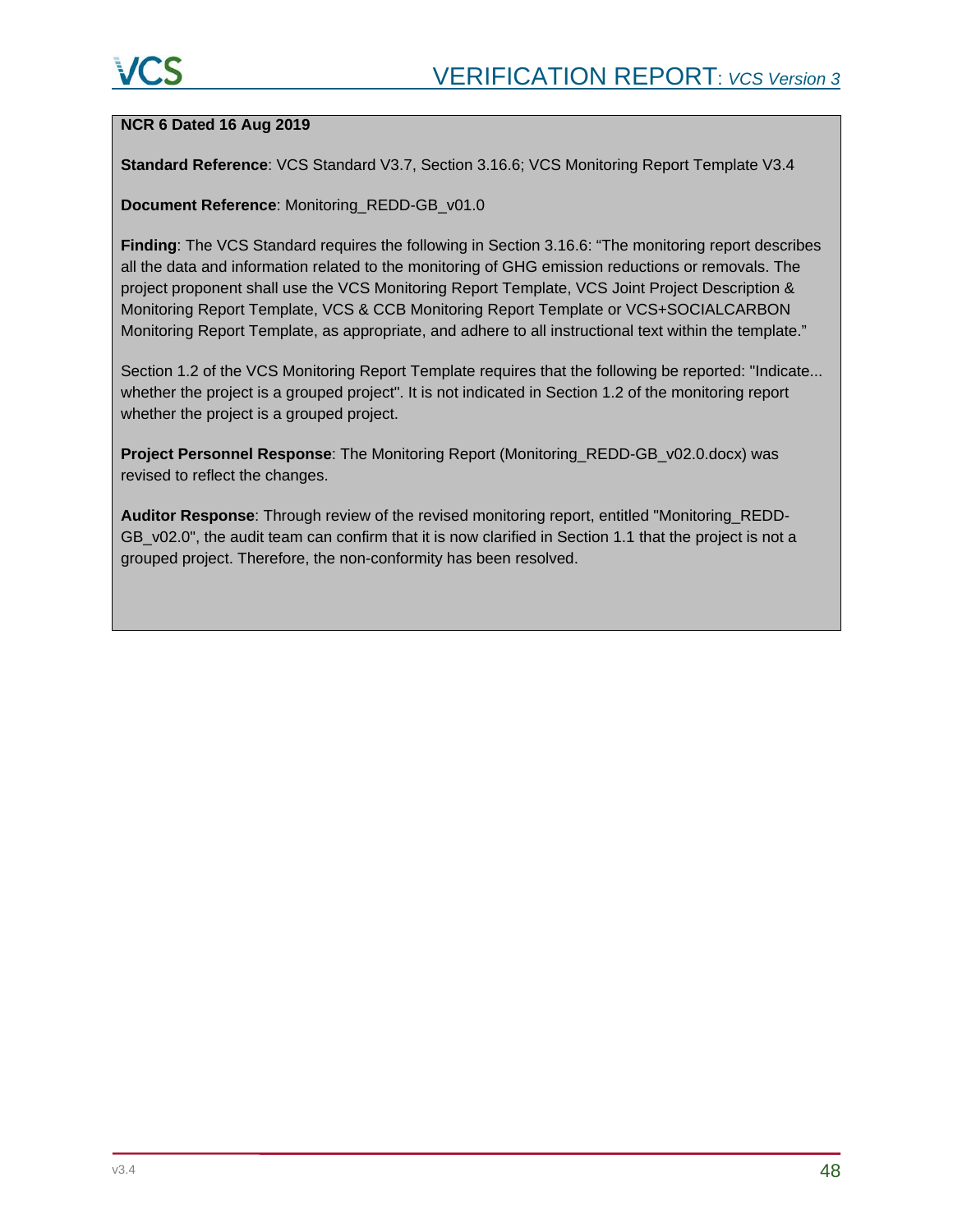#### **NCR 6 Dated 16 Aug 2019**

**Standard Reference**: VCS Standard V3.7, Section 3.16.6; VCS Monitoring Report Template V3.4

#### **Document Reference**: Monitoring\_REDD-GB\_v01.0

**Finding**: The VCS Standard requires the following in Section 3.16.6: "The monitoring report describes all the data and information related to the monitoring of GHG emission reductions or removals. The project proponent shall use the VCS Monitoring Report Template, VCS Joint Project Description & Monitoring Report Template, VCS & CCB Monitoring Report Template or VCS+SOCIALCARBON Monitoring Report Template, as appropriate, and adhere to all instructional text within the template."

Section 1.2 of the VCS Monitoring Report Template requires that the following be reported: "Indicate... whether the project is a grouped project". It is not indicated in Section 1.2 of the monitoring report whether the project is a grouped project.

**Project Personnel Response**: The Monitoring Report (Monitoring\_REDD-GB\_v02.0.docx) was revised to reflect the changes.

**Auditor Response**: Through review of the revised monitoring report, entitled "Monitoring\_REDD-GB\_v02.0", the audit team can confirm that it is now clarified in Section 1.1 that the project is not a grouped project. Therefore, the non-conformity has been resolved.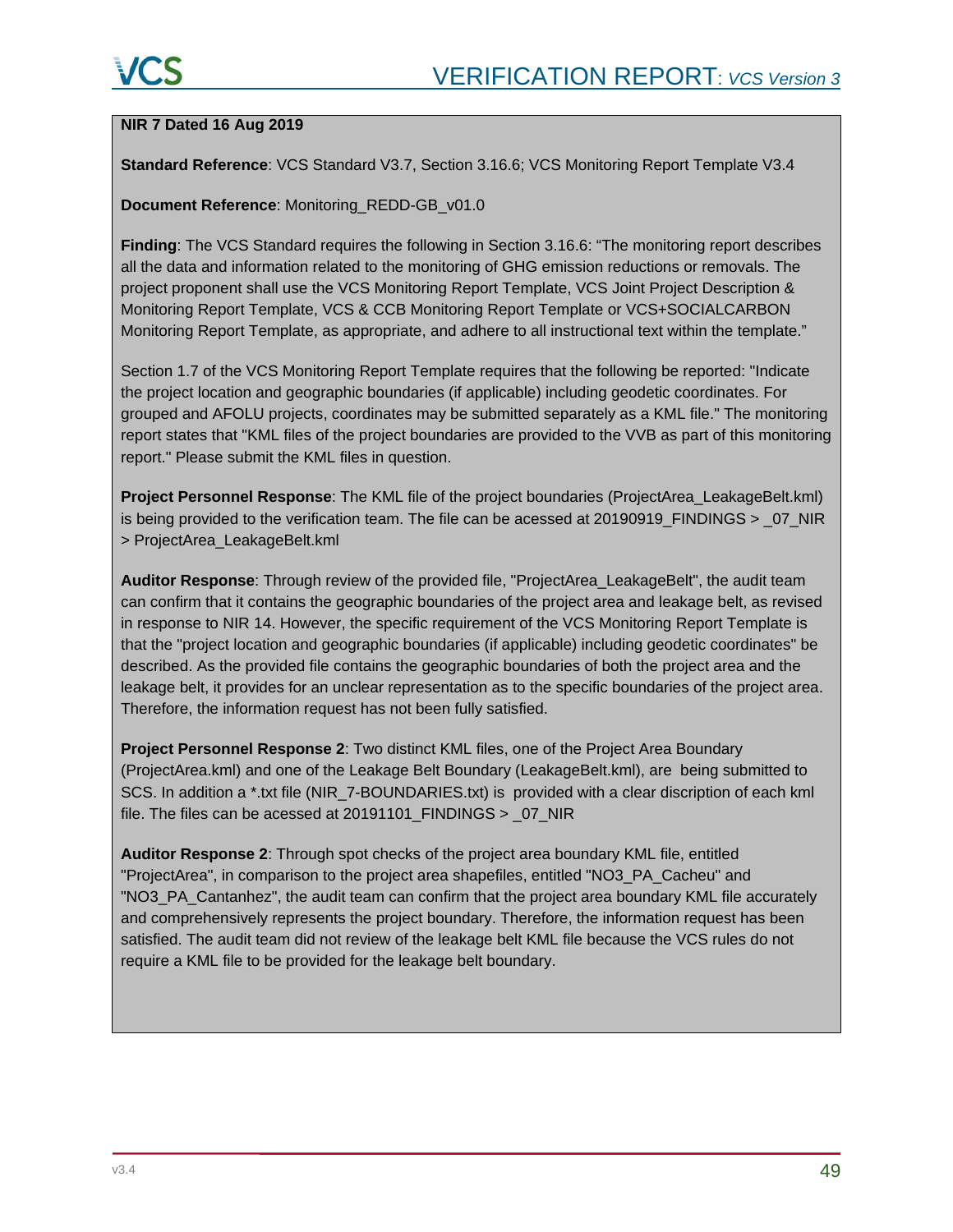#### **NIR 7 Dated 16 Aug 2019**

**Standard Reference**: VCS Standard V3.7, Section 3.16.6; VCS Monitoring Report Template V3.4

#### **Document Reference**: Monitoring\_REDD-GB\_v01.0

**Finding**: The VCS Standard requires the following in Section 3.16.6: "The monitoring report describes all the data and information related to the monitoring of GHG emission reductions or removals. The project proponent shall use the VCS Monitoring Report Template, VCS Joint Project Description & Monitoring Report Template, VCS & CCB Monitoring Report Template or VCS+SOCIALCARBON Monitoring Report Template, as appropriate, and adhere to all instructional text within the template."

Section 1.7 of the VCS Monitoring Report Template requires that the following be reported: "Indicate the project location and geographic boundaries (if applicable) including geodetic coordinates. For grouped and AFOLU projects, coordinates may be submitted separately as a KML file." The monitoring report states that "KML files of the project boundaries are provided to the VVB as part of this monitoring report." Please submit the KML files in question.

**Project Personnel Response**: The KML file of the project boundaries (ProjectArea\_LeakageBelt.kml) is being provided to the verification team. The file can be acessed at 20190919\_FINDINGS > \_07\_NIR > ProjectArea\_LeakageBelt.kml

**Auditor Response**: Through review of the provided file, "ProjectArea\_LeakageBelt", the audit team can confirm that it contains the geographic boundaries of the project area and leakage belt, as revised in response to NIR 14. However, the specific requirement of the VCS Monitoring Report Template is that the "project location and geographic boundaries (if applicable) including geodetic coordinates" be described. As the provided file contains the geographic boundaries of both the project area and the leakage belt, it provides for an unclear representation as to the specific boundaries of the project area. Therefore, the information request has not been fully satisfied.

**Project Personnel Response 2**: Two distinct KML files, one of the Project Area Boundary (ProjectArea.kml) and one of the Leakage Belt Boundary (LeakageBelt.kml), are being submitted to SCS. In addition a \*.txt file (NIR\_7-BOUNDARIES.txt) is provided with a clear discription of each kml file. The files can be acessed at 20191101\_FINDINGS > \_07\_NIR

**Auditor Response 2**: Through spot checks of the project area boundary KML file, entitled "ProjectArea", in comparison to the project area shapefiles, entitled "NO3\_PA\_Cacheu" and "NO3\_PA\_Cantanhez", the audit team can confirm that the project area boundary KML file accurately and comprehensively represents the project boundary. Therefore, the information request has been satisfied. The audit team did not review of the leakage belt KML file because the VCS rules do not require a KML file to be provided for the leakage belt boundary.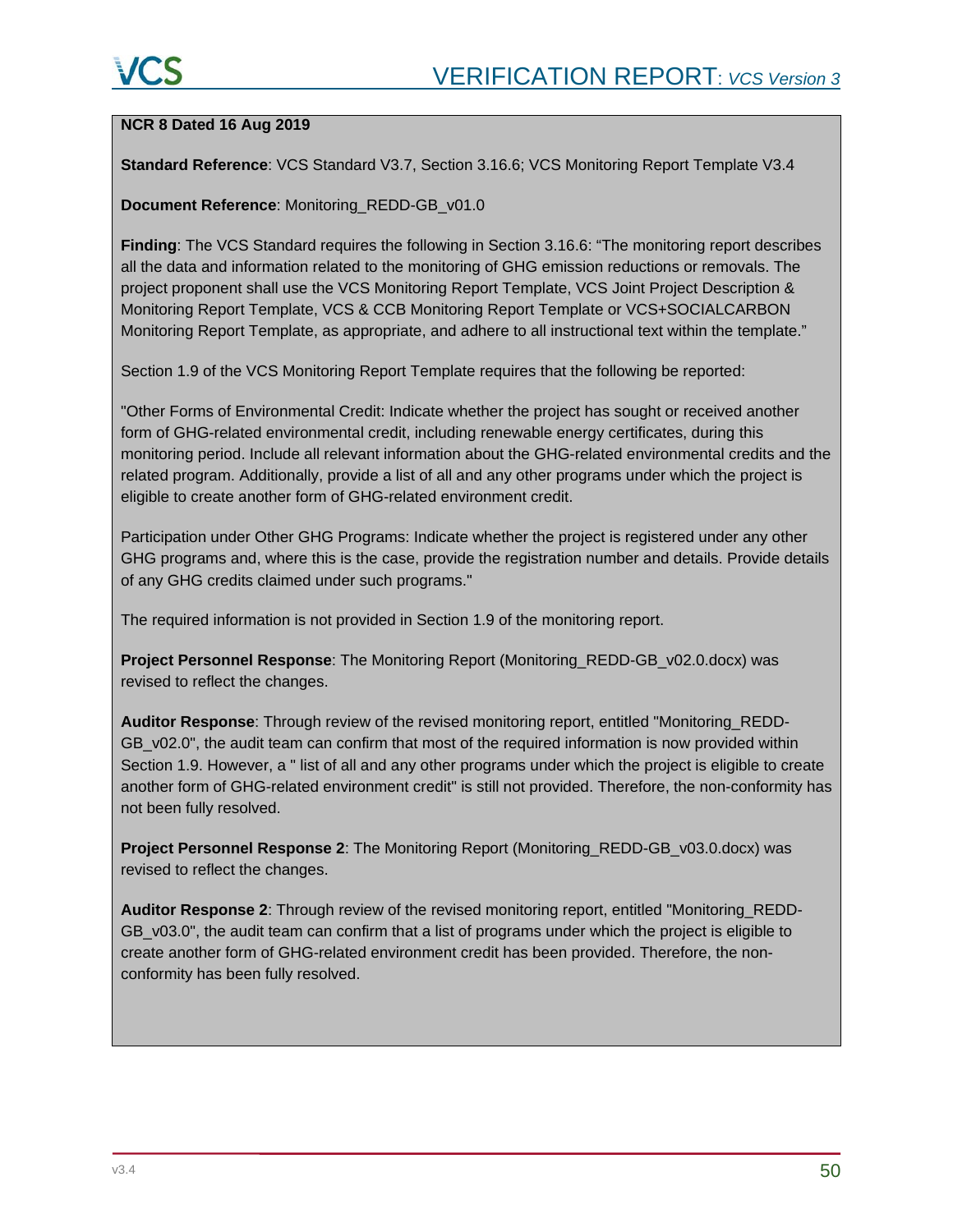#### **NCR 8 Dated 16 Aug 2019**

**Standard Reference**: VCS Standard V3.7, Section 3.16.6; VCS Monitoring Report Template V3.4

#### **Document Reference**: Monitoring\_REDD-GB\_v01.0

**Finding**: The VCS Standard requires the following in Section 3.16.6: "The monitoring report describes all the data and information related to the monitoring of GHG emission reductions or removals. The project proponent shall use the VCS Monitoring Report Template, VCS Joint Project Description & Monitoring Report Template, VCS & CCB Monitoring Report Template or VCS+SOCIALCARBON Monitoring Report Template, as appropriate, and adhere to all instructional text within the template."

Section 1.9 of the VCS Monitoring Report Template requires that the following be reported:

"Other Forms of Environmental Credit: Indicate whether the project has sought or received another form of GHG-related environmental credit, including renewable energy certificates, during this monitoring period. Include all relevant information about the GHG-related environmental credits and the related program. Additionally, provide a list of all and any other programs under which the project is eligible to create another form of GHG-related environment credit.

Participation under Other GHG Programs: Indicate whether the project is registered under any other GHG programs and, where this is the case, provide the registration number and details. Provide details of any GHG credits claimed under such programs."

The required information is not provided in Section 1.9 of the monitoring report.

**Project Personnel Response**: The Monitoring Report (Monitoring\_REDD-GB\_v02.0.docx) was revised to reflect the changes.

**Auditor Response**: Through review of the revised monitoring report, entitled "Monitoring\_REDD-GB v02.0", the audit team can confirm that most of the required information is now provided within Section 1.9. However, a " list of all and any other programs under which the project is eligible to create another form of GHG-related environment credit" is still not provided. Therefore, the non-conformity has not been fully resolved.

**Project Personnel Response 2**: The Monitoring Report (Monitoring\_REDD-GB\_v03.0.docx) was revised to reflect the changes.

**Auditor Response 2**: Through review of the revised monitoring report, entitled "Monitoring\_REDD-GB v03.0", the audit team can confirm that a list of programs under which the project is eligible to create another form of GHG-related environment credit has been provided. Therefore, the nonconformity has been fully resolved.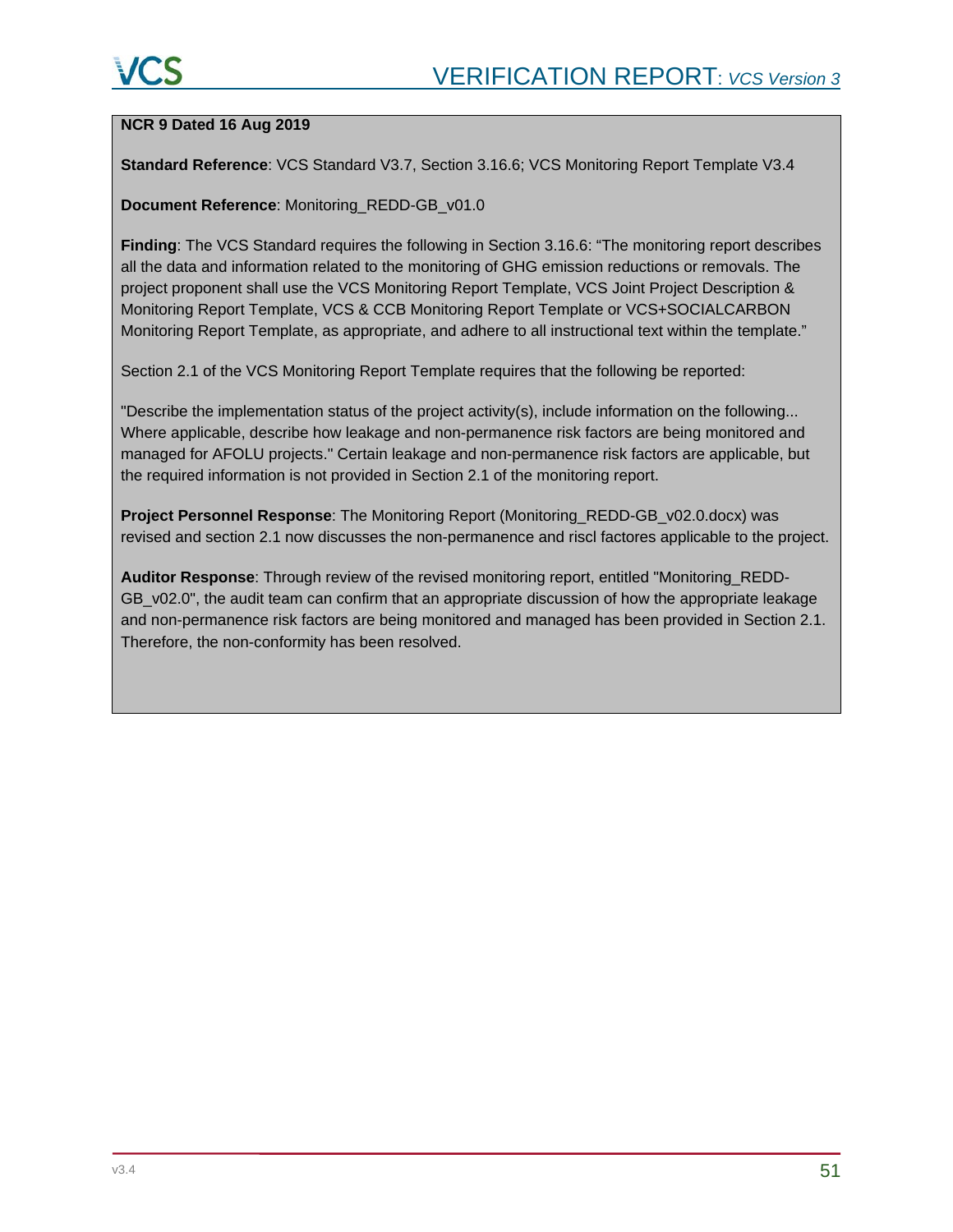#### **NCR 9 Dated 16 Aug 2019**

**Standard Reference**: VCS Standard V3.7, Section 3.16.6; VCS Monitoring Report Template V3.4

#### **Document Reference**: Monitoring\_REDD-GB\_v01.0

**Finding**: The VCS Standard requires the following in Section 3.16.6: "The monitoring report describes all the data and information related to the monitoring of GHG emission reductions or removals. The project proponent shall use the VCS Monitoring Report Template, VCS Joint Project Description & Monitoring Report Template, VCS & CCB Monitoring Report Template or VCS+SOCIALCARBON Monitoring Report Template, as appropriate, and adhere to all instructional text within the template."

Section 2.1 of the VCS Monitoring Report Template requires that the following be reported:

"Describe the implementation status of the project activity(s), include information on the following... Where applicable, describe how leakage and non-permanence risk factors are being monitored and managed for AFOLU projects." Certain leakage and non-permanence risk factors are applicable, but the required information is not provided in Section 2.1 of the monitoring report.

**Project Personnel Response**: The Monitoring Report (Monitoring\_REDD-GB\_v02.0.docx) was revised and section 2.1 now discusses the non-permanence and riscl factores applicable to the project.

**Auditor Response**: Through review of the revised monitoring report, entitled "Monitoring\_REDD-GB\_v02.0", the audit team can confirm that an appropriate discussion of how the appropriate leakage and non-permanence risk factors are being monitored and managed has been provided in Section 2.1. Therefore, the non-conformity has been resolved.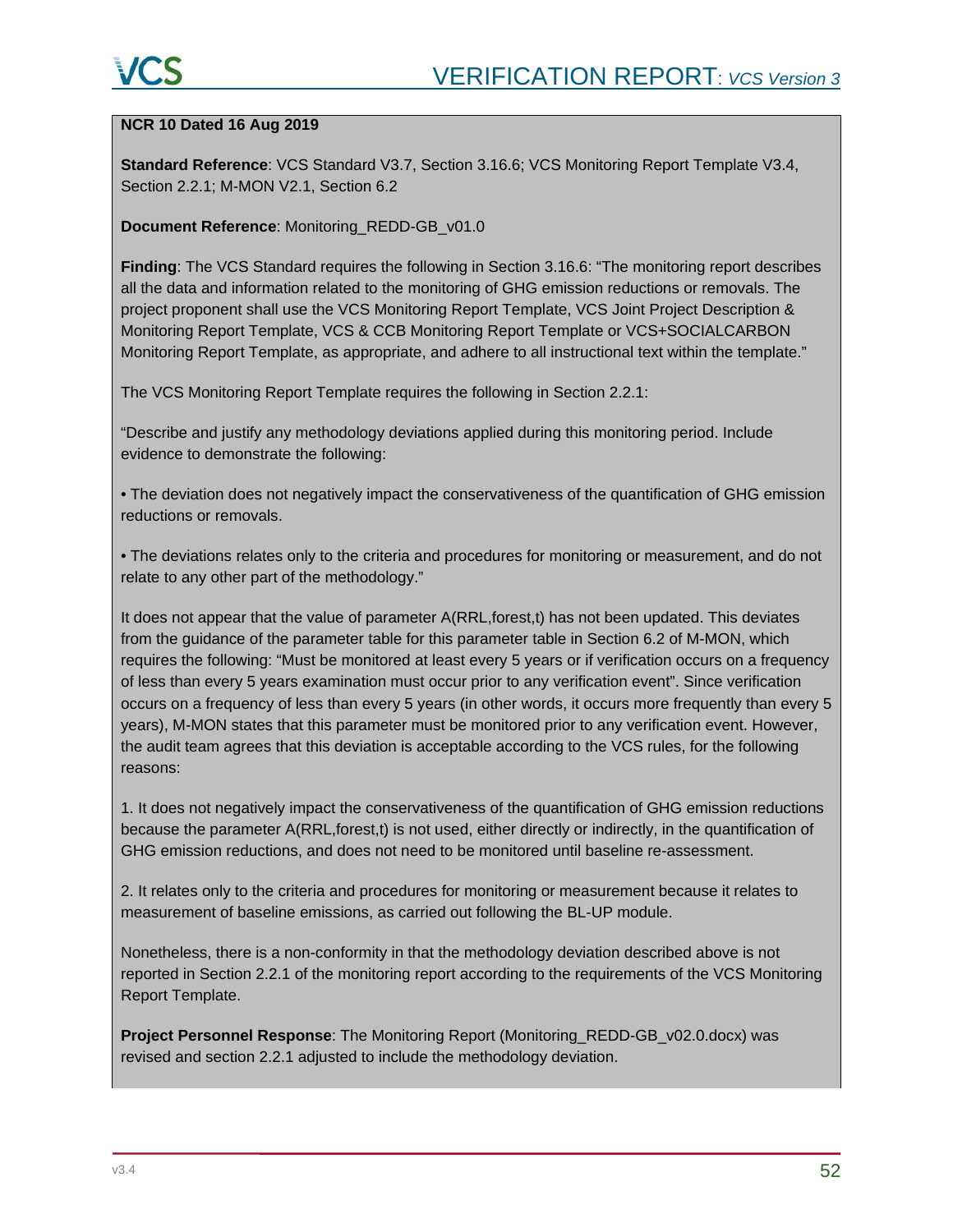#### **NCR 10 Dated 16 Aug 2019**

**Standard Reference**: VCS Standard V3.7, Section 3.16.6; VCS Monitoring Report Template V3.4, Section 2.2.1; M-MON V2.1, Section 6.2

#### **Document Reference**: Monitoring\_REDD-GB\_v01.0

**Finding**: The VCS Standard requires the following in Section 3.16.6: "The monitoring report describes all the data and information related to the monitoring of GHG emission reductions or removals. The project proponent shall use the VCS Monitoring Report Template, VCS Joint Project Description & Monitoring Report Template, VCS & CCB Monitoring Report Template or VCS+SOCIALCARBON Monitoring Report Template, as appropriate, and adhere to all instructional text within the template."

The VCS Monitoring Report Template requires the following in Section 2.2.1:

"Describe and justify any methodology deviations applied during this monitoring period. Include evidence to demonstrate the following:

• The deviation does not negatively impact the conservativeness of the quantification of GHG emission reductions or removals.

• The deviations relates only to the criteria and procedures for monitoring or measurement, and do not relate to any other part of the methodology."

It does not appear that the value of parameter A(RRL,forest,t) has not been updated. This deviates from the guidance of the parameter table for this parameter table in Section 6.2 of M-MON, which requires the following: "Must be monitored at least every 5 years or if verification occurs on a frequency of less than every 5 years examination must occur prior to any verification event". Since verification occurs on a frequency of less than every 5 years (in other words, it occurs more frequently than every 5 years), M-MON states that this parameter must be monitored prior to any verification event. However, the audit team agrees that this deviation is acceptable according to the VCS rules, for the following reasons:

1. It does not negatively impact the conservativeness of the quantification of GHG emission reductions because the parameter A(RRL, forest, t) is not used, either directly or indirectly, in the quantification of GHG emission reductions, and does not need to be monitored until baseline re-assessment.

2. It relates only to the criteria and procedures for monitoring or measurement because it relates to measurement of baseline emissions, as carried out following the BL-UP module.

Nonetheless, there is a non-conformity in that the methodology deviation described above is not reported in Section 2.2.1 of the monitoring report according to the requirements of the VCS Monitoring Report Template.

**Project Personnel Response**: The Monitoring Report (Monitoring\_REDD-GB\_v02.0.docx) was revised and section 2.2.1 adjusted to include the methodology deviation.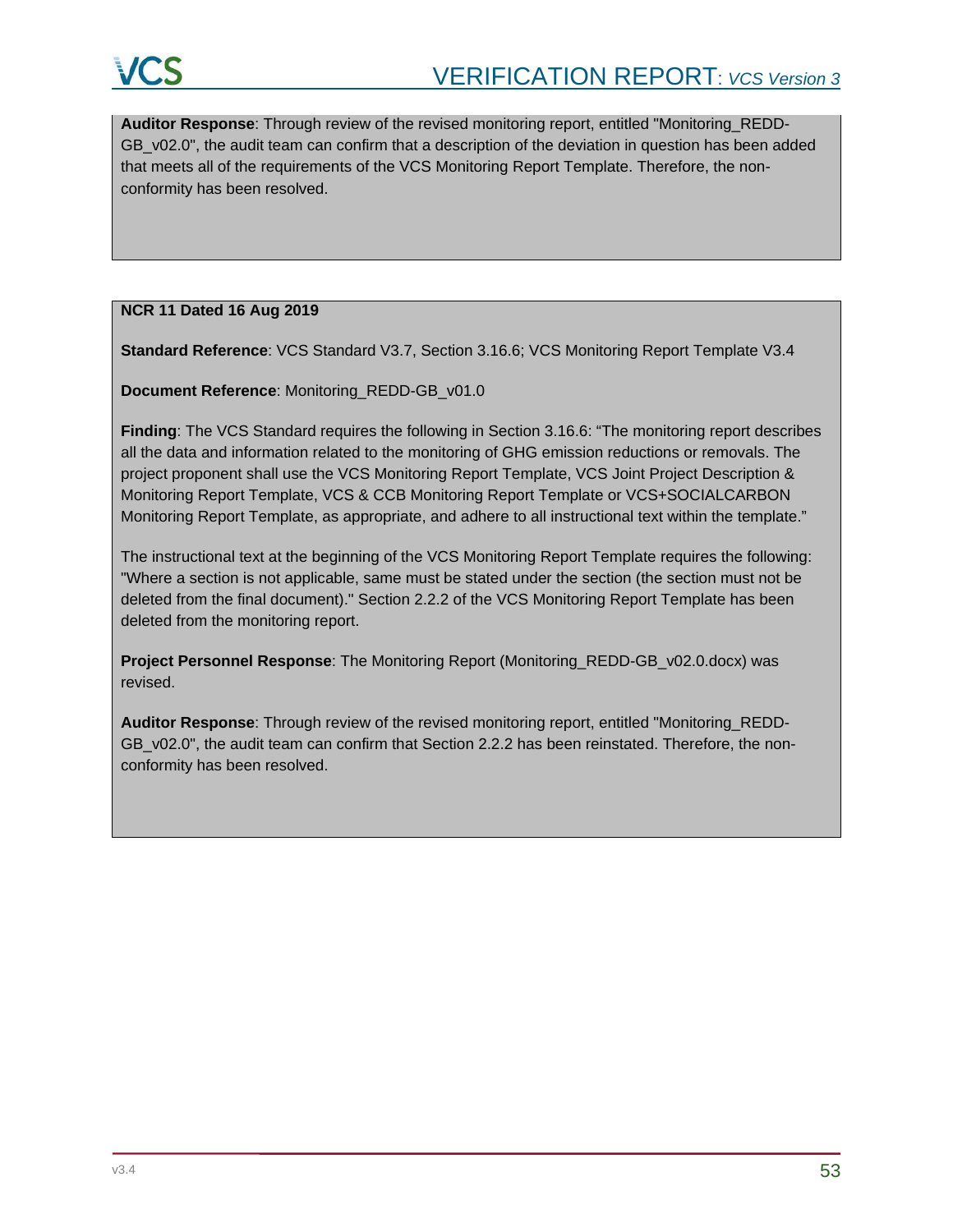**Auditor Response**: Through review of the revised monitoring report, entitled "Monitoring\_REDD-GB\_v02.0", the audit team can confirm that a description of the deviation in question has been added that meets all of the requirements of the VCS Monitoring Report Template. Therefore, the nonconformity has been resolved.

#### **NCR 11 Dated 16 Aug 2019**

**Standard Reference**: VCS Standard V3.7, Section 3.16.6; VCS Monitoring Report Template V3.4

**Document Reference**: Monitoring\_REDD-GB\_v01.0

**Finding**: The VCS Standard requires the following in Section 3.16.6: "The monitoring report describes all the data and information related to the monitoring of GHG emission reductions or removals. The project proponent shall use the VCS Monitoring Report Template, VCS Joint Project Description & Monitoring Report Template, VCS & CCB Monitoring Report Template or VCS+SOCIALCARBON Monitoring Report Template, as appropriate, and adhere to all instructional text within the template."

The instructional text at the beginning of the VCS Monitoring Report Template requires the following: "Where a section is not applicable, same must be stated under the section (the section must not be deleted from the final document)." Section 2.2.2 of the VCS Monitoring Report Template has been deleted from the monitoring report.

**Project Personnel Response**: The Monitoring Report (Monitoring\_REDD-GB\_v02.0.docx) was revised.

**Auditor Response**: Through review of the revised monitoring report, entitled "Monitoring\_REDD-GB\_v02.0", the audit team can confirm that Section 2.2.2 has been reinstated. Therefore, the nonconformity has been resolved.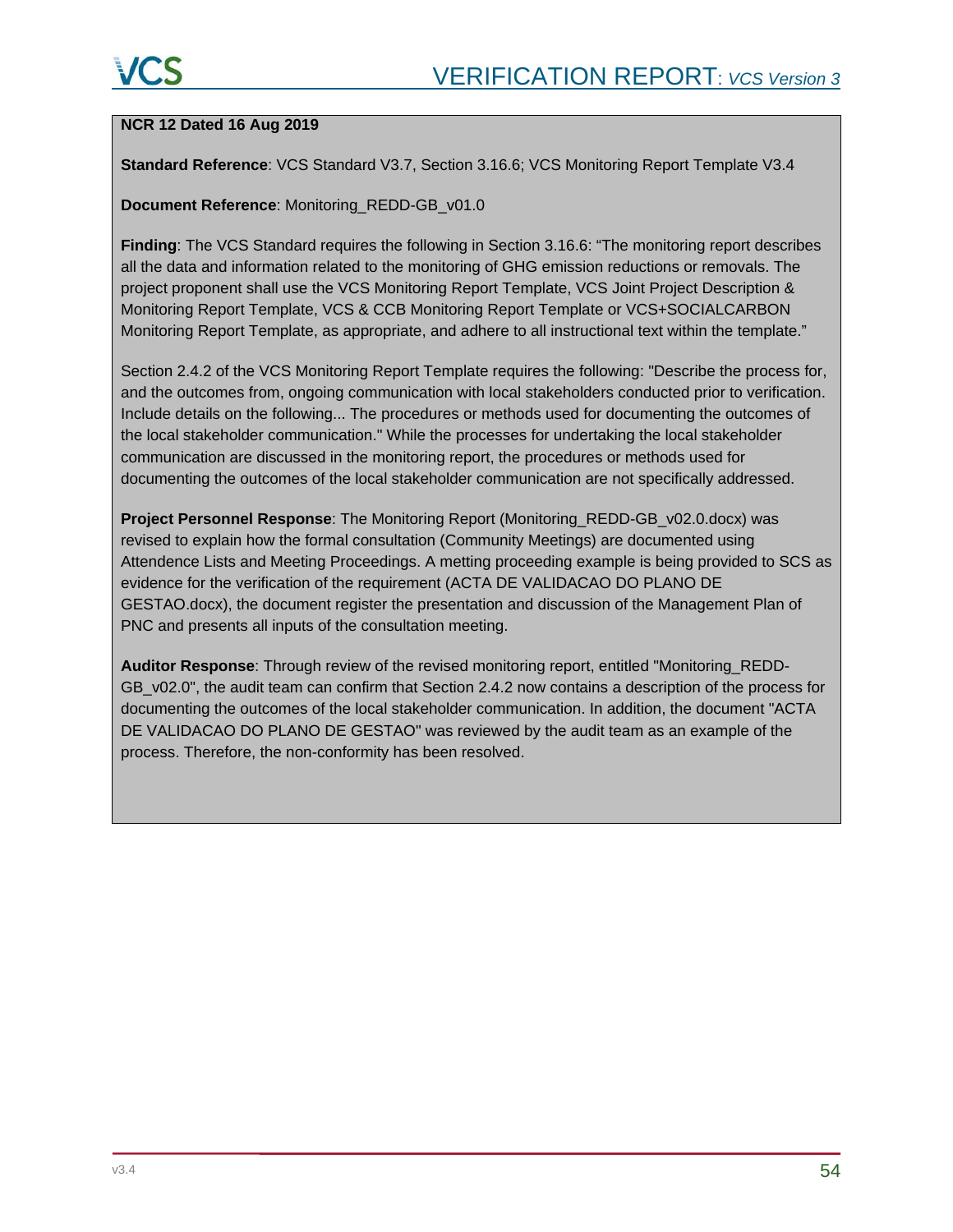### **NCR 12 Dated 16 Aug 2019**

**Standard Reference**: VCS Standard V3.7, Section 3.16.6; VCS Monitoring Report Template V3.4

#### **Document Reference**: Monitoring\_REDD-GB\_v01.0

**Finding**: The VCS Standard requires the following in Section 3.16.6: "The monitoring report describes all the data and information related to the monitoring of GHG emission reductions or removals. The project proponent shall use the VCS Monitoring Report Template, VCS Joint Project Description & Monitoring Report Template, VCS & CCB Monitoring Report Template or VCS+SOCIALCARBON Monitoring Report Template, as appropriate, and adhere to all instructional text within the template."

Section 2.4.2 of the VCS Monitoring Report Template requires the following: "Describe the process for, and the outcomes from, ongoing communication with local stakeholders conducted prior to verification. Include details on the following... The procedures or methods used for documenting the outcomes of the local stakeholder communication." While the processes for undertaking the local stakeholder communication are discussed in the monitoring report, the procedures or methods used for documenting the outcomes of the local stakeholder communication are not specifically addressed.

**Project Personnel Response**: The Monitoring Report (Monitoring\_REDD-GB\_v02.0.docx) was revised to explain how the formal consultation (Community Meetings) are documented using Attendence Lists and Meeting Proceedings. A metting proceeding example is being provided to SCS as evidence for the verification of the requirement (ACTA DE VALIDACAO DO PLANO DE GESTAO.docx), the document register the presentation and discussion of the Management Plan of PNC and presents all inputs of the consultation meeting.

**Auditor Response**: Through review of the revised monitoring report, entitled "Monitoring\_REDD-GB v02.0", the audit team can confirm that Section 2.4.2 now contains a description of the process for documenting the outcomes of the local stakeholder communication. In addition, the document "ACTA DE VALIDACAO DO PLANO DE GESTAO" was reviewed by the audit team as an example of the process. Therefore, the non-conformity has been resolved.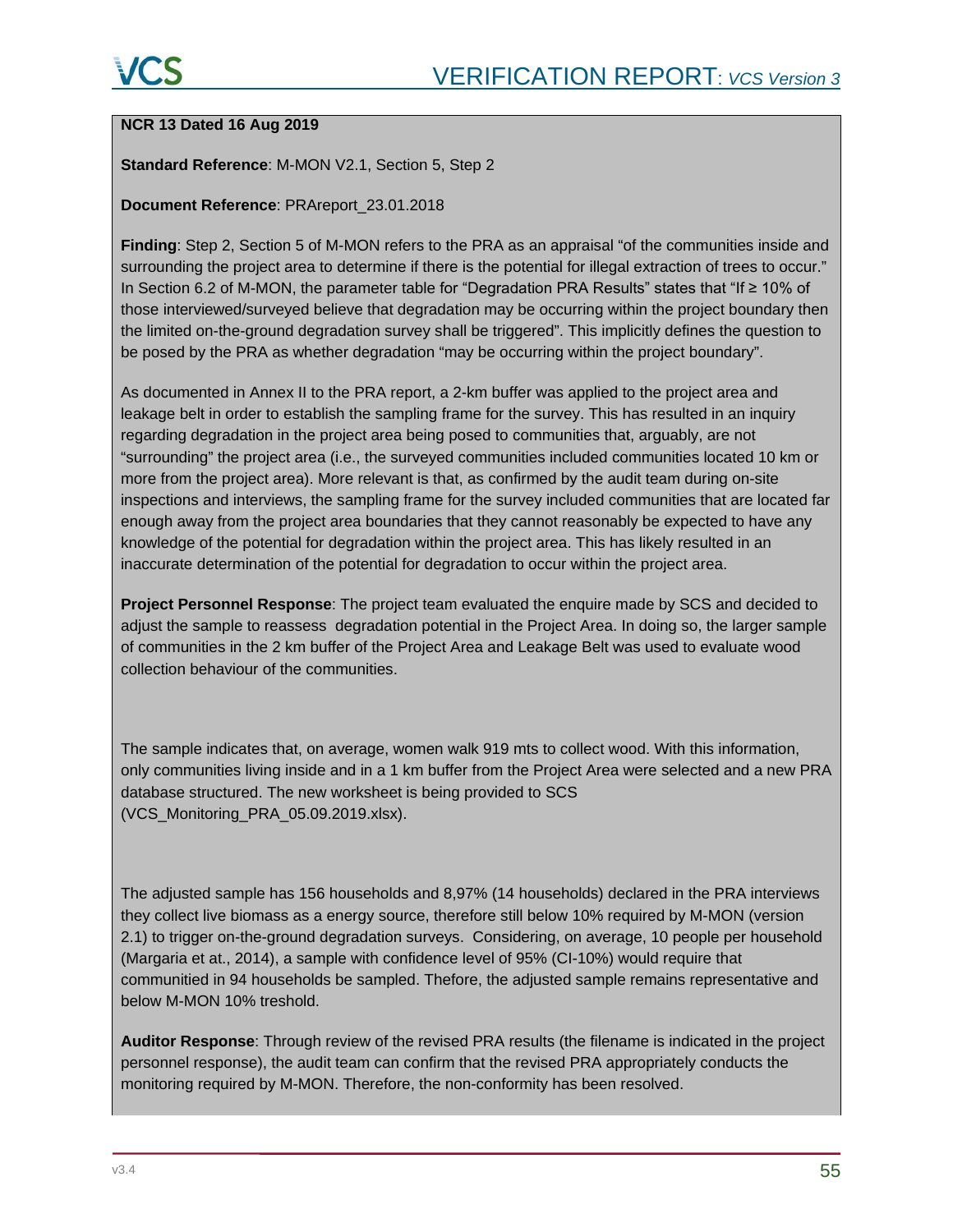#### **NCR 13 Dated 16 Aug 2019**

#### **Standard Reference**: M-MON V2.1, Section 5, Step 2

#### **Document Reference**: PRAreport\_23.01.2018

**Finding**: Step 2, Section 5 of M-MON refers to the PRA as an appraisal "of the communities inside and surrounding the project area to determine if there is the potential for illegal extraction of trees to occur." In Section 6.2 of M-MON, the parameter table for "Degradation PRA Results" states that "If ≥ 10% of those interviewed/surveyed believe that degradation may be occurring within the project boundary then the limited on-the-ground degradation survey shall be triggered". This implicitly defines the question to be posed by the PRA as whether degradation "may be occurring within the project boundary".

As documented in Annex II to the PRA report, a 2-km buffer was applied to the project area and leakage belt in order to establish the sampling frame for the survey. This has resulted in an inquiry regarding degradation in the project area being posed to communities that, arguably, are not "surrounding" the project area (i.e., the surveyed communities included communities located 10 km or more from the project area). More relevant is that, as confirmed by the audit team during on-site inspections and interviews, the sampling frame for the survey included communities that are located far enough away from the project area boundaries that they cannot reasonably be expected to have any knowledge of the potential for degradation within the project area. This has likely resulted in an inaccurate determination of the potential for degradation to occur within the project area.

**Project Personnel Response**: The project team evaluated the enquire made by SCS and decided to adjust the sample to reassess degradation potential in the Project Area. In doing so, the larger sample of communities in the 2 km buffer of the Project Area and Leakage Belt was used to evaluate wood collection behaviour of the communities.

The sample indicates that, on average, women walk 919 mts to collect wood. With this information, only communities living inside and in a 1 km buffer from the Project Area were selected and a new PRA database structured. The new worksheet is being provided to SCS (VCS\_Monitoring\_PRA\_05.09.2019.xlsx).

The adjusted sample has 156 households and 8,97% (14 households) declared in the PRA interviews they collect live biomass as a energy source, therefore still below 10% required by M-MON (version 2.1) to trigger on-the-ground degradation surveys. Considering, on average, 10 people per household (Margaria et at., 2014), a sample with confidence level of 95% (CI-10%) would require that communitied in 94 households be sampled. Thefore, the adjusted sample remains representative and below M-MON 10% treshold.

**Auditor Response**: Through review of the revised PRA results (the filename is indicated in the project personnel response), the audit team can confirm that the revised PRA appropriately conducts the monitoring required by M-MON. Therefore, the non-conformity has been resolved.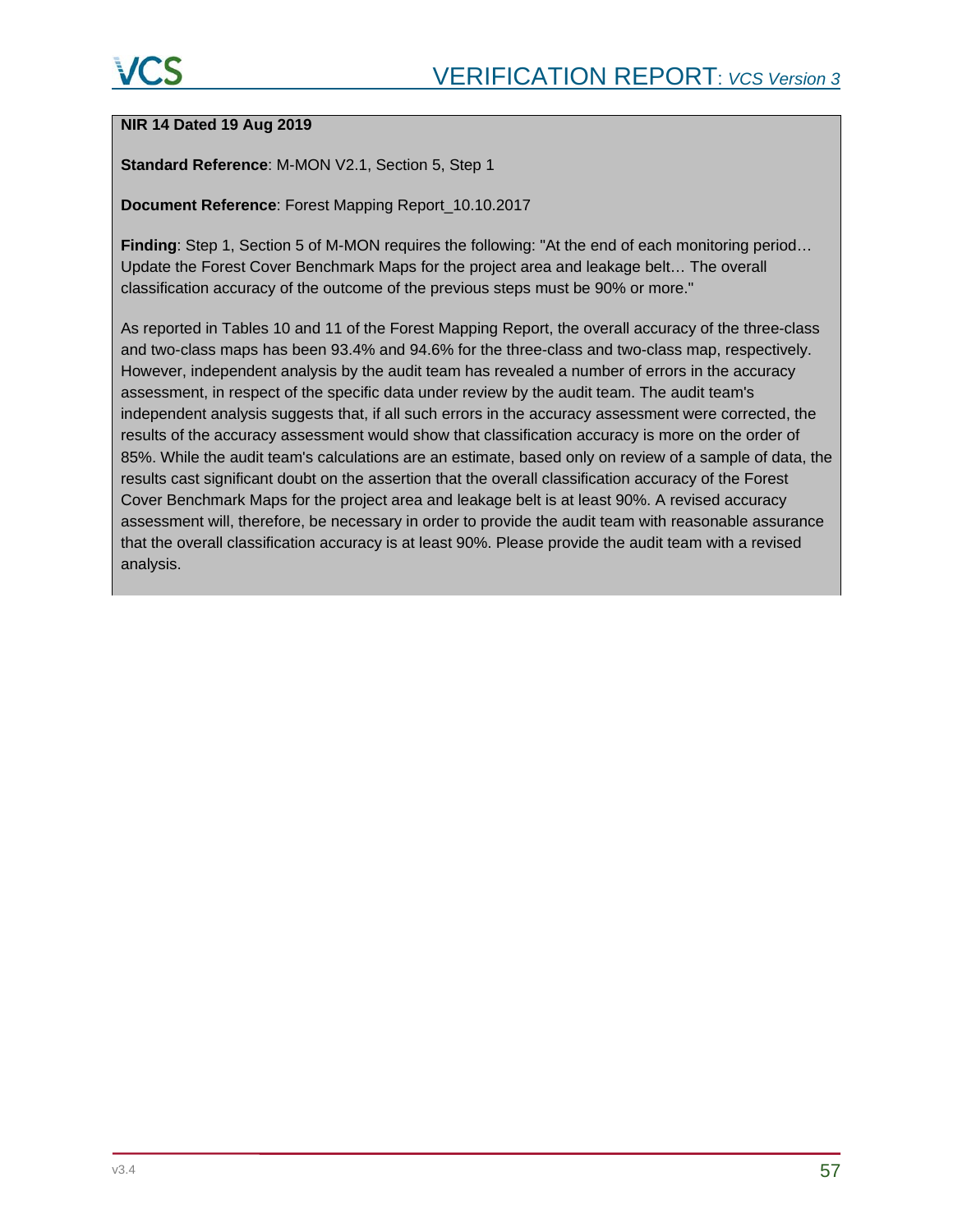#### **NIR 14 Dated 19 Aug 2019**

**Standard Reference**: M-MON V2.1, Section 5, Step 1

**Document Reference**: Forest Mapping Report\_10.10.2017

**Finding**: Step 1, Section 5 of M-MON requires the following: "At the end of each monitoring period… Update the Forest Cover Benchmark Maps for the project area and leakage belt… The overall classification accuracy of the outcome of the previous steps must be 90% or more."

As reported in Tables 10 and 11 of the Forest Mapping Report, the overall accuracy of the three-class and two-class maps has been 93.4% and 94.6% for the three-class and two-class map, respectively. However, independent analysis by the audit team has revealed a number of errors in the accuracy assessment, in respect of the specific data under review by the audit team. The audit team's independent analysis suggests that, if all such errors in the accuracy assessment were corrected, the results of the accuracy assessment would show that classification accuracy is more on the order of 85%. While the audit team's calculations are an estimate, based only on review of a sample of data, the results cast significant doubt on the assertion that the overall classification accuracy of the Forest Cover Benchmark Maps for the project area and leakage belt is at least 90%. A revised accuracy assessment will, therefore, be necessary in order to provide the audit team with reasonable assurance that the overall classification accuracy is at least 90%. Please provide the audit team with a revised analysis.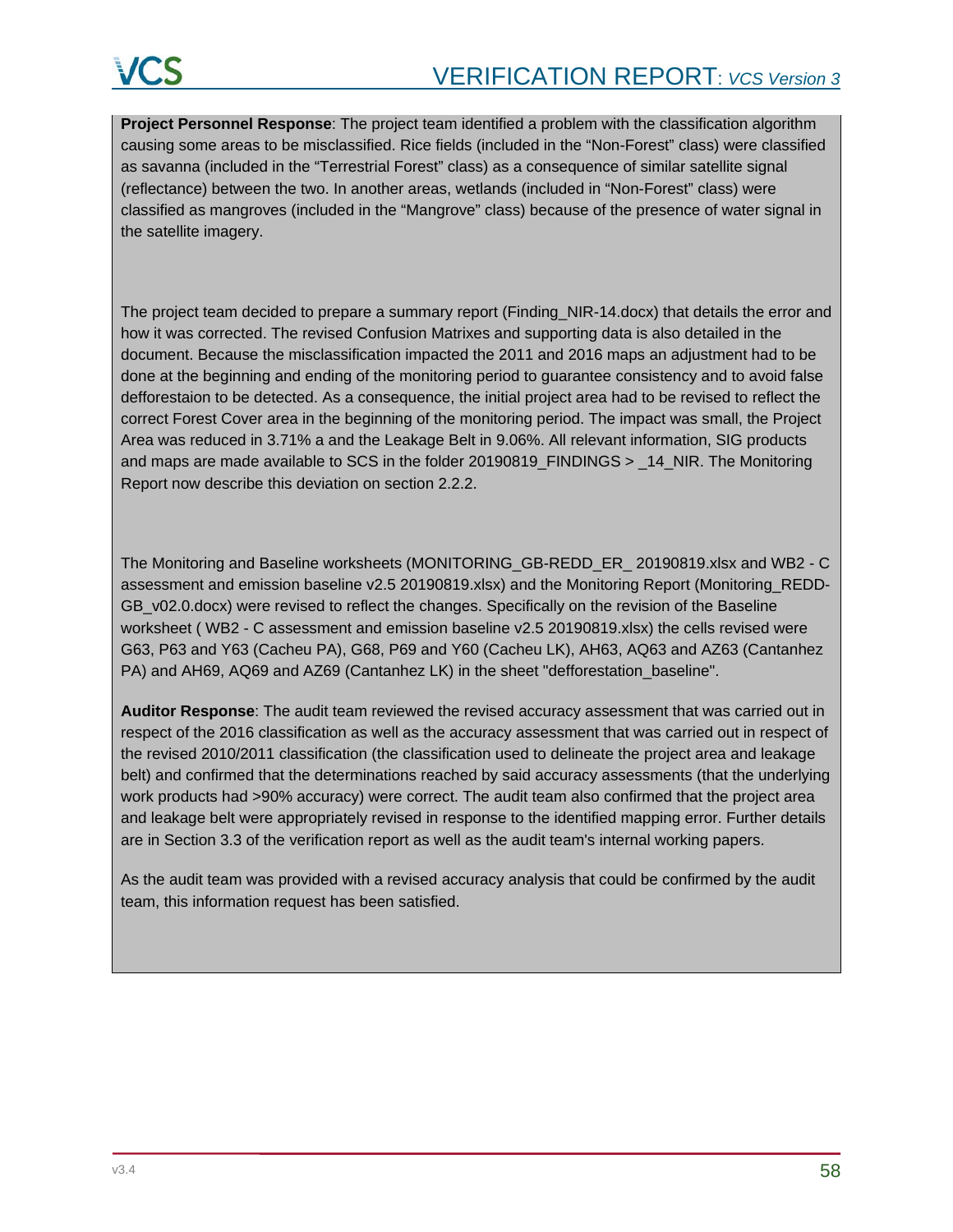**Project Personnel Response**: The project team identified a problem with the classification algorithm causing some areas to be misclassified. Rice fields (included in the "Non-Forest" class) were classified as savanna (included in the "Terrestrial Forest" class) as a consequence of similar satellite signal (reflectance) between the two. In another areas, wetlands (included in "Non-Forest" class) were classified as mangroves (included in the "Mangrove" class) because of the presence of water signal in the satellite imagery.

The project team decided to prepare a summary report (Finding\_NIR-14.docx) that details the error and how it was corrected. The revised Confusion Matrixes and supporting data is also detailed in the document. Because the misclassification impacted the 2011 and 2016 maps an adjustment had to be done at the beginning and ending of the monitoring period to guarantee consistency and to avoid false defforestaion to be detected. As a consequence, the initial project area had to be revised to reflect the correct Forest Cover area in the beginning of the monitoring period. The impact was small, the Project Area was reduced in 3.71% a and the Leakage Belt in 9.06%. All relevant information, SIG products and maps are made available to SCS in the folder 20190819\_FINDINGS > \_14\_NIR. The Monitoring Report now describe this deviation on section 2.2.2.

The Monitoring and Baseline worksheets (MONITORING\_GB-REDD\_ER\_ 20190819.xlsx and WB2 - C assessment and emission baseline v2.5 20190819.xlsx) and the Monitoring Report (Monitoring\_REDD-GB\_v02.0.docx) were revised to reflect the changes. Specifically on the revision of the Baseline worksheet ( WB2 - C assessment and emission baseline v2.5 20190819.xlsx) the cells revised were G63, P63 and Y63 (Cacheu PA), G68, P69 and Y60 (Cacheu LK), AH63, AQ63 and AZ63 (Cantanhez PA) and AH69, AQ69 and AZ69 (Cantanhez LK) in the sheet "defforestation\_baseline".

**Auditor Response**: The audit team reviewed the revised accuracy assessment that was carried out in respect of the 2016 classification as well as the accuracy assessment that was carried out in respect of the revised 2010/2011 classification (the classification used to delineate the project area and leakage belt) and confirmed that the determinations reached by said accuracy assessments (that the underlying work products had >90% accuracy) were correct. The audit team also confirmed that the project area and leakage belt were appropriately revised in response to the identified mapping error. Further details are in Section 3.3 of the verification report as well as the audit team's internal working papers.

As the audit team was provided with a revised accuracy analysis that could be confirmed by the audit team, this information request has been satisfied.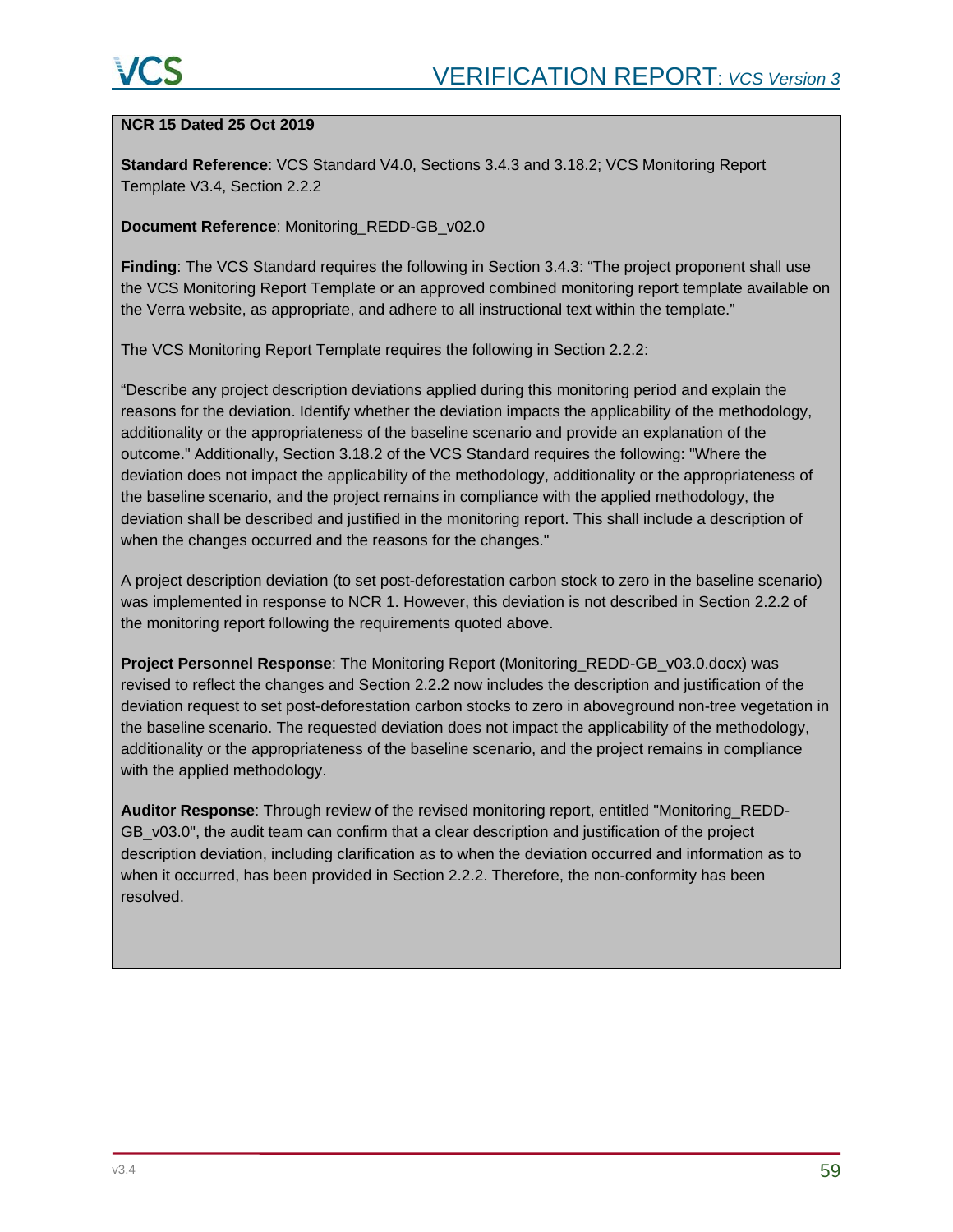#### **NCR 15 Dated 25 Oct 2019**

**Standard Reference**: VCS Standard V4.0, Sections 3.4.3 and 3.18.2; VCS Monitoring Report Template V3.4, Section 2.2.2

#### **Document Reference**: Monitoring\_REDD-GB\_v02.0

**Finding**: The VCS Standard requires the following in Section 3.4.3: "The project proponent shall use the VCS Monitoring Report Template or an approved combined monitoring report template available on the Verra website, as appropriate, and adhere to all instructional text within the template."

The VCS Monitoring Report Template requires the following in Section 2.2.2:

"Describe any project description deviations applied during this monitoring period and explain the reasons for the deviation. Identify whether the deviation impacts the applicability of the methodology, additionality or the appropriateness of the baseline scenario and provide an explanation of the outcome." Additionally, Section 3.18.2 of the VCS Standard requires the following: "Where the deviation does not impact the applicability of the methodology, additionality or the appropriateness of the baseline scenario, and the project remains in compliance with the applied methodology, the deviation shall be described and justified in the monitoring report. This shall include a description of when the changes occurred and the reasons for the changes."

A project description deviation (to set post-deforestation carbon stock to zero in the baseline scenario) was implemented in response to NCR 1. However, this deviation is not described in Section 2.2.2 of the monitoring report following the requirements quoted above.

**Project Personnel Response**: The Monitoring Report (Monitoring\_REDD-GB\_v03.0.docx) was revised to reflect the changes and Section 2.2.2 now includes the description and justification of the deviation request to set post-deforestation carbon stocks to zero in aboveground non-tree vegetation in the baseline scenario. The requested deviation does not impact the applicability of the methodology, additionality or the appropriateness of the baseline scenario, and the project remains in compliance with the applied methodology.

**Auditor Response**: Through review of the revised monitoring report, entitled "Monitoring\_REDD-GB v03.0", the audit team can confirm that a clear description and justification of the project description deviation, including clarification as to when the deviation occurred and information as to when it occurred, has been provided in Section 2.2.2. Therefore, the non-conformity has been resolved.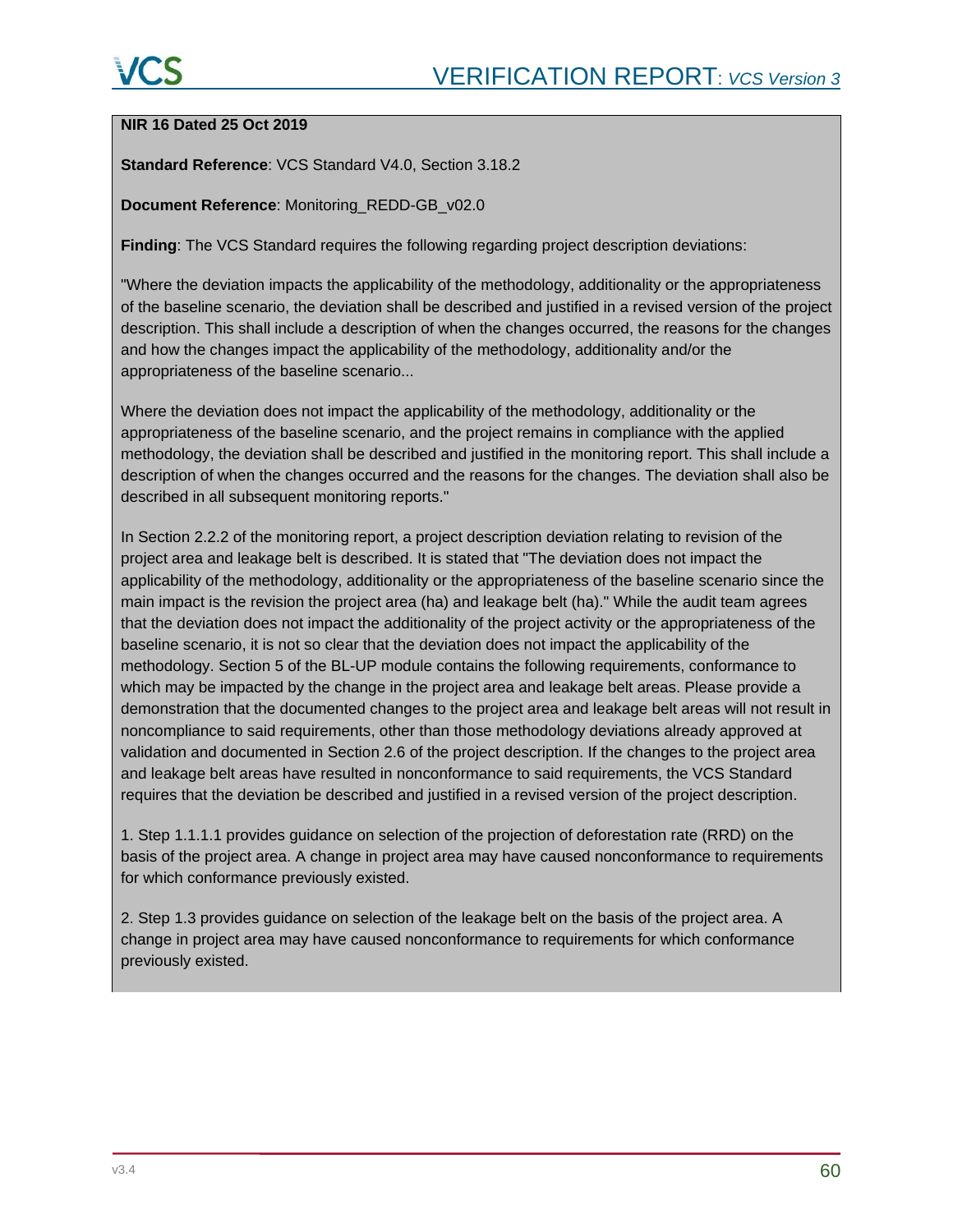# **NIR 16 Dated 25 Oct 2019**

**Standard Reference**: VCS Standard V4.0, Section 3.18.2

**Document Reference**: Monitoring\_REDD-GB\_v02.0

**Finding**: The VCS Standard requires the following regarding project description deviations:

"Where the deviation impacts the applicability of the methodology, additionality or the appropriateness of the baseline scenario, the deviation shall be described and justified in a revised version of the project description. This shall include a description of when the changes occurred, the reasons for the changes and how the changes impact the applicability of the methodology, additionality and/or the appropriateness of the baseline scenario...

Where the deviation does not impact the applicability of the methodology, additionality or the appropriateness of the baseline scenario, and the project remains in compliance with the applied methodology, the deviation shall be described and justified in the monitoring report. This shall include a description of when the changes occurred and the reasons for the changes. The deviation shall also be described in all subsequent monitoring reports."

In Section 2.2.2 of the monitoring report, a project description deviation relating to revision of the project area and leakage belt is described. It is stated that "The deviation does not impact the applicability of the methodology, additionality or the appropriateness of the baseline scenario since the main impact is the revision the project area (ha) and leakage belt (ha)." While the audit team agrees that the deviation does not impact the additionality of the project activity or the appropriateness of the baseline scenario, it is not so clear that the deviation does not impact the applicability of the methodology. Section 5 of the BL-UP module contains the following requirements, conformance to which may be impacted by the change in the project area and leakage belt areas. Please provide a demonstration that the documented changes to the project area and leakage belt areas will not result in noncompliance to said requirements, other than those methodology deviations already approved at validation and documented in Section 2.6 of the project description. If the changes to the project area and leakage belt areas have resulted in nonconformance to said requirements, the VCS Standard requires that the deviation be described and justified in a revised version of the project description.

1. Step 1.1.1.1 provides guidance on selection of the projection of deforestation rate (RRD) on the basis of the project area. A change in project area may have caused nonconformance to requirements for which conformance previously existed.

2. Step 1.3 provides guidance on selection of the leakage belt on the basis of the project area. A change in project area may have caused nonconformance to requirements for which conformance previously existed.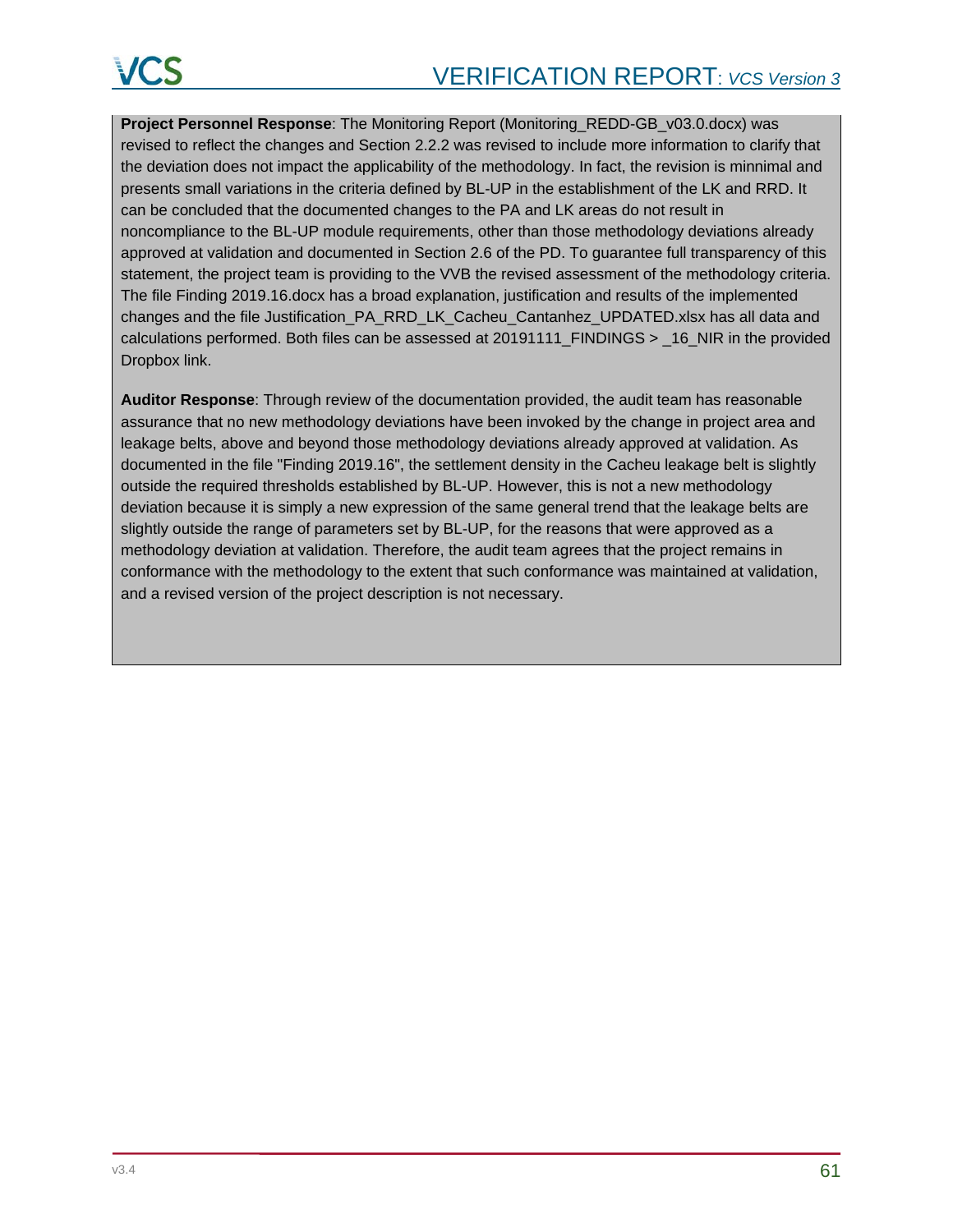**Project Personnel Response**: The Monitoring Report (Monitoring\_REDD-GB\_v03.0.docx) was revised to reflect the changes and Section 2.2.2 was revised to include more information to clarify that the deviation does not impact the applicability of the methodology. In fact, the revision is minnimal and presents small variations in the criteria defined by BL-UP in the establishment of the LK and RRD. It can be concluded that the documented changes to the PA and LK areas do not result in noncompliance to the BL-UP module requirements, other than those methodology deviations already approved at validation and documented in Section 2.6 of the PD. To guarantee full transparency of this statement, the project team is providing to the VVB the revised assessment of the methodology criteria. The file Finding 2019.16.docx has a broad explanation, justification and results of the implemented changes and the file Justification\_PA\_RRD\_LK\_Cacheu\_Cantanhez\_UPDATED.xlsx has all data and calculations performed. Both files can be assessed at  $20191111$  FINDINGS >  $16$  NIR in the provided Dropbox link.

**Auditor Response**: Through review of the documentation provided, the audit team has reasonable assurance that no new methodology deviations have been invoked by the change in project area and leakage belts, above and beyond those methodology deviations already approved at validation. As documented in the file "Finding 2019.16", the settlement density in the Cacheu leakage belt is slightly outside the required thresholds established by BL-UP. However, this is not a new methodology deviation because it is simply a new expression of the same general trend that the leakage belts are slightly outside the range of parameters set by BL-UP, for the reasons that were approved as a methodology deviation at validation. Therefore, the audit team agrees that the project remains in conformance with the methodology to the extent that such conformance was maintained at validation, and a revised version of the project description is not necessary.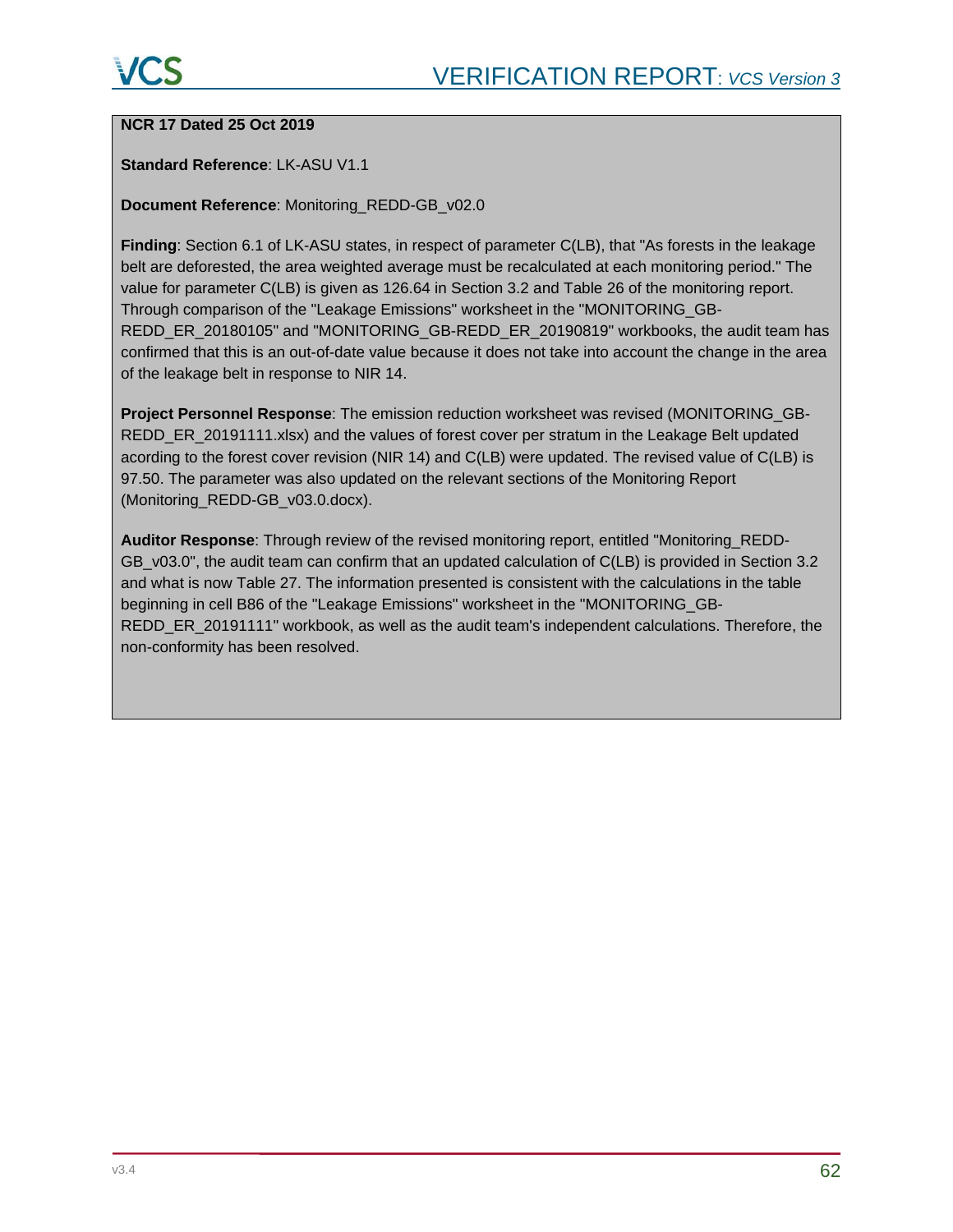# **NCR 17 Dated 25 Oct 2019**

#### **Standard Reference**: LK-ASU V1.1

#### **Document Reference**: Monitoring\_REDD-GB\_v02.0

**Finding**: Section 6.1 of LK-ASU states, in respect of parameter C(LB), that "As forests in the leakage belt are deforested, the area weighted average must be recalculated at each monitoring period." The value for parameter C(LB) is given as 126.64 in Section 3.2 and Table 26 of the monitoring report. Through comparison of the "Leakage Emissions" worksheet in the "MONITORING\_GB-REDD\_ER\_20180105" and "MONITORING\_GB-REDD\_ER\_20190819" workbooks, the audit team has confirmed that this is an out-of-date value because it does not take into account the change in the area of the leakage belt in response to NIR 14.

**Project Personnel Response**: The emission reduction worksheet was revised (MONITORING\_GB-REDD\_ER\_20191111.xlsx) and the values of forest cover per stratum in the Leakage Belt updated acording to the forest cover revision (NIR 14) and C(LB) were updated. The revised value of C(LB) is 97.50. The parameter was also updated on the relevant sections of the Monitoring Report (Monitoring\_REDD-GB\_v03.0.docx).

**Auditor Response**: Through review of the revised monitoring report, entitled "Monitoring\_REDD-GB v03.0", the audit team can confirm that an updated calculation of C(LB) is provided in Section 3.2 and what is now Table 27. The information presented is consistent with the calculations in the table beginning in cell B86 of the "Leakage Emissions" worksheet in the "MONITORING\_GB-REDD\_ER\_20191111" workbook, as well as the audit team's independent calculations. Therefore, the non-conformity has been resolved.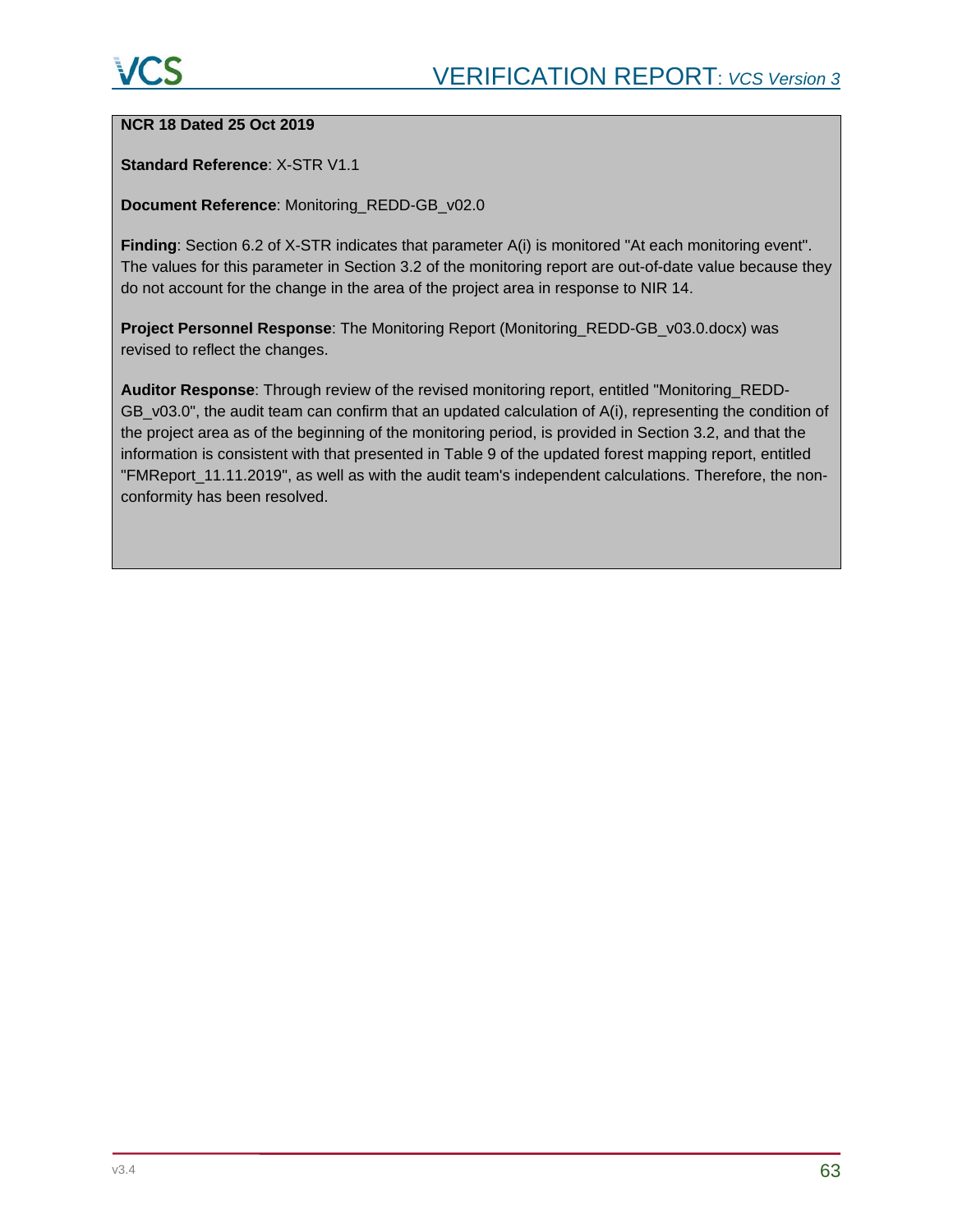#### **NCR 18 Dated 25 Oct 2019**

#### **Standard Reference**: X-STR V1.1

#### **Document Reference**: Monitoring\_REDD-GB\_v02.0

**Finding**: Section 6.2 of X-STR indicates that parameter A(i) is monitored "At each monitoring event". The values for this parameter in Section 3.2 of the monitoring report are out-of-date value because they do not account for the change in the area of the project area in response to NIR 14.

**Project Personnel Response**: The Monitoring Report (Monitoring\_REDD-GB\_v03.0.docx) was revised to reflect the changes.

**Auditor Response**: Through review of the revised monitoring report, entitled "Monitoring\_REDD-GB\_v03.0", the audit team can confirm that an updated calculation of A(i), representing the condition of the project area as of the beginning of the monitoring period, is provided in Section 3.2, and that the information is consistent with that presented in Table 9 of the updated forest mapping report, entitled "FMReport\_11.11.2019", as well as with the audit team's independent calculations. Therefore, the nonconformity has been resolved.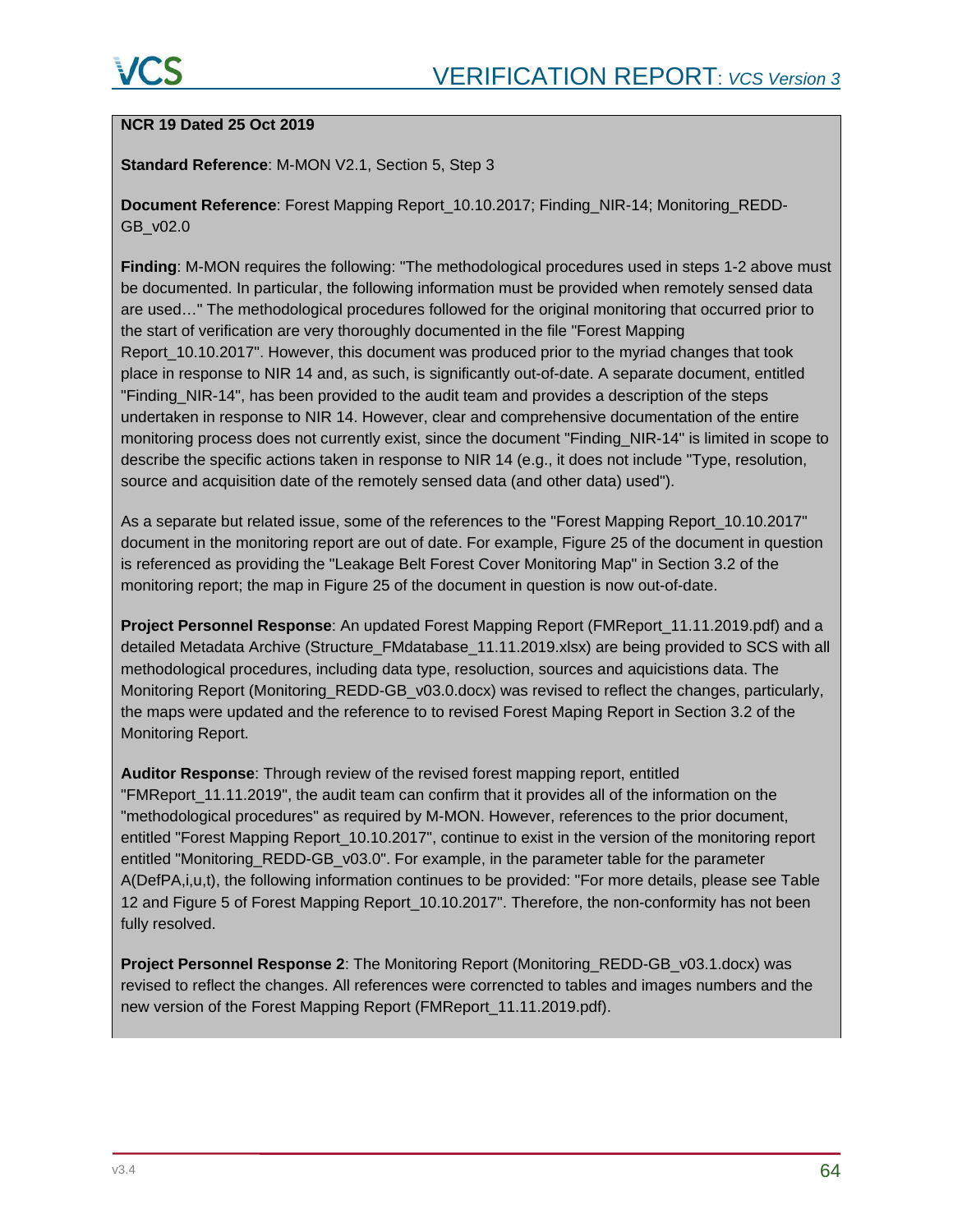# **NCR 19 Dated 25 Oct 2019**

#### **Standard Reference**: M-MON V2.1, Section 5, Step 3

**Document Reference**: Forest Mapping Report\_10.10.2017; Finding\_NIR-14; Monitoring\_REDD-GB\_v02.0

**Finding**: M-MON requires the following: "The methodological procedures used in steps 1-2 above must be documented. In particular, the following information must be provided when remotely sensed data are used…" The methodological procedures followed for the original monitoring that occurred prior to the start of verification are very thoroughly documented in the file "Forest Mapping Report 10.10.2017". However, this document was produced prior to the myriad changes that took place in response to NIR 14 and, as such, is significantly out-of-date. A separate document, entitled "Finding\_NIR-14", has been provided to the audit team and provides a description of the steps undertaken in response to NIR 14. However, clear and comprehensive documentation of the entire monitoring process does not currently exist, since the document "Finding\_NIR-14" is limited in scope to describe the specific actions taken in response to NIR 14 (e.g., it does not include "Type, resolution, source and acquisition date of the remotely sensed data (and other data) used").

As a separate but related issue, some of the references to the "Forest Mapping Report\_10.10.2017" document in the monitoring report are out of date. For example, Figure 25 of the document in question is referenced as providing the "Leakage Belt Forest Cover Monitoring Map" in Section 3.2 of the monitoring report; the map in Figure 25 of the document in question is now out-of-date.

**Project Personnel Response**: An updated Forest Mapping Report (FMReport\_11.11.2019.pdf) and a detailed Metadata Archive (Structure\_FMdatabase\_11.11.2019.xlsx) are being provided to SCS with all methodological procedures, including data type, resoluction, sources and aquicistions data. The Monitoring Report (Monitoring\_REDD-GB\_v03.0.docx) was revised to reflect the changes, particularly, the maps were updated and the reference to to revised Forest Maping Report in Section 3.2 of the Monitoring Report.

**Auditor Response**: Through review of the revised forest mapping report, entitled "FMReport\_11.11.2019", the audit team can confirm that it provides all of the information on the "methodological procedures" as required by M-MON. However, references to the prior document, entitled "Forest Mapping Report\_10.10.2017", continue to exist in the version of the monitoring report entitled "Monitoring\_REDD-GB\_v03.0". For example, in the parameter table for the parameter A(DefPA,i,u,t), the following information continues to be provided: "For more details, please see Table 12 and Figure 5 of Forest Mapping Report\_10.10.2017". Therefore, the non-conformity has not been fully resolved.

**Project Personnel Response 2:** The Monitoring Report (Monitoring REDD-GB v03.1.docx) was revised to reflect the changes. All references were correncted to tables and images numbers and the new version of the Forest Mapping Report (FMReport\_11.11.2019.pdf).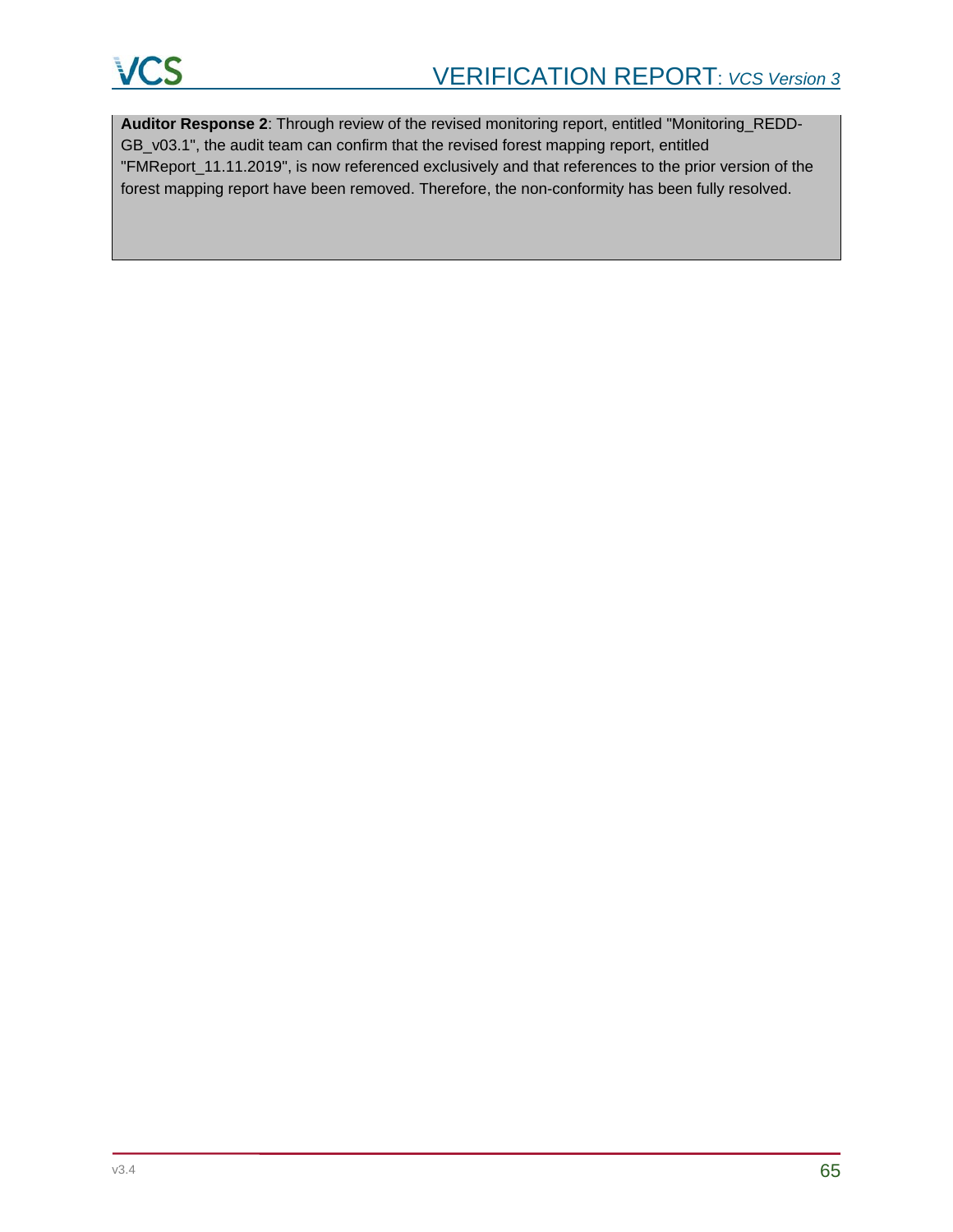

**Auditor Response 2**: Through review of the revised monitoring report, entitled "Monitoring\_REDD-GB\_v03.1", the audit team can confirm that the revised forest mapping report, entitled "FMReport\_11.11.2019", is now referenced exclusively and that references to the prior version of the forest mapping report have been removed. Therefore, the non-conformity has been fully resolved.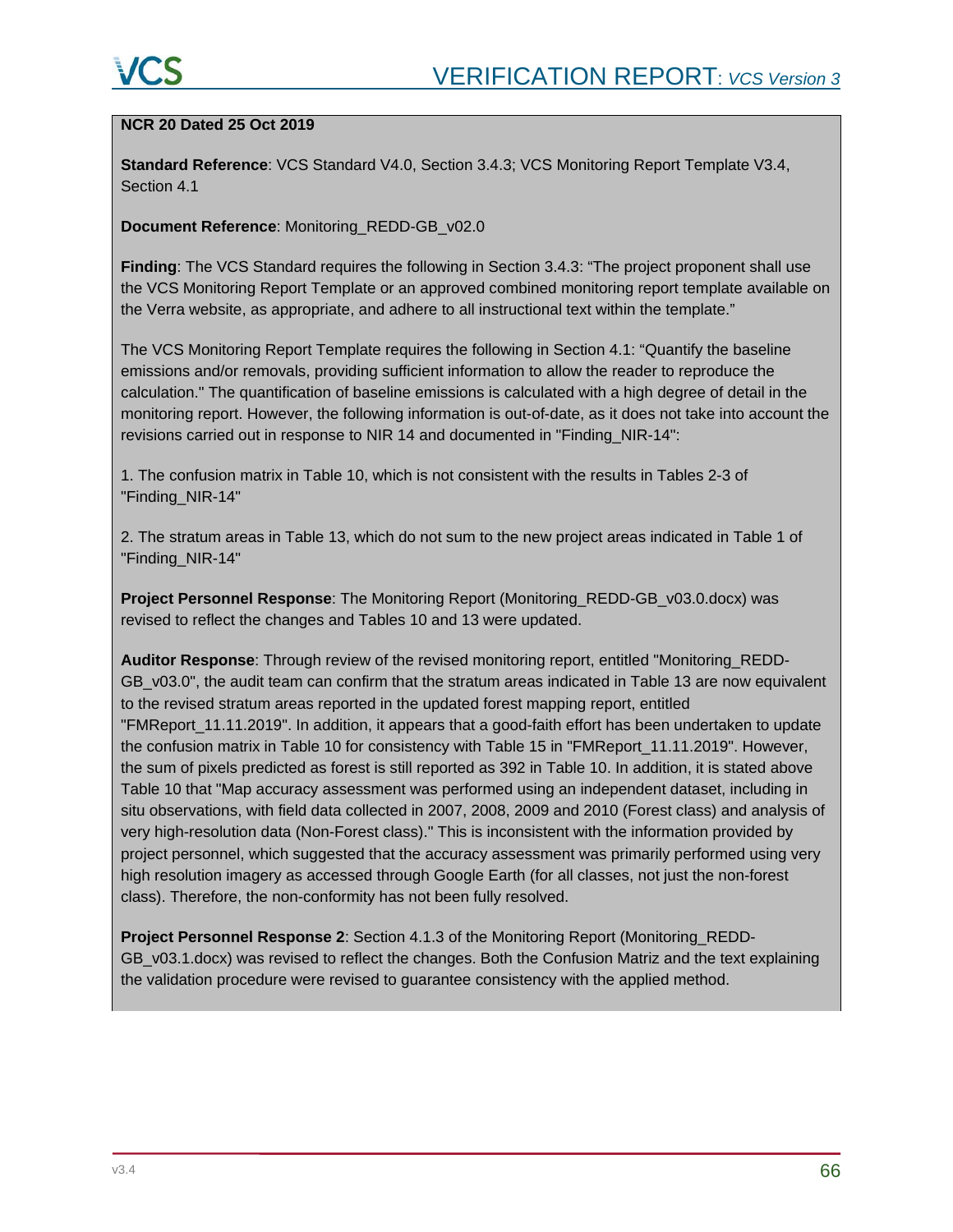# **NCR 20 Dated 25 Oct 2019**

**Standard Reference**: VCS Standard V4.0, Section 3.4.3; VCS Monitoring Report Template V3.4, Section 4.1

**Document Reference**: Monitoring\_REDD-GB\_v02.0

**Finding**: The VCS Standard requires the following in Section 3.4.3: "The project proponent shall use the VCS Monitoring Report Template or an approved combined monitoring report template available on the Verra website, as appropriate, and adhere to all instructional text within the template."

The VCS Monitoring Report Template requires the following in Section 4.1: "Quantify the baseline emissions and/or removals, providing sufficient information to allow the reader to reproduce the calculation." The quantification of baseline emissions is calculated with a high degree of detail in the monitoring report. However, the following information is out-of-date, as it does not take into account the revisions carried out in response to NIR 14 and documented in "Finding\_NIR-14":

1. The confusion matrix in Table 10, which is not consistent with the results in Tables 2-3 of "Finding\_NIR-14"

2. The stratum areas in Table 13, which do not sum to the new project areas indicated in Table 1 of "Finding\_NIR-14"

**Project Personnel Response**: The Monitoring Report (Monitoring\_REDD-GB\_v03.0.docx) was revised to reflect the changes and Tables 10 and 13 were updated.

**Auditor Response**: Through review of the revised monitoring report, entitled "Monitoring\_REDD-GB v03.0", the audit team can confirm that the stratum areas indicated in Table 13 are now equivalent to the revised stratum areas reported in the updated forest mapping report, entitled "FMReport\_11.11.2019". In addition, it appears that a good-faith effort has been undertaken to update the confusion matrix in Table 10 for consistency with Table 15 in "FMReport\_11.11.2019". However, the sum of pixels predicted as forest is still reported as 392 in Table 10. In addition, it is stated above Table 10 that "Map accuracy assessment was performed using an independent dataset, including in situ observations, with field data collected in 2007, 2008, 2009 and 2010 (Forest class) and analysis of very high-resolution data (Non-Forest class)." This is inconsistent with the information provided by project personnel, which suggested that the accuracy assessment was primarily performed using very high resolution imagery as accessed through Google Earth (for all classes, not just the non-forest class). Therefore, the non-conformity has not been fully resolved.

**Project Personnel Response 2**: Section 4.1.3 of the Monitoring Report (Monitoring\_REDD-GB\_v03.1.docx) was revised to reflect the changes. Both the Confusion Matriz and the text explaining the validation procedure were revised to guarantee consistency with the applied method.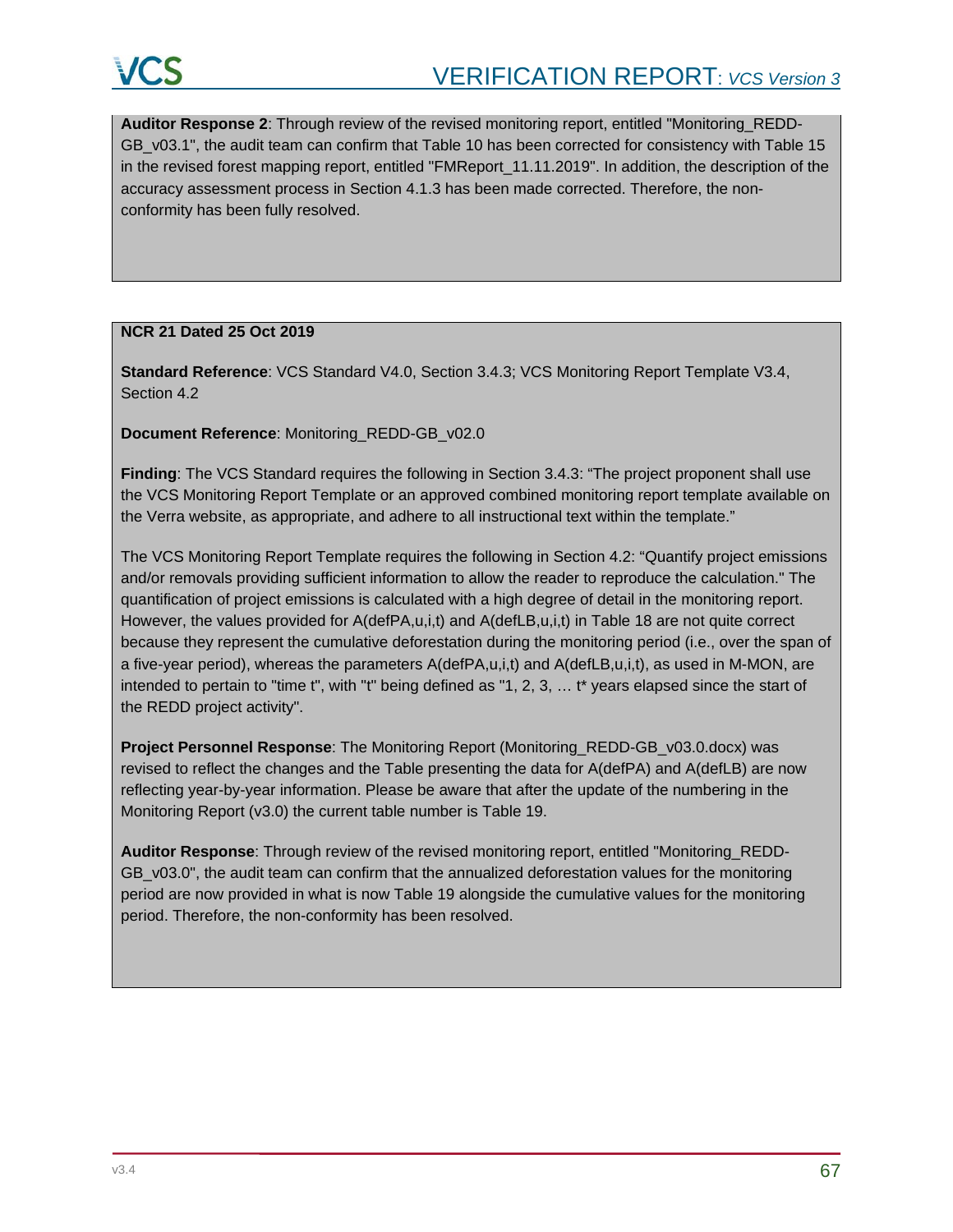**Auditor Response 2**: Through review of the revised monitoring report, entitled "Monitoring\_REDD-GB\_v03.1", the audit team can confirm that Table 10 has been corrected for consistency with Table 15 in the revised forest mapping report, entitled "FMReport 11.11.2019". In addition, the description of the accuracy assessment process in Section 4.1.3 has been made corrected. Therefore, the nonconformity has been fully resolved.

#### **NCR 21 Dated 25 Oct 2019**

**Standard Reference**: VCS Standard V4.0, Section 3.4.3; VCS Monitoring Report Template V3.4, Section 4.2

**Document Reference**: Monitoring\_REDD-GB\_v02.0

**Finding**: The VCS Standard requires the following in Section 3.4.3: "The project proponent shall use the VCS Monitoring Report Template or an approved combined monitoring report template available on the Verra website, as appropriate, and adhere to all instructional text within the template."

The VCS Monitoring Report Template requires the following in Section 4.2: "Quantify project emissions and/or removals providing sufficient information to allow the reader to reproduce the calculation." The quantification of project emissions is calculated with a high degree of detail in the monitoring report. However, the values provided for A(defPA,u,i,t) and A(defLB,u,i,t) in Table 18 are not quite correct because they represent the cumulative deforestation during the monitoring period (i.e., over the span of a five-year period), whereas the parameters A(defPA,u,i,t) and A(defLB,u,i,t), as used in M-MON, are intended to pertain to "time t", with "t" being defined as "1, 2, 3, … t\* years elapsed since the start of the REDD project activity".

**Project Personnel Response**: The Monitoring Report (Monitoring\_REDD-GB\_v03.0.docx) was revised to reflect the changes and the Table presenting the data for A(defPA) and A(defLB) are now reflecting year-by-year information. Please be aware that after the update of the numbering in the Monitoring Report (v3.0) the current table number is Table 19.

**Auditor Response**: Through review of the revised monitoring report, entitled "Monitoring\_REDD-GB\_v03.0", the audit team can confirm that the annualized deforestation values for the monitoring period are now provided in what is now Table 19 alongside the cumulative values for the monitoring period. Therefore, the non-conformity has been resolved.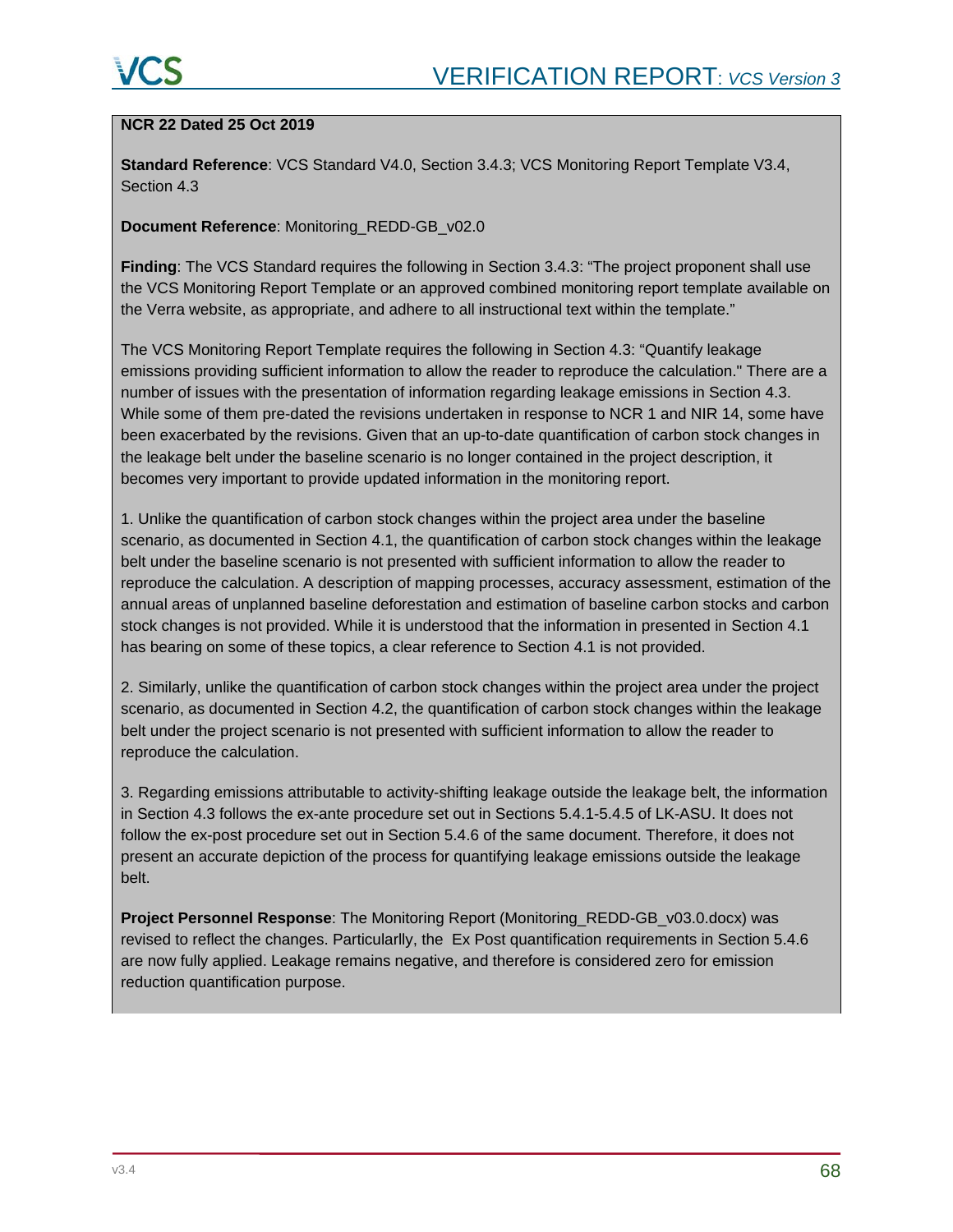#### **NCR 22 Dated 25 Oct 2019**

**Standard Reference**: VCS Standard V4.0, Section 3.4.3; VCS Monitoring Report Template V3.4, Section 4.3

#### **Document Reference**: Monitoring\_REDD-GB\_v02.0

**Finding**: The VCS Standard requires the following in Section 3.4.3: "The project proponent shall use the VCS Monitoring Report Template or an approved combined monitoring report template available on the Verra website, as appropriate, and adhere to all instructional text within the template."

The VCS Monitoring Report Template requires the following in Section 4.3: "Quantify leakage emissions providing sufficient information to allow the reader to reproduce the calculation." There are a number of issues with the presentation of information regarding leakage emissions in Section 4.3. While some of them pre-dated the revisions undertaken in response to NCR 1 and NIR 14, some have been exacerbated by the revisions. Given that an up-to-date quantification of carbon stock changes in the leakage belt under the baseline scenario is no longer contained in the project description, it becomes very important to provide updated information in the monitoring report.

1. Unlike the quantification of carbon stock changes within the project area under the baseline scenario, as documented in Section 4.1, the quantification of carbon stock changes within the leakage belt under the baseline scenario is not presented with sufficient information to allow the reader to reproduce the calculation. A description of mapping processes, accuracy assessment, estimation of the annual areas of unplanned baseline deforestation and estimation of baseline carbon stocks and carbon stock changes is not provided. While it is understood that the information in presented in Section 4.1 has bearing on some of these topics, a clear reference to Section 4.1 is not provided.

2. Similarly, unlike the quantification of carbon stock changes within the project area under the project scenario, as documented in Section 4.2, the quantification of carbon stock changes within the leakage belt under the project scenario is not presented with sufficient information to allow the reader to reproduce the calculation.

3. Regarding emissions attributable to activity-shifting leakage outside the leakage belt, the information in Section 4.3 follows the ex-ante procedure set out in Sections 5.4.1-5.4.5 of LK-ASU. It does not follow the ex-post procedure set out in Section 5.4.6 of the same document. Therefore, it does not present an accurate depiction of the process for quantifying leakage emissions outside the leakage belt.

**Project Personnel Response**: The Monitoring Report (Monitoring\_REDD-GB\_v03.0.docx) was revised to reflect the changes. Particularlly, the Ex Post quantification requirements in Section 5.4.6 are now fully applied. Leakage remains negative, and therefore is considered zero for emission reduction quantification purpose.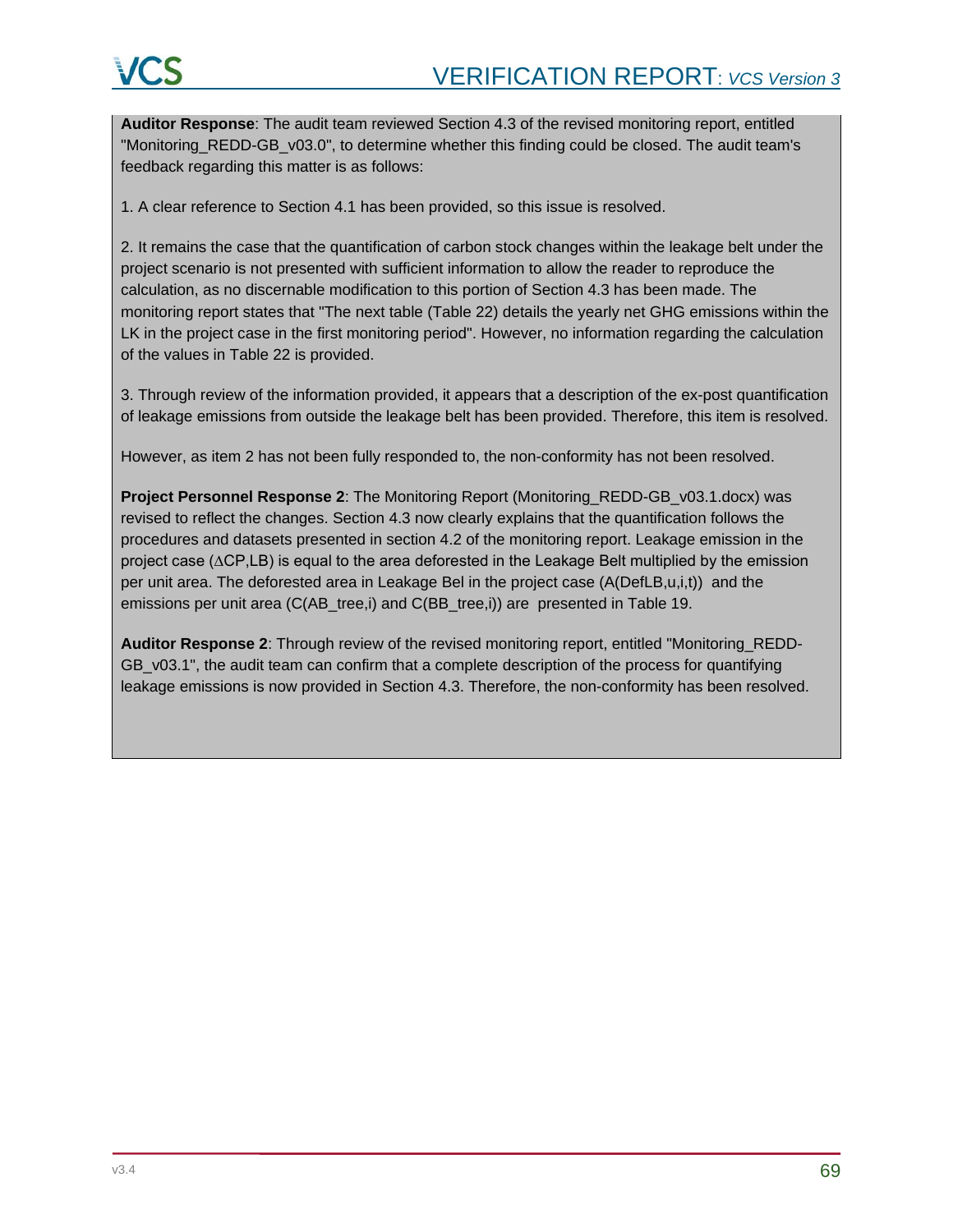**Auditor Response**: The audit team reviewed Section 4.3 of the revised monitoring report, entitled "Monitoring\_REDD-GB\_v03.0", to determine whether this finding could be closed. The audit team's feedback regarding this matter is as follows:

1. A clear reference to Section 4.1 has been provided, so this issue is resolved.

2. It remains the case that the quantification of carbon stock changes within the leakage belt under the project scenario is not presented with sufficient information to allow the reader to reproduce the calculation, as no discernable modification to this portion of Section 4.3 has been made. The monitoring report states that "The next table (Table 22) details the yearly net GHG emissions within the LK in the project case in the first monitoring period". However, no information regarding the calculation of the values in Table 22 is provided.

3. Through review of the information provided, it appears that a description of the ex-post quantification of leakage emissions from outside the leakage belt has been provided. Therefore, this item is resolved.

However, as item 2 has not been fully responded to, the non-conformity has not been resolved.

**Project Personnel Response 2**: The Monitoring Report (Monitoring\_REDD-GB\_v03.1.docx) was revised to reflect the changes. Section 4.3 now clearly explains that the quantification follows the procedures and datasets presented in section 4.2 of the monitoring report. Leakage emission in the project case (∆CP,LB) is equal to the area deforested in the Leakage Belt multiplied by the emission per unit area. The deforested area in Leakage Bel in the project case (A(DefLB,u,i,t)) and the emissions per unit area (C(AB\_tree,i) and C(BB\_tree,i)) are presented in Table 19.

**Auditor Response 2**: Through review of the revised monitoring report, entitled "Monitoring\_REDD-GB v03.1", the audit team can confirm that a complete description of the process for quantifying leakage emissions is now provided in Section 4.3. Therefore, the non-conformity has been resolved.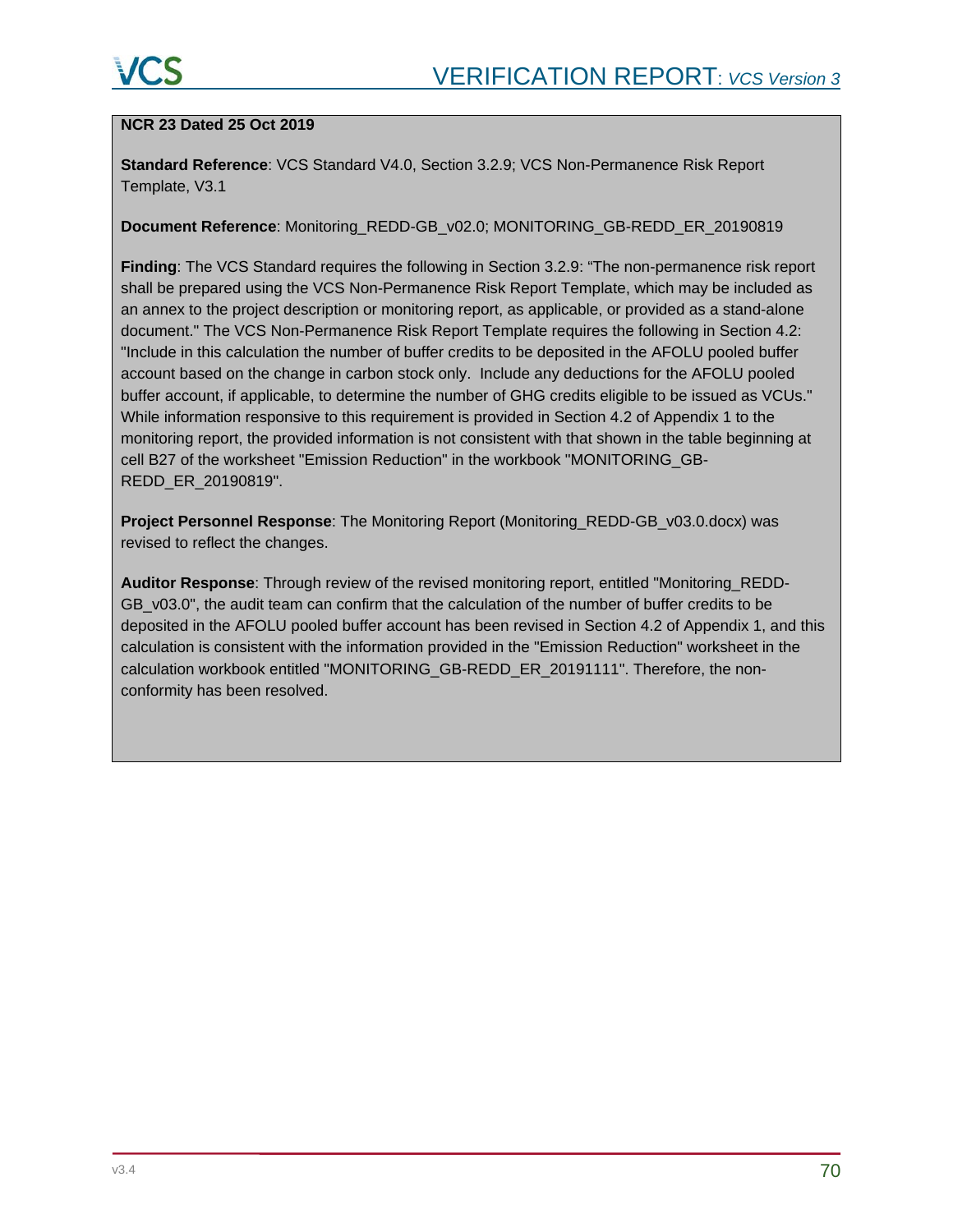### **NCR 23 Dated 25 Oct 2019**

**Standard Reference**: VCS Standard V4.0, Section 3.2.9; VCS Non-Permanence Risk Report Template, V3.1

#### **Document Reference**: Monitoring\_REDD-GB\_v02.0; MONITORING\_GB-REDD\_ER\_20190819

**Finding**: The VCS Standard requires the following in Section 3.2.9: "The non-permanence risk report shall be prepared using the VCS Non-Permanence Risk Report Template, which may be included as an annex to the project description or monitoring report, as applicable, or provided as a stand-alone document." The VCS Non-Permanence Risk Report Template requires the following in Section 4.2: "Include in this calculation the number of buffer credits to be deposited in the AFOLU pooled buffer account based on the change in carbon stock only. Include any deductions for the AFOLU pooled buffer account, if applicable, to determine the number of GHG credits eligible to be issued as VCUs." While information responsive to this requirement is provided in Section 4.2 of Appendix 1 to the monitoring report, the provided information is not consistent with that shown in the table beginning at cell B27 of the worksheet "Emission Reduction" in the workbook "MONITORING\_GB-REDD\_ER\_20190819".

**Project Personnel Response**: The Monitoring Report (Monitoring\_REDD-GB\_v03.0.docx) was revised to reflect the changes.

**Auditor Response**: Through review of the revised monitoring report, entitled "Monitoring\_REDD-GB v03.0", the audit team can confirm that the calculation of the number of buffer credits to be deposited in the AFOLU pooled buffer account has been revised in Section 4.2 of Appendix 1, and this calculation is consistent with the information provided in the "Emission Reduction" worksheet in the calculation workbook entitled "MONITORING\_GB-REDD\_ER\_20191111". Therefore, the nonconformity has been resolved.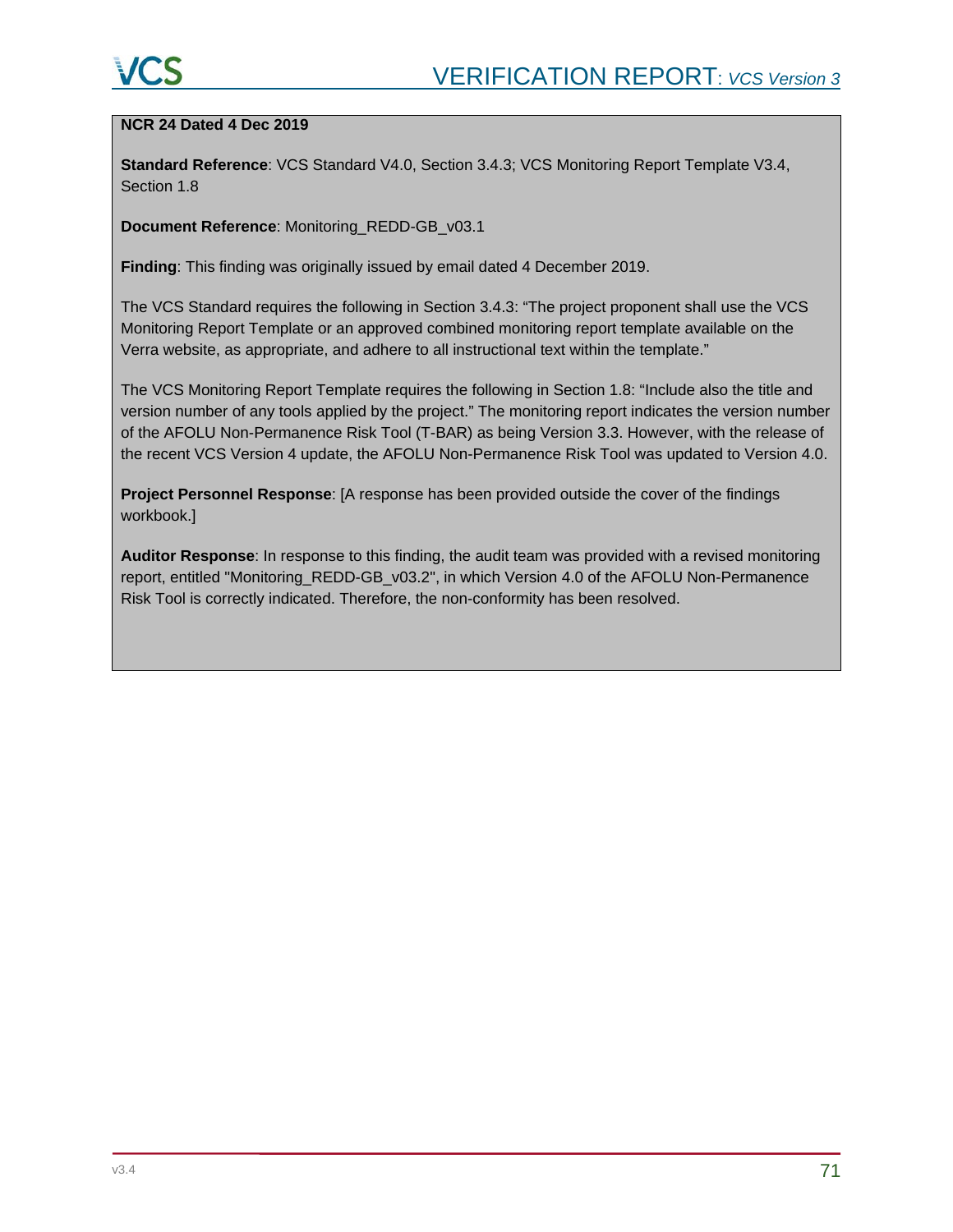### **NCR 24 Dated 4 Dec 2019**

**Standard Reference**: VCS Standard V4.0, Section 3.4.3; VCS Monitoring Report Template V3.4, Section 1.8

**Document Reference**: Monitoring\_REDD-GB\_v03.1

**Finding**: This finding was originally issued by email dated 4 December 2019.

The VCS Standard requires the following in Section 3.4.3: "The project proponent shall use the VCS Monitoring Report Template or an approved combined monitoring report template available on the Verra website, as appropriate, and adhere to all instructional text within the template."

The VCS Monitoring Report Template requires the following in Section 1.8: "Include also the title and version number of any tools applied by the project." The monitoring report indicates the version number of the AFOLU Non-Permanence Risk Tool (T-BAR) as being Version 3.3. However, with the release of the recent VCS Version 4 update, the AFOLU Non-Permanence Risk Tool was updated to Version 4.0.

**Project Personnel Response**: [A response has been provided outside the cover of the findings workbook.]

**Auditor Response**: In response to this finding, the audit team was provided with a revised monitoring report, entitled "Monitoring\_REDD-GB\_v03.2", in which Version 4.0 of the AFOLU Non-Permanence Risk Tool is correctly indicated. Therefore, the non-conformity has been resolved.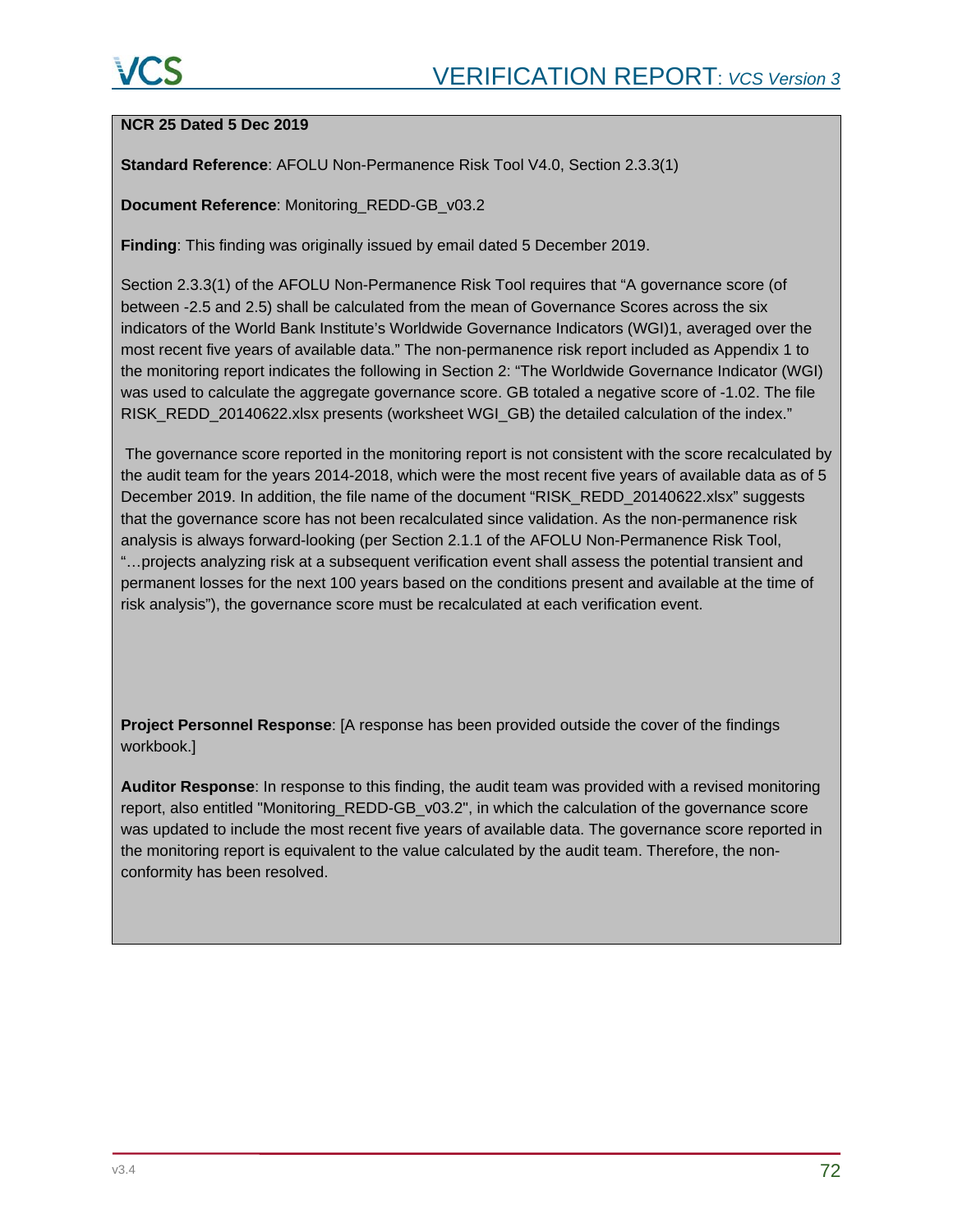### **NCR 25 Dated 5 Dec 2019**

**Standard Reference**: AFOLU Non-Permanence Risk Tool V4.0, Section 2.3.3(1)

**Document Reference**: Monitoring\_REDD-GB\_v03.2

**Finding**: This finding was originally issued by email dated 5 December 2019.

Section 2.3.3(1) of the AFOLU Non-Permanence Risk Tool requires that "A governance score (of between -2.5 and 2.5) shall be calculated from the mean of Governance Scores across the six indicators of the World Bank Institute's Worldwide Governance Indicators (WGI)1, averaged over the most recent five years of available data." The non-permanence risk report included as Appendix 1 to the monitoring report indicates the following in Section 2: "The Worldwide Governance Indicator (WGI) was used to calculate the aggregate governance score. GB totaled a negative score of -1.02. The file RISK\_REDD\_20140622.xlsx presents (worksheet WGI\_GB) the detailed calculation of the index."

The governance score reported in the monitoring report is not consistent with the score recalculated by the audit team for the years 2014-2018, which were the most recent five years of available data as of 5 December 2019. In addition, the file name of the document "RISK\_REDD\_20140622.xlsx" suggests that the governance score has not been recalculated since validation. As the non-permanence risk analysis is always forward-looking (per Section 2.1.1 of the AFOLU Non-Permanence Risk Tool, "…projects analyzing risk at a subsequent verification event shall assess the potential transient and permanent losses for the next 100 years based on the conditions present and available at the time of risk analysis"), the governance score must be recalculated at each verification event.

**Project Personnel Response**: [A response has been provided outside the cover of the findings workbook.]

**Auditor Response**: In response to this finding, the audit team was provided with a revised monitoring report, also entitled "Monitoring\_REDD-GB\_v03.2", in which the calculation of the governance score was updated to include the most recent five years of available data. The governance score reported in the monitoring report is equivalent to the value calculated by the audit team. Therefore, the nonconformity has been resolved.